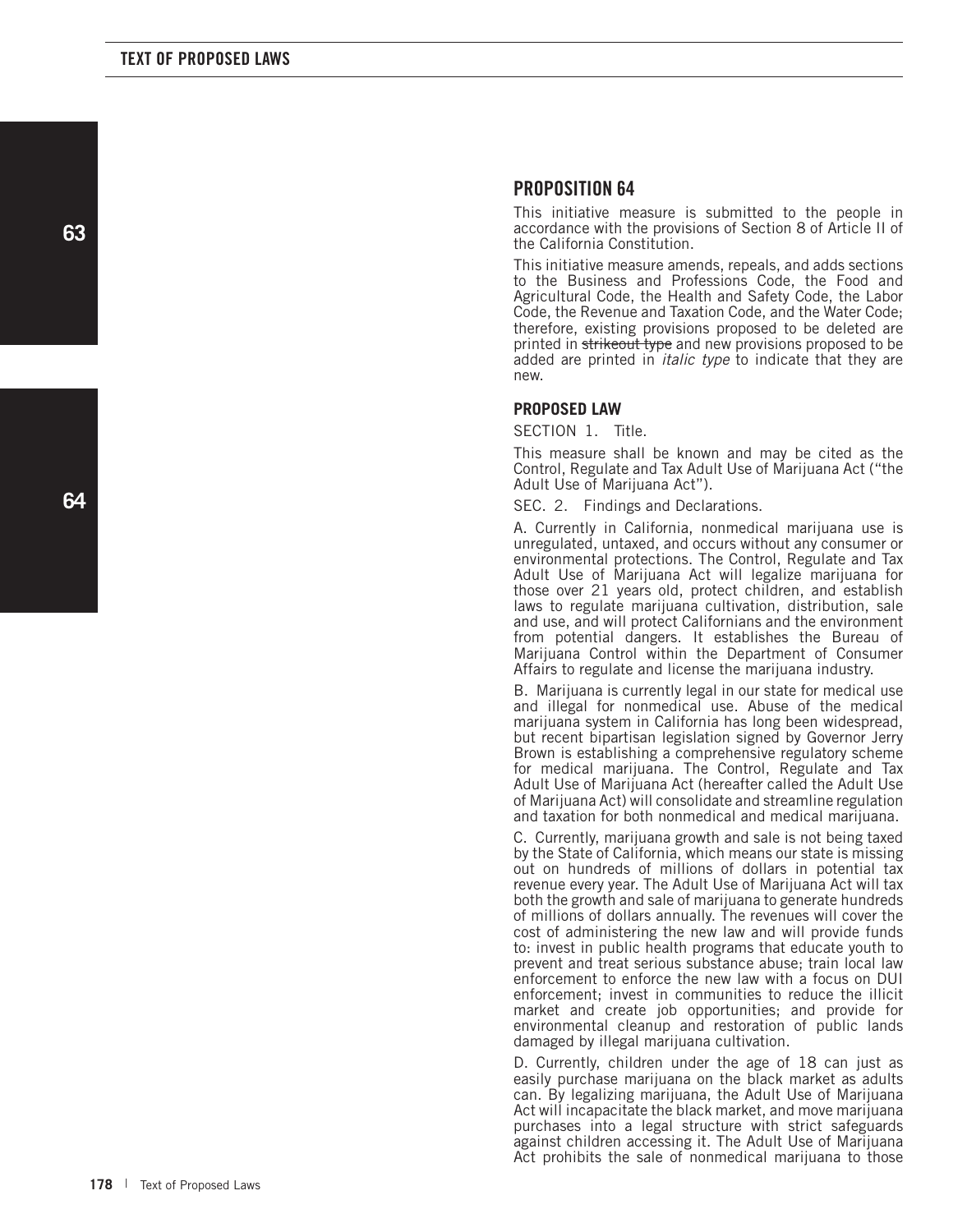This initiative measure is submitted to the people in accordance with the provisions of Section 8 of Article II of the California Constitution.

This initiative measure amends, repeals, and adds sections to the Business and Professions Code, the Food and Agricultural Code, the Health and Safety Code, the Labor Code, the Revenue and Taxation Code, and the Water Code; therefore, existing provisions proposed to be deleted are printed in strikeout type and new provisions proposed to be added are printed in *italic type* to indicate that they are new.

## **PROPOSED LAW**

SECTION 1. Title.

This measure shall be known and may be cited as the Control, Regulate and Tax Adult Use of Marijuana Act ("the Adult Use of Marijuana Act").

SEC. 2. Findings and Declarations.

A. Currently in California, nonmedical marijuana use is unregulated, untaxed, and occurs without any consumer or environmental protections. The Control, Regulate and Tax Adult Use of Marijuana Act will legalize marijuana for those over 21 years old, protect children, and establish laws to regulate marijuana cultivation, distribution, sale and use, and will protect Californians and the environment from potential dangers. It establishes the Bureau of Marijuana Control within the Department of Consumer Affairs to regulate and license the marijuana industry.

B. Marijuana is currently legal in our state for medical use and illegal for nonmedical use. Abuse of the medical marijuana system in California has long been widespread, but recent bipartisan legislation signed by Governor Jerry Brown is establishing a comprehensive regulatory scheme for medical marijuana. The Control, Regulate and Tax Adult Use of Marijuana Act (hereafter called the Adult Use of Marijuana Act) will consolidate and streamline regulation and taxation for both nonmedical and medical marijuana.

C. Currently, marijuana growth and sale is not being taxed by the State of California, which means our state is missing out on hundreds of millions of dollars in potential tax revenue every year. The Adult Use of Marijuana Act will tax both the growth and sale of marijuana to generate hundreds of millions of dollars annually. The revenues will cover the cost of administering the new law and will provide funds to: invest in public health programs that educate youth to prevent and treat serious substance abuse; train local law enforcement to enforce the new law with a focus on DUI enforcement; invest in communities to reduce the illicit market and create job opportunities; and provide for environmental cleanup and restoration of public lands damaged by illegal marijuana cultivation.

D. Currently, children under the age of 18 can just as easily purchase marijuana on the black market as adults can. By legalizing marijuana, the Adult Use of Marijuana Act will incapacitate the black market, and move marijuana purchases into a legal structure with strict safeguards against children accessing it. The Adult Use of Marijuana Act prohibits the sale of nonmedical marijuana to those

<span id="page-0-0"></span>**63**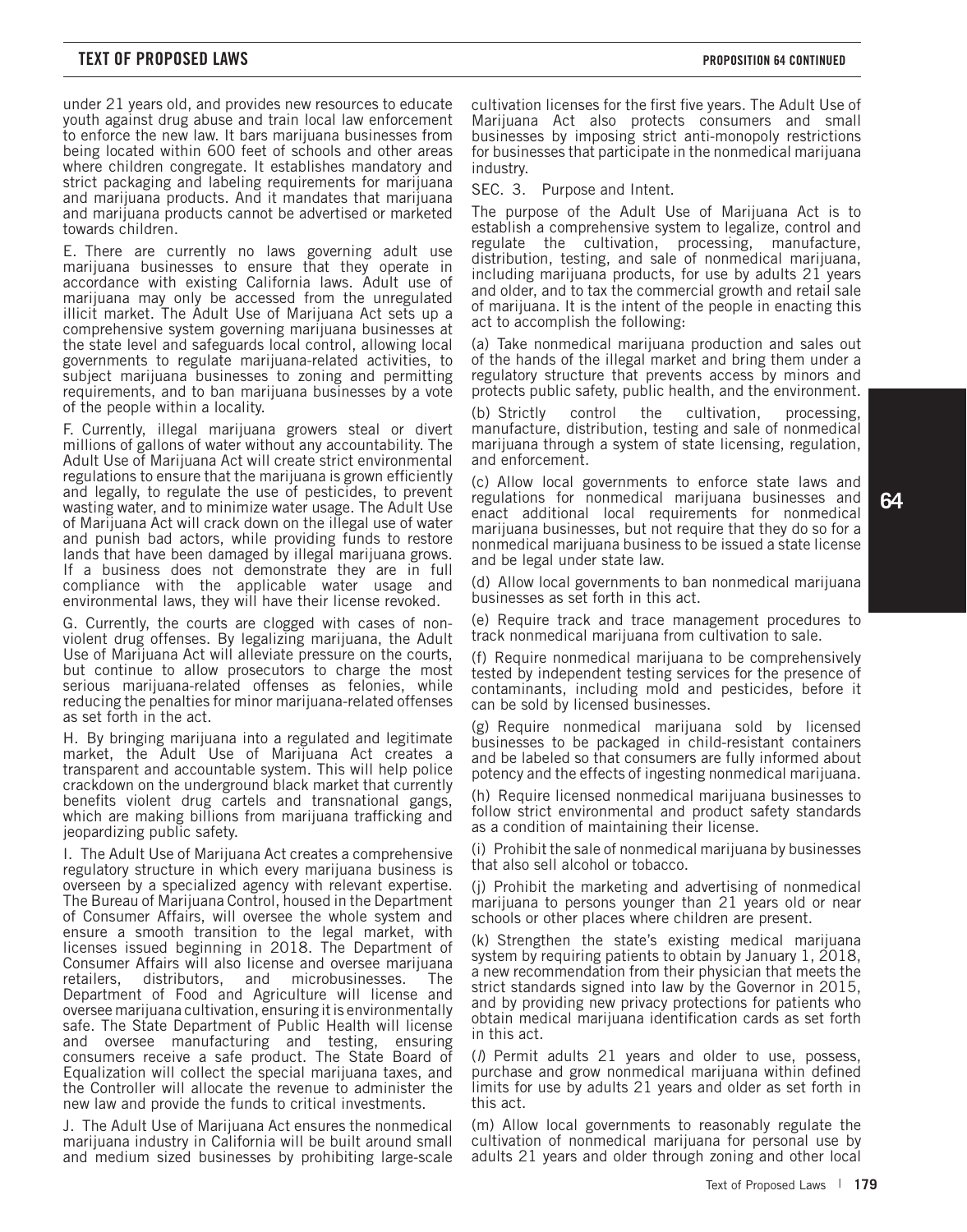under 21 years old, and provides new resources to educate youth against drug abuse and train local law enforcement to enforce the new law. It bars marijuana businesses from being located within 600 feet of schools and other areas where children congregate. It establishes mandatory and strict packaging and labeling requirements for marijuana and marijuana products. And it mandates that marijuana and marijuana products cannot be advertised or marketed towards children.

E. There are currently no laws governing adult use marijuana businesses to ensure that they operate in accordance with existing California laws. Adult use of marijuana may only be accessed from the unregulated illicit market. The Adult Use of Marijuana Act sets up a comprehensive system governing marijuana businesses at the state level and safeguards local control, allowing local governments to regulate marijuana-related activities, to subject marijuana businesses to zoning and permitting requirements, and to ban marijuana businesses by a vote of the people within a locality.

F. Currently, illegal marijuana growers steal or divert millions of gallons of water without any accountability. The Adult Use of Marijuana Act will create strict environmental regulations to ensure that the marijuana is grown efficiently and legally, to regulate the use of pesticides, to prevent wasting water, and to minimize water usage. The Adult Use of Marijuana Act will crack down on the illegal use of water and punish bad actors, while providing funds to restore lands that have been damaged by illegal marijuana grows. If a business does not demonstrate they are in full compliance with the applicable water usage and environmental laws, they will have their license revoked.

G. Currently, the courts are clogged with cases of nonviolent drug offenses. By legalizing marijuana, the Adult Use of Marijuana Act will alleviate pressure on the courts, but continue to allow prosecutors to charge the most serious marijuana-related offenses as felonies, while reducing the penalties for minor marijuana-related offenses as set forth in the act.

H. By bringing marijuana into a regulated and legitimate market, the Adult Use of Marijuana Act creates a transparent and accountable system. This will help police crackdown on the underground black market that currently benefits violent drug cartels and transnational gangs, which are making billions from marijuana trafficking and jeopardizing public safety.

I. The Adult Use of Marijuana Act creates a comprehensive regulatory structure in which every marijuana business is overseen by a specialized agency with relevant expertise. The Bureau of Marijuana Control, housed in the Department of Consumer Affairs, will oversee the whole system and ensure a smooth transition to the legal market, with licenses issued beginning in 2018. The Department of Consumer Affairs will also license and oversee marijuana<br>retailers, distributors, and microbusinesses. The retailers, distributors, and microbusinesses. The Department of Food and Agriculture will license and oversee marijuana cultivation, ensuring it is environmentally safe. The State Department of Public Health will license and oversee manufacturing and testing, ensuring consumers receive a safe product. The State Board of Equalization will collect the special marijuana taxes, and the Controller will allocate the revenue to administer the new law and provide the funds to critical investments.

J. The Adult Use of Marijuana Act ensures the nonmedical marijuana industry in California will be built around small and medium sized businesses by prohibiting large-scale

cultivation licenses for the first five years. The Adult Use of Marijuana Act also protects consumers and small businesses by imposing strict anti-monopoly restrictions for businesses that participate in the nonmedical marijuana industry.

SEC. 3. Purpose and Intent.

The purpose of the Adult Use of Marijuana Act is to establish a comprehensive system to legalize, control and regulate the cultivation, processing, manufacture, distribution, testing, and sale of nonmedical marijuana, including marijuana products, for use by adults 21 years and older, and to tax the commercial growth and retail sale of marijuana. It is the intent of the people in enacting this act to accomplish the following:

(a) Take nonmedical marijuana production and sales out of the hands of the illegal market and bring them under a regulatory structure that prevents access by minors and protects public safety, public health, and the environment.

(b) Strictly control the cultivation, processing, manufacture, distribution, testing and sale of nonmedical marijuana through a system of state licensing, regulation, and enforcement.

(c) Allow local governments to enforce state laws and regulations for nonmedical marijuana businesses and enact additional local requirements for nonmedical marijuana businesses, but not require that they do so for a nonmedical marijuana business to be issued a state license and be legal under state law.

(d) Allow local governments to ban nonmedical marijuana businesses as set forth in this act.

(e) Require track and trace management procedures to track nonmedical marijuana from cultivation to sale.

(f) Require nonmedical marijuana to be comprehensively tested by independent testing services for the presence of contaminants, including mold and pesticides, before it can be sold by licensed businesses.

(g) Require nonmedical marijuana sold by licensed businesses to be packaged in child-resistant containers and be labeled so that consumers are fully informed about potency and the effects of ingesting nonmedical marijuana.

(h) Require licensed nonmedical marijuana businesses to follow strict environmental and product safety standards as a condition of maintaining their license.

(i) Prohibit the sale of nonmedical marijuana by businesses that also sell alcohol or tobacco.

(j) Prohibit the marketing and advertising of nonmedical marijuana to persons younger than 21 years old or near schools or other places where children are present.

(k) Strengthen the state's existing medical marijuana system by requiring patients to obtain by January 1, 2018, a new recommendation from their physician that meets the strict standards signed into law by the Governor in 2015, and by providing new privacy protections for patients who obtain medical marijuana identification cards as set forth in this act.

(*l*) Permit adults 21 years and older to use, possess, purchase and grow nonmedical marijuana within defined limits for use by adults 21 years and older as set forth in this act.

(m) Allow local governments to reasonably regulate the cultivation of nonmedical marijuana for personal use by adults 21 years and older through zoning and other local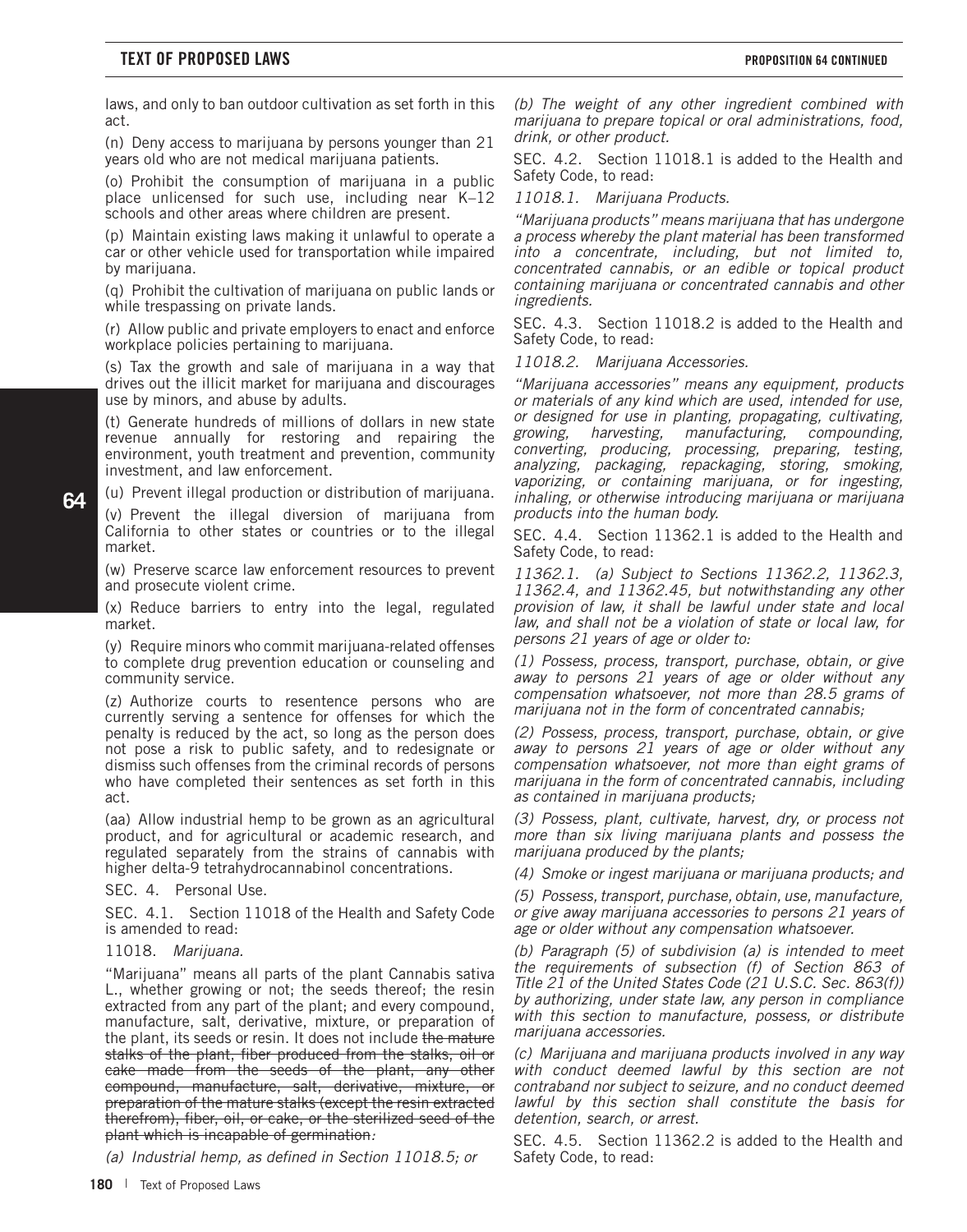laws, and only to ban outdoor cultivation as set forth in this act.

(n) Deny access to marijuana by persons younger than 21 years old who are not medical marijuana patients.

(o) Prohibit the consumption of marijuana in a public place unlicensed for such use, including near K–12 schools and other areas where children are present.

(p) Maintain existing laws making it unlawful to operate a car or other vehicle used for transportation while impaired by marijuana.

(q) Prohibit the cultivation of marijuana on public lands or while trespassing on private lands.

(r) Allow public and private employers to enact and enforce workplace policies pertaining to marijuana.

(s) Tax the growth and sale of marijuana in a way that drives out the illicit market for marijuana and discourages use by minors, and abuse by adults.

(t) Generate hundreds of millions of dollars in new state revenue annually for restoring and repairing the environment, youth treatment and prevention, community investment, and law enforcement.

(u) Prevent illegal production or distribution of marijuana.

(v) Prevent the illegal diversion of marijuana from California to other states or countries or to the illegal market.

(w) Preserve scarce law enforcement resources to prevent and prosecute violent crime.

(x) Reduce barriers to entry into the legal, regulated market.

(y) Require minors who commit marijuana-related offenses to complete drug prevention education or counseling and community service.

(z) Authorize courts to resentence persons who are currently serving a sentence for offenses for which the penalty is reduced by the act, so long as the person does not pose a risk to public safety, and to redesignate or dismiss such offenses from the criminal records of persons who have completed their sentences as set forth in this act.

(aa) Allow industrial hemp to be grown as an agricultural product, and for agricultural or academic research, and regulated separately from the strains of cannabis with higher delta-9 tetrahydrocannabinol concentrations.

SEC. 4. Personal Use.

**64** 

SEC. 4.1. Section 11018 of the Health and Safety Code is amended to read:

## 11018. *Marijuana.*

"Marijuana" means all parts of the plant Cannabis sativa L., whether growing or not; the seeds thereof; the resin extracted from any part of the plant; and every compound, manufacture, salt, derivative, mixture, or preparation of the plant, its seeds or resin. It does not include the mature stalks of the plant, fiber produced from the stalks, oil or cake made from the seeds of the plant, any other compound, manufacture, salt, derivative, mixture, or preparation of the mature stalks (except the resin extracted therefrom), fiber, oil, or cake, or the sterilized seed of the plant which is incapable of germination*:* 

*(a) Industrial hemp, as defined in Section 11018.5; or* 

*(b) The weight of any other ingredient combined with marijuana to prepare topical or oral administrations, food, drink, or other product.* 

SEC. 4.2. Section 11018.1 is added to the Health and Safety Code, to read:

*11018.1. Marijuana Products.* 

*"Marijuana products" means marijuana that has undergone a process whereby the plant material has been transformed into a concentrate, including, but not limited to, concentrated cannabis, or an edible or topical product containing marijuana or concentrated cannabis and other ingredients.* 

SEC. 4.3. Section 11018.2 is added to the Health and Safety Code, to read:

*11018.2. Marijuana Accessories.* 

*"Marijuana accessories" means any equipment, products or materials of any kind which are used, intended for use, or designed for use in planting, propagating, cultivating, growing, harvesting, manufacturing, compounding, converting, producing, processing, preparing, testing, analyzing, packaging, repackaging, storing, smoking, vaporizing, or containing marijuana, or for ingesting, inhaling, or otherwise introducing marijuana or marijuana products into the human body.* 

SEC. 4.4. Section 11362.1 is added to the Health and Safety Code, to read:

*11362.1. (a) Subject to Sections 11362.2, 11362.3, 11362.4, and 11362.45, but notwithstanding any other provision of law, it shall be lawful under state and local law, and shall not be a violation of state or local law, for persons 21 years of age or older to:* 

*(1) Possess, process, transport, purchase, obtain, or give away to persons 21 years of age or older without any compensation whatsoever, not more than 28.5 grams of marijuana not in the form of concentrated cannabis;* 

*(2) Possess, process, transport, purchase, obtain, or give away to persons 21 years of age or older without any compensation whatsoever, not more than eight grams of marijuana in the form of concentrated cannabis, including as contained in marijuana products;* 

*(3) Possess, plant, cultivate, harvest, dry, or process not more than six living marijuana plants and possess the marijuana produced by the plants;* 

*(4) Smoke or ingest marijuana or marijuana products; and* 

*(5) Possess, transport, purchase, obtain, use, manufacture, or give away marijuana accessories to persons 21 years of age or older without any compensation whatsoever.* 

*(b) Paragraph (5) of subdivision (a) is intended to meet the requirements of subsection (f) of Section 863 of Title 21 of the United States Code (21 U.S.C. Sec. 863(f)) by authorizing, under state law, any person in compliance with this section to manufacture, possess, or distribute marijuana accessories.* 

*(c) Marijuana and marijuana products involved in any way with conduct deemed lawful by this section are not contraband nor subject to seizure, and no conduct deemed lawful by this section shall constitute the basis for detention, search, or arrest.* 

SEC. 4.5. Section 11362.2 is added to the Health and Safety Code, to read: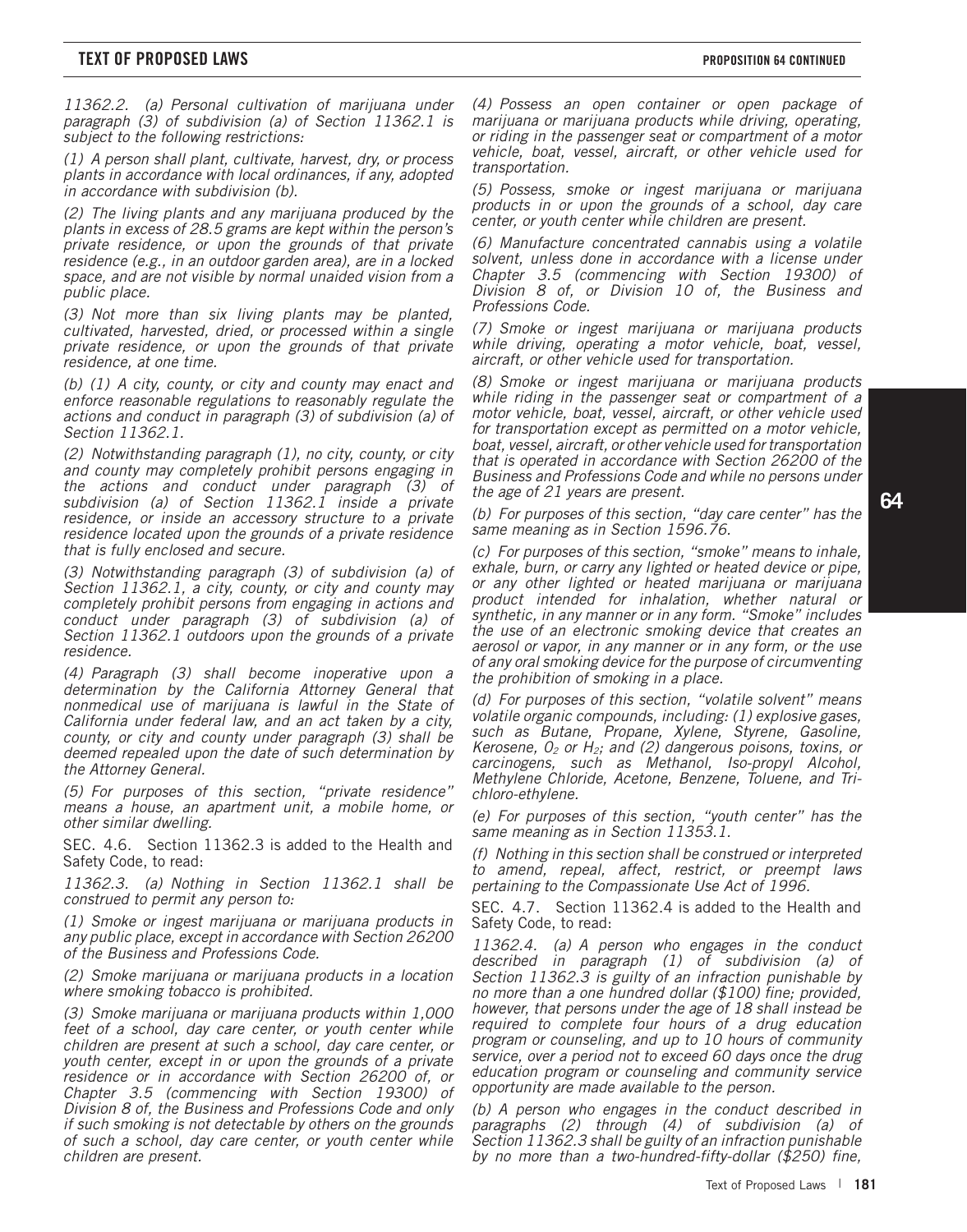**64** 

*11362.2. (a) Personal cultivation of marijuana under paragraph (3) of subdivision (a) of Section 11362.1 is subject to the following restrictions:* 

*(1) A person shall plant, cultivate, harvest, dry, or process plants in accordance with local ordinances, if any, adopted in accordance with subdivision (b).* 

*(2) The living plants and any marijuana produced by the plants in excess of 28.5 grams are kept within the person's private residence, or upon the grounds of that private residence (e.g., in an outdoor garden area), are in a locked space, and are not visible by normal unaided vision from a public place.* 

*(3) Not more than six living plants may be planted, cultivated, harvested, dried, or processed within a single private residence, or upon the grounds of that private residence, at one time.* 

*(b) (1) A city, county, or city and county may enact and enforce reasonable regulations to reasonably regulate the actions and conduct in paragraph (3) of subdivision (a) of Section 11362.1.* 

*(2) Notwithstanding paragraph (1), no city, county, or city and county may completely prohibit persons engaging in the actions and conduct under paragraph (3) of subdivision (a) of Section 11362.1 inside a private residence, or inside an accessory structure to a private residence located upon the grounds of a private residence that is fully enclosed and secure.* 

*(3) Notwithstanding paragraph (3) of subdivision (a) of Section 11362.1, a city, county, or city and county may completely prohibit persons from engaging in actions and conduct under paragraph (3) of subdivision (a) of Section 11362.1 outdoors upon the grounds of a private residence.* 

*(4) Paragraph (3) shall become inoperative upon a determination by the California Attorney General that nonmedical use of marijuana is lawful in the State of California under federal law, and an act taken by a city, county, or city and county under paragraph (3) shall be deemed repealed upon the date of such determination by the Attorney General.* 

*(5) For purposes of this section, "private residence" means a house, an apartment unit, a mobile home, or other similar dwelling.* 

SEC. 4.6. Section 11362.3 is added to the Health and Safety Code, to read:

*11362.3. (a) Nothing in Section 11362.1 shall be construed to permit any person to:* 

*(1) Smoke or ingest marijuana or marijuana products in any public place, except in accordance with Section 26200 of the Business and Professions Code.* 

*(2) Smoke marijuana or marijuana products in a location where smoking tobacco is prohibited.* 

*(3) Smoke marijuana or marijuana products within 1,000 feet of a school, day care center, or youth center while children are present at such a school, day care center, or youth center, except in or upon the grounds of a private residence or in accordance with Section 26200 of, or Chapter 3.5 (commencing with Section 19300) of Division 8 of, the Business and Professions Code and only if such smoking is not detectable by others on the grounds of such a school, day care center, or youth center while children are present.* 

*(4) Possess an open container or open package of marijuana or marijuana products while driving, operating, or riding in the passenger seat or compartment of a motor vehicle, boat, vessel, aircraft, or other vehicle used for transportation.* 

*(5) Possess, smoke or ingest marijuana or marijuana products in or upon the grounds of a school, day care center, or youth center while children are present.* 

*(6) Manufacture concentrated cannabis using a volatile solvent, unless done in accordance with a license under Chapter 3.5 (commencing with Section 19300) of Division 8 of, or Division 10 of, the Business and Professions Code.* 

*(7) Smoke or ingest marijuana or marijuana products while driving, operating a motor vehicle, boat, vessel, aircraft, or other vehicle used for transportation.* 

*(8) Smoke or ingest marijuana or marijuana products while riding in the passenger seat or compartment of a motor vehicle, boat, vessel, aircraft, or other vehicle used for transportation except as permitted on a motor vehicle, boat, vessel, aircraft, or other vehicle used for transportation that is operated in accordance with Section 26200 of the Business and Professions Code and while no persons under the age of 21 years are present.* 

*(b) For purposes of this section, "day care center" has the same meaning as in Section 1596.76.* 

*(c) For purposes of this section, "smoke" means to inhale, exhale, burn, or carry any lighted or heated device or pipe, or any other lighted or heated marijuana or marijuana product intended for inhalation, whether natural or synthetic, in any manner or in any form. "Smoke" includes the use of an electronic smoking device that creates an aerosol or vapor, in any manner or in any form, or the use of any oral smoking device for the purpose of circumventing the prohibition of smoking in a place.* 

*(d) For purposes of this section, "volatile solvent" means volatile organic compounds, including: (1) explosive gases, such as Butane, Propane, Xylene, Styrene, Gasoline, Kerosene,*  $O_2$  *or H<sub>2</sub>; and (2) dangerous poisons, toxins, or carcinogens, such as Methanol, Iso-propyl Alcohol, Methylene Chloride, Acetone, Benzene, Toluene, and Trichloro-ethylene.* 

*(e) For purposes of this section, "youth center" has the same meaning as in Section 11353.1.* 

*(f) Nothing in this section shall be construed or interpreted to amend, repeal, affect, restrict, or preempt laws pertaining to the Compassionate Use Act of 1996.* 

SEC. 4.7. Section 11362.4 is added to the Health and Safety Code, to read:

*11362.4. (a) A person who engages in the conduct described in paragraph (1) of subdivision (a) of Section 11362.3 is guilty of an infraction punishable by no more than a one hundred dollar (\$100) fine; provided, however, that persons under the age of 18 shall instead be required to complete four hours of a drug education program or counseling, and up to 10 hours of community service, over a period not to exceed 60 days once the drug education program or counseling and community service opportunity are made available to the person.* 

*(b) A person who engages in the conduct described in paragraphs (2) through (4) of subdivision (a) of Section 11362.3 shall be guilty of an infraction punishable by no more than a two-hundred-fifty-dollar (\$250) fine,*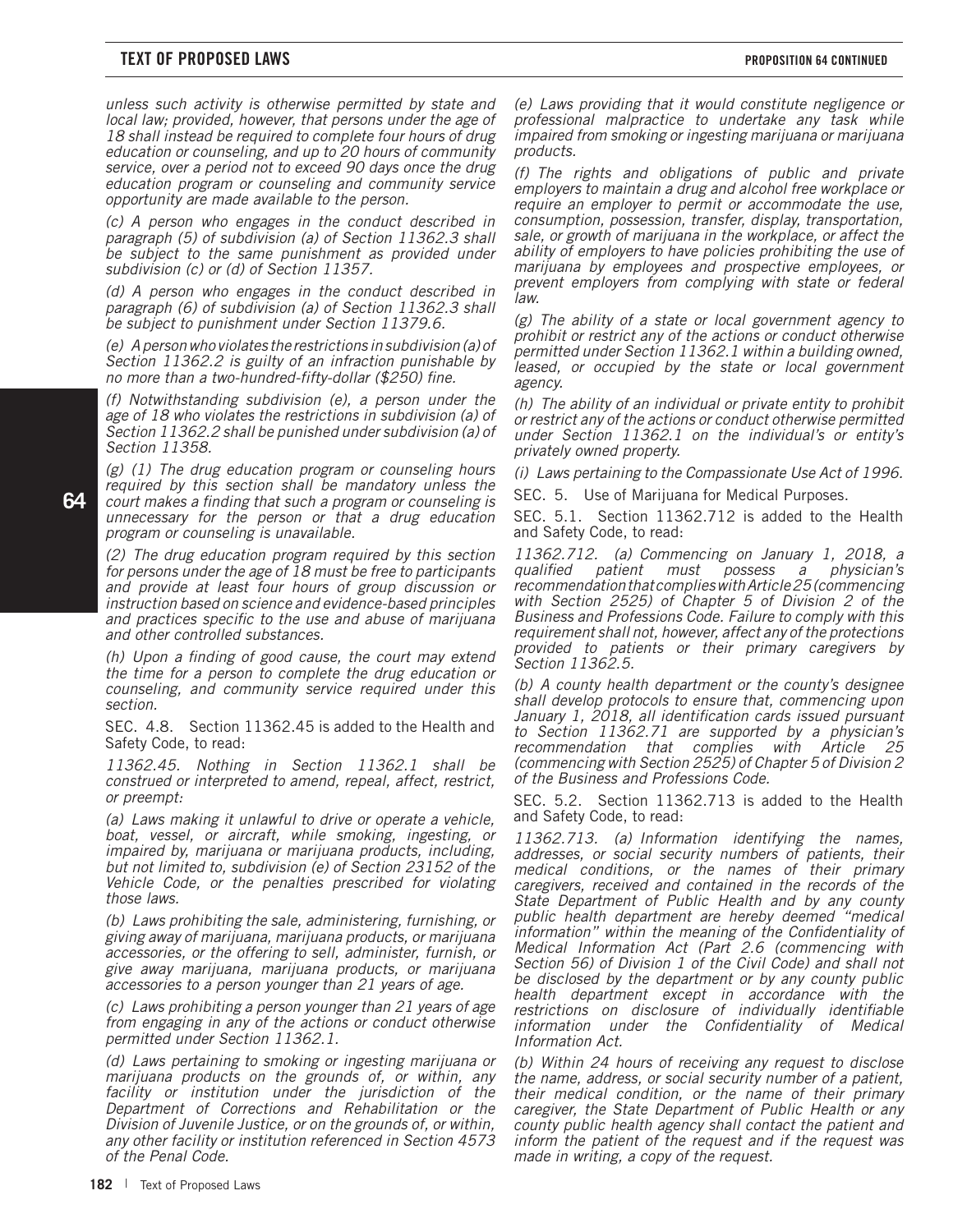**64** 

*unless such activity is otherwise permitted by state and local law; provided, however, that persons under the age of 18 shall instead be required to complete four hours of drug education or counseling, and up to 20 hours of community service, over a period not to exceed 90 days once the drug education program or counseling and community service opportunity are made available to the person.* 

*(c) A person who engages in the conduct described in paragraph (5) of subdivision (a) of Section 11362.3 shall be subject to the same punishment as provided under subdivision (c) or (d) of Section 11357.* 

*(d) A person who engages in the conduct described in paragraph (6) of subdivision (a) of Section 11362.3 shall be subject to punishment under Section 11379.6.* 

*(e) A person who violates the restrictions in subdivision (a) of Section 11362.2 is guilty of an infraction punishable by no more than a two-hundred-fifty-dollar (\$250) fine.* 

*(f) Notwithstanding subdivision (e), a person under the age of 18 who violates the restrictions in subdivision (a) of Section 11362.2 shall be punished under subdivision (a) of Section 11358.* 

*(g) (1) The drug education program or counseling hours required by this section shall be mandatory unless the court makes a finding that such a program or counseling is unnecessary for the person or that a drug education program or counseling is unavailable.* 

*(2) The drug education program required by this section for persons under the age of 18 must be free to participants and provide at least four hours of group discussion or instruction based on science and evidence-based principles and practices specific to the use and abuse of marijuana and other controlled substances.* 

*(h) Upon a finding of good cause, the court may extend the time for a person to complete the drug education or counseling, and community service required under this section.* 

SEC. 4.8. Section 11362.45 is added to the Health and Safety Code, to read:

*11362.45. Nothing in Section 11362.1 shall be construed or interpreted to amend, repeal, affect, restrict, or preempt:* 

*(a) Laws making it unlawful to drive or operate a vehicle, boat, vessel, or aircraft, while smoking, ingesting, or impaired by, marijuana or marijuana products, including, but not limited to, subdivision (e) of Section 23152 of the Vehicle Code, or the penalties prescribed for violating those laws.* 

*(b) Laws prohibiting the sale, administering, furnishing, or giving away of marijuana, marijuana products, or marijuana accessories, or the offering to sell, administer, furnish, or give away marijuana, marijuana products, or marijuana accessories to a person younger than 21 years of age.* 

*(c) Laws prohibiting a person younger than 21 years of age from engaging in any of the actions or conduct otherwise permitted under Section 11362.1.* 

*(d) Laws pertaining to smoking or ingesting marijuana or marijuana products on the grounds of, or within, any facility or institution under the jurisdiction of the Department of Corrections and Rehabilitation or the Division of Juvenile Justice, or on the grounds of, or within, any other facility or institution referenced in Section 4573 of the Penal Code.* 

*(e) Laws providing that it would constitute negligence or professional malpractice to undertake any task while impaired from smoking or ingesting marijuana or marijuana products.* 

*(f) The rights and obligations of public and private employers to maintain a drug and alcohol free workplace or require an employer to permit or accommodate the use, consumption, possession, transfer, display, transportation, sale, or growth of marijuana in the workplace, or affect the ability of employers to have policies prohibiting the use of marijuana by employees and prospective employees, or prevent employers from complying with state or federal law.* 

*(g) The ability of a state or local government agency to prohibit or restrict any of the actions or conduct otherwise permitted under Section 11362.1 within a building owned, leased, or occupied by the state or local government agency.* 

*(h) The ability of an individual or private entity to prohibit or restrict any of the actions or conduct otherwise permitted under Section 11362.1 on the individual's or entity's privately owned property.* 

*(i) Laws pertaining to the Compassionate Use Act of 1996.* 

SEC. 5. Use of Marijuana for Medical Purposes.

SEC. 5.1. Section 11362.712 is added to the Health and Safety Code, to read:

*11362.712. (a) Commencing on January 1, 2018, a qualified patient must possess a physician's recommendation that complies with Article 25 (commencing with Section 2525) of Chapter 5 of Division 2 of the Business and Professions Code. Failure to comply with this requirement shall not, however, affect any of the protections provided to patients or their primary caregivers by Section 11362.5.* 

*(b) A county health department or the county's designee shall develop protocols to ensure that, commencing upon January 1, 2018, all identification cards issued pursuant to Section 11362.71 are supported by a physician's recommendation that complies with Article 25 (commencing with Section 2525) of Chapter 5 of Division 2 of the Business and Professions Code.* 

 SEC. 5.2. Section 11362.713 is added to the Health and Safety Code, to read:

*11362.713. (a) Information identifying the names, addresses, or social security numbers of patients, their medical conditions, or the names of their primary caregivers, received and contained in the records of the State Department of Public Health and by any county public health department are hereby deemed "medical information" within the meaning of the Confidentiality of Medical Information Act (Part 2.6 (commencing with Section 56) of Division 1 of the Civil Code) and shall not be disclosed by the department or by any county public health department except in accordance with the restrictions on disclosure of individually identifiable information under the Confidentiality of Medical Information Act.* 

*(b) Within 24 hours of receiving any request to disclose the name, address, or social security number of a patient, their medical condition, or the name of their primary caregiver, the State Department of Public Health or any county public health agency shall contact the patient and inform the patient of the request and if the request was made in writing, a copy of the request.*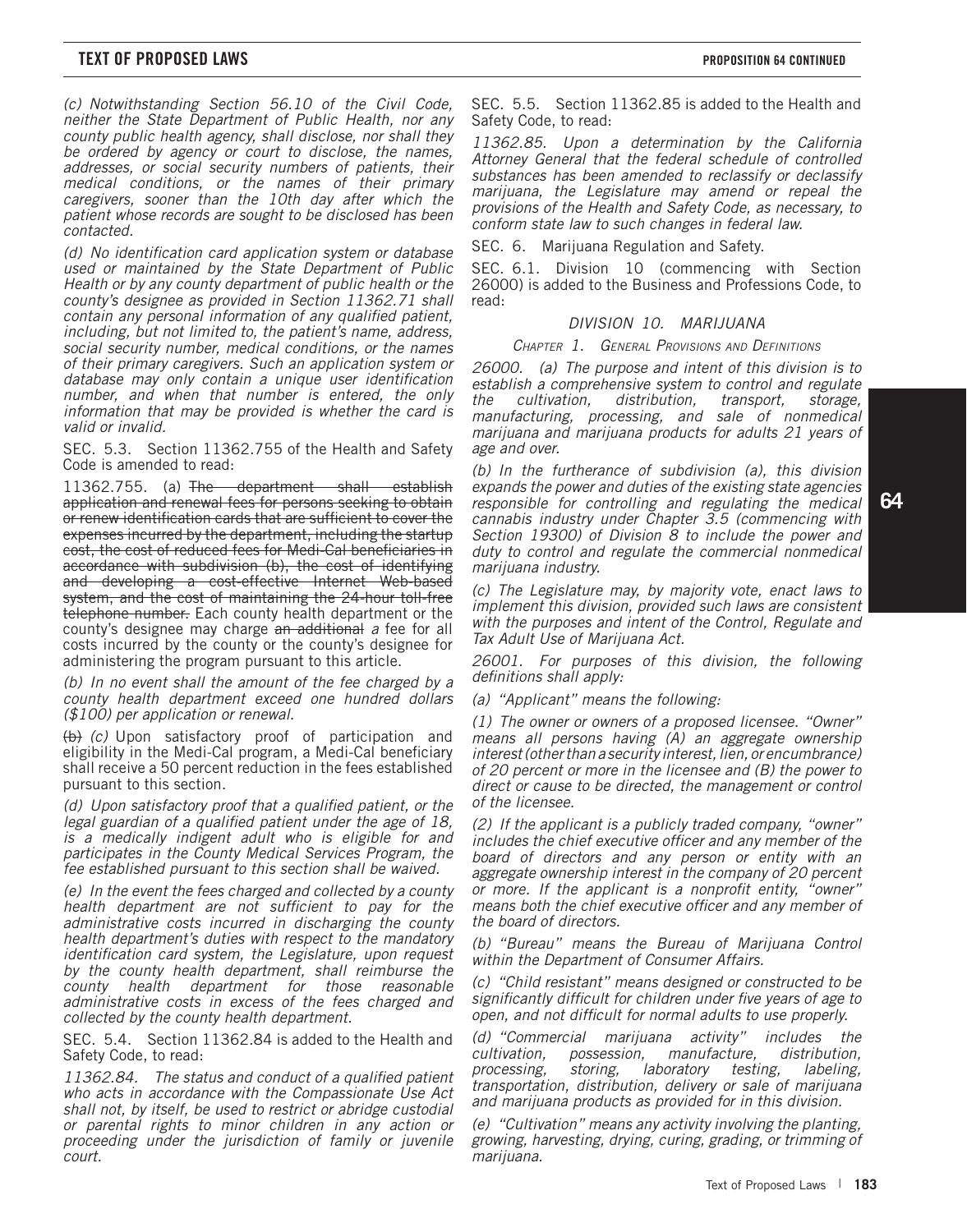**64** 

*(c) Notwithstanding Section 56.10 of the Civil Code, neither the State Department of Public Health, nor any county public health agency, shall disclose, nor shall they be ordered by agency or court to disclose, the names, addresses, or social security numbers of patients, their medical conditions, or the names of their primary caregivers, sooner than the 10th day after which the patient whose records are sought to be disclosed has been contacted.* 

*(d) No identification card application system or database used or maintained by the State Department of Public Health or by any county department of public health or the county's designee as provided in Section 11362.71 shall contain any personal information of any qualified patient, including, but not limited to, the patient's name, address, social security number, medical conditions, or the names of their primary caregivers. Such an application system or database may only contain a unique user identification number, and when that number is entered, the only information that may be provided is whether the card is valid or invalid.* 

SEC. 5.3. Section 11362.755 of the Health and Safety Code is amended to read:

11362.755. (a) The department shall establish application and renewal fees for persons seeking to obtain or renew identification cards that are sufficient to cover the expenses incurred by the department, including the startup cost, the cost of reduced fees for Medi-Cal beneficiaries in accordance with subdivision (b), the cost of identifying and developing a cost-effective Internet Web-based system, and the cost of maintaining the 24-hour toll-free telephone number. Each county health department or the county's designee may charge an additional *a* fee for all costs incurred by the county or the county's designee for administering the program pursuant to this article.

*(b) In no event shall the amount of the fee charged by a county health department exceed one hundred dollars (\$100) per application or renewal.* 

(b) *(c)* Upon satisfactory proof of participation and eligibility in the Medi-Cal program, a Medi-Cal beneficiary shall receive a 50 percent reduction in the fees established pursuant to this section.

*(d) Upon satisfactory proof that a qualified patient, or the legal guardian of a qualified patient under the age of 18, is a medically indigent adult who is eligible for and participates in the County Medical Services Program, the fee established pursuant to this section shall be waived.* 

*(e) In the event the fees charged and collected by a county health department are not sufficient to pay for the administrative costs incurred in discharging the county health department's duties with respect to the mandatory identification card system, the Legislature, upon request by the county health department, shall reimburse the county health department for those reasonable administrative costs in excess of the fees charged and collected by the county health department.* 

SEC. 5.4. Section 11362.84 is added to the Health and Safety Code, to read:

*11362.84. The status and conduct of a qualified patient who acts in accordance with the Compassionate Use Act shall not, by itself, be used to restrict or abridge custodial or parental rights to minor children in any action or proceeding under the jurisdiction of family or juvenile court.* 

SEC. 5.5. Section 11362.85 is added to the Health and Safety Code, to read:

*11362.85. Upon a determination by the California Attorney General that the federal schedule of controlled substances has been amended to reclassify or declassify marijuana, the Legislature may amend or repeal the provisions of the Health and Safety Code, as necessary, to conform state law to such changes in federal law.* 

SEC. 6. Marijuana Regulation and Safety.

SEC. 6.1. Division 10 (commencing with Section 26000) is added to the Business and Professions Code, to read:

#### *DIVISION 10. MARIJUANA*

## *Chapter 1. General provisions and definitions*

*26000. (a) The purpose and intent of this division is to establish a comprehensive system to control and regulate the cultivation, distribution, transport, storage, manufacturing, processing, and sale of nonmedical marijuana and marijuana products for adults 21 years of age and over.* 

*(b) In the furtherance of subdivision (a), this division expands the power and duties of the existing state agencies responsible for controlling and regulating the medical cannabis industry under Chapter 3.5 (commencing with Section 19300) of Division 8 to include the power and duty to control and regulate the commercial nonmedical marijuana industry.* 

*(c) The Legislature may, by majority vote, enact laws to implement this division, provided such laws are consistent with the purposes and intent of the Control, Regulate and Tax Adult Use of Marijuana Act.* 

*26001. For purposes of this division, the following definitions shall apply:* 

*(a) "Applicant" means the following:* 

*(1) The owner or owners of a proposed licensee. "Owner" means all persons having (A) an aggregate ownership interest (other than a security interest, lien, or encumbrance) of 20 percent or more in the licensee and (B) the power to direct or cause to be directed, the management or control of the licensee.* 

*(2) If the applicant is a publicly traded company, "owner" includes the chief executive officer and any member of the board of directors and any person or entity with an aggregate ownership interest in the company of 20 percent or more. If the applicant is a nonprofit entity, "owner" means both the chief executive officer and any member of the board of directors.* 

*(b) "Bureau" means the Bureau of Marijuana Control within the Department of Consumer Affairs.* 

*(c) "Child resistant" means designed or constructed to be significantly difficult for children under five years of age to open, and not difficult for normal adults to use properly.* 

*(d) "Commercial marijuana activity" includes the cultivation, possession, manufacture, distribution, processing, storing, laboratory testing, labeling, transportation, distribution, delivery or sale of marijuana and marijuana products as provided for in this division.* 

*(e) "Cultivation" means any activity involving the planting, growing, harvesting, drying, curing, grading, or trimming of marijuana.*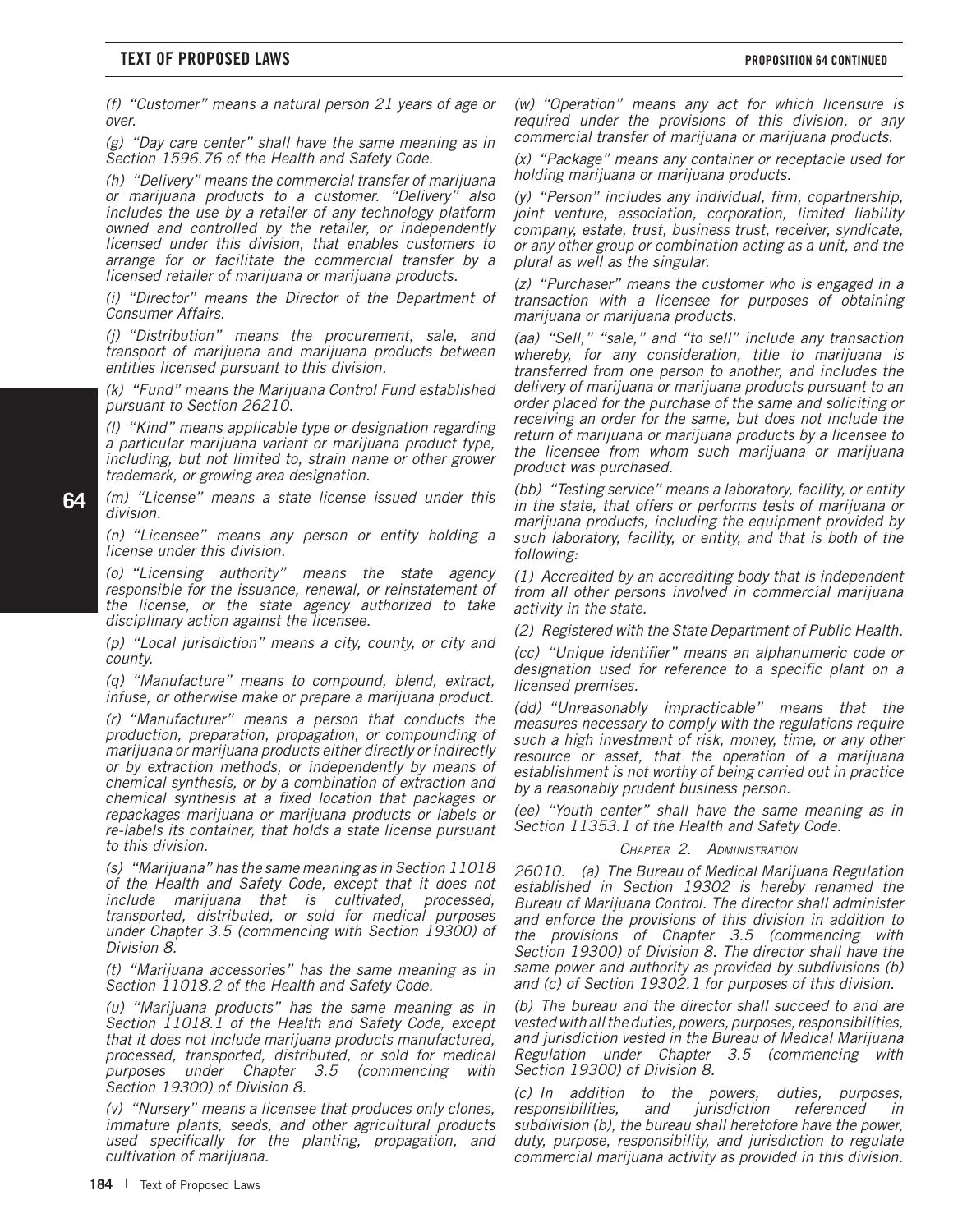**64** 

*(f) "Customer" means a natural person 21 years of age or over.* 

*(g) "Day care center" shall have the same meaning as in Section 1596.76 of the Health and Safety Code.* 

*(h) "Delivery" means the commercial transfer of marijuana or marijuana products to a customer. "Delivery" also includes the use by a retailer of any technology platform owned and controlled by the retailer, or independently licensed under this division, that enables customers to arrange for or facilitate the commercial transfer by a licensed retailer of marijuana or marijuana products.* 

*(i) "Director" means the Director of the Department of Consumer Affairs.* 

*(j) "Distribution" means the procurement, sale, and transport of marijuana and marijuana products between entities licensed pursuant to this division.* 

*(k) "Fund" means the Marijuana Control Fund established pursuant to Section 26210.* 

*(l) "Kind" means applicable type or designation regarding a particular marijuana variant or marijuana product type, including, but not limited to, strain name or other grower trademark, or growing area designation.* 

*(m) "License" means a state license issued under this division.* 

*(n) "Licensee" means any person or entity holding a license under this division.* 

*(o) "Licensing authority" means the state agency responsible for the issuance, renewal, or reinstatement of the license, or the state agency authorized to take disciplinary action against the licensee.* 

*(p) "Local jurisdiction" means a city, county, or city and county.* 

*(q) "Manufacture" means to compound, blend, extract, infuse, or otherwise make or prepare a marijuana product.* 

*(r) "Manufacturer" means a person that conducts the production, preparation, propagation, or compounding of marijuana or marijuana products either directly or indirectly or by extraction methods, or independently by means of chemical synthesis, or by a combination of extraction and chemical synthesis at a fixed location that packages or repackages marijuana or marijuana products or labels or re-labels its container, that holds a state license pursuant to this division.* 

*(s) "Marijuana" has the same meaning as in Section 11018 of the Health and Safety Code, except that it does not include marijuana that is cultivated, processed, transported, distributed, or sold for medical purposes under Chapter 3.5 (commencing with Section 19300) of Division 8.* 

*(t) "Marijuana accessories" has the same meaning as in Section 11018.2 of the Health and Safety Code.* 

*(u) "Marijuana products" has the same meaning as in Section 11018.1 of the Health and Safety Code, except that it does not include marijuana products manufactured, processed, transported, distributed, or sold for medical purposes under Chapter 3.5 (commencing with Section 19300) of Division 8.* 

*(v) "Nursery" means a licensee that produces only clones, immature plants, seeds, and other agricultural products used specifically for the planting, propagation, and cultivation of marijuana.* 

*(w) "Operation" means any act for which licensure is required under the provisions of this division, or any commercial transfer of marijuana or marijuana products.* 

*(x) "Package" means any container or receptacle used for holding marijuana or marijuana products.* 

*(y) "Person" includes any individual, firm, copartnership, joint venture, association, corporation, limited liability company, estate, trust, business trust, receiver, syndicate, or any other group or combination acting as a unit, and the plural as well as the singular.* 

*(z) "Purchaser" means the customer who is engaged in a transaction with a licensee for purposes of obtaining marijuana or marijuana products.* 

*(aa) "Sell," "sale," and "to sell" include any transaction whereby, for any consideration, title to marijuana is transferred from one person to another, and includes the delivery of marijuana or marijuana products pursuant to an order placed for the purchase of the same and soliciting or receiving an order for the same, but does not include the return of marijuana or marijuana products by a licensee to the licensee from whom such marijuana or marijuana product was purchased.* 

*(bb) "Testing service" means a laboratory, facility, or entity in the state, that offers or performs tests of marijuana or marijuana products, including the equipment provided by such laboratory, facility, or entity, and that is both of the following:* 

*(1) Accredited by an accrediting body that is independent from all other persons involved in commercial marijuana activity in the state.* 

*(2) Registered with the State Department of Public Health.* 

*(cc) "Unique identifier" means an alphanumeric code or designation used for reference to a specific plant on a licensed premises.* 

*(dd) "Unreasonably impracticable" means that the measures necessary to comply with the regulations require such a high investment of risk, money, time, or any other resource or asset, that the operation of a marijuana establishment is not worthy of being carried out in practice by a reasonably prudent business person.* 

*(ee) "Youth center" shall have the same meaning as in Section 11353.1 of the Health and Safety Code.* 

#### *Chapter 2. administration*

*26010. (a) The Bureau of Medical Marijuana Regulation established in Section 19302 is hereby renamed the Bureau of Marijuana Control. The director shall administer and enforce the provisions of this division in addition to the provisions of Chapter 3.5 (commencing with Section 19300) of Division 8. The director shall have the same power and authority as provided by subdivisions (b) and (c) of Section 19302.1 for purposes of this division.* 

*(b) The bureau and the director shall succeed to and are vested with all the duties, powers, purposes, responsibilities, and jurisdiction vested in the Bureau of Medical Marijuana Regulation under Chapter 3.5 (commencing with Section 19300) of Division 8.* 

*(c) In addition to the powers, duties, purposes, responsibilities, and jurisdiction referenced in subdivision (b), the bureau shall heretofore have the power, duty, purpose, responsibility, and jurisdiction to regulate commercial marijuana activity as provided in this division.*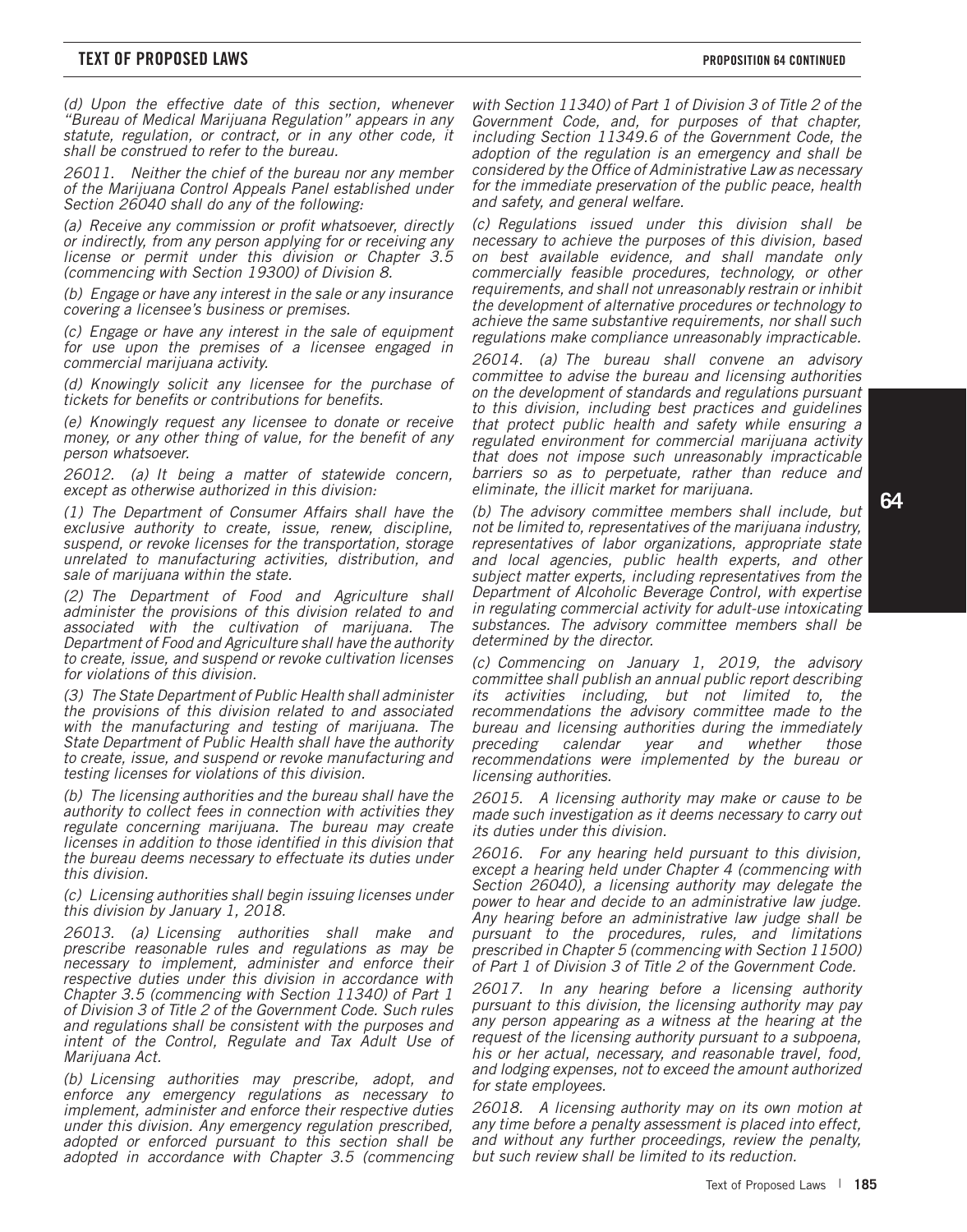*(d) Upon the effective date of this section, whenever "Bureau of Medical Marijuana Regulation" appears in any statute, regulation, or contract, or in any other code, it shall be construed to refer to the bureau.* 

*26011. Neither the chief of the bureau nor any member of the Marijuana Control Appeals Panel established under Section 26040 shall do any of the following:* 

*(a) Receive any commission or profit whatsoever, directly or indirectly, from any person applying for or receiving any license or permit under this division or Chapter 3.5 (commencing with Section 19300) of Division 8.* 

*(b) Engage or have any interest in the sale or any insurance covering a licensee's business or premises.* 

*(c) Engage or have any interest in the sale of equipment for use upon the premises of a licensee engaged in commercial marijuana activity.* 

*(d) Knowingly solicit any licensee for the purchase of tickets for benefits or contributions for benefits.* 

*(e) Knowingly request any licensee to donate or receive money, or any other thing of value, for the benefit of any person whatsoever.* 

*26012. (a) It being a matter of statewide concern, except as otherwise authorized in this division:* 

*(1) The Department of Consumer Affairs shall have the exclusive authority to create, issue, renew, discipline, suspend, or revoke licenses for the transportation, storage unrelated to manufacturing activities, distribution, and sale of marijuana within the state.* 

*(2) The Department of Food and Agriculture shall administer the provisions of this division related to and associated with the cultivation of marijuana. The Department of Food and Agriculture shall have the authority to create, issue, and suspend or revoke cultivation licenses for violations of this division.* 

*(3) The State Department of Public Health shall administer the provisions of this division related to and associated with the manufacturing and testing of marijuana. The State Department of Public Health shall have the authority to create, issue, and suspend or revoke manufacturing and testing licenses for violations of this division.* 

*(b) The licensing authorities and the bureau shall have the authority to collect fees in connection with activities they regulate concerning marijuana. The bureau may create licenses in addition to those identified in this division that the bureau deems necessary to effectuate its duties under this division.* 

*(c) Licensing authorities shall begin issuing licenses under this division by January 1, 2018.* 

*26013. (a) Licensing authorities shall make and prescribe reasonable rules and regulations as may be necessary to implement, administer and enforce their respective duties under this division in accordance with Chapter 3.5 (commencing with Section 11340) of Part 1 of Division 3 of Title 2 of the Government Code. Such rules and regulations shall be consistent with the purposes and intent of the Control, Regulate and Tax Adult Use of Marijuana Act.* 

*(b) Licensing authorities may prescribe, adopt, and enforce any emergency regulations as necessary to implement, administer and enforce their respective duties under this division. Any emergency regulation prescribed, adopted or enforced pursuant to this section shall be adopted in accordance with Chapter 3.5 (commencing* 

*with Section 11340) of Part 1 of Division 3 of Title 2 of the Government Code, and, for purposes of that chapter, including Section 11349.6 of the Government Code, the adoption of the regulation is an emergency and shall be considered by the Office of Administrative Law as necessary for the immediate preservation of the public peace, health and safety, and general welfare.* 

*(c) Regulations issued under this division shall be necessary to achieve the purposes of this division, based on best available evidence, and shall mandate only commercially feasible procedures, technology, or other requirements, and shall not unreasonably restrain or inhibit the development of alternative procedures or technology to achieve the same substantive requirements, nor shall such regulations make compliance unreasonably impracticable.* 

*26014. (a) The bureau shall convene an advisory committee to advise the bureau and licensing authorities on the development of standards and regulations pursuant to this division, including best practices and guidelines that protect public health and safety while ensuring a regulated environment for commercial marijuana activity that does not impose such unreasonably impracticable barriers so as to perpetuate, rather than reduce and eliminate, the illicit market for marijuana.* 

*(b) The advisory committee members shall include, but not be limited to, representatives of the marijuana industry, representatives of labor organizations, appropriate state and local agencies, public health experts, and other subject matter experts, including representatives from the Department of Alcoholic Beverage Control, with expertise in regulating commercial activity for adult-use intoxicating substances. The advisory committee members shall be determined by the director.* 

*(c) Commencing on January 1, 2019, the advisory committee shall publish an annual public report describing its activities including, but not limited to, the recommendations the advisory committee made to the bureau and licensing authorities during the immediately preceding calendar year and whether those recommendations were implemented by the bureau or licensing authorities.* 

*26015. A licensing authority may make or cause to be made such investigation as it deems necessary to carry out its duties under this division.* 

*26016. For any hearing held pursuant to this division, except a hearing held under Chapter 4 (commencing with Section 26040), a licensing authority may delegate the power to hear and decide to an administrative law judge. Any hearing before an administrative law judge shall be pursuant to the procedures, rules, and limitations prescribed in Chapter 5 (commencing with Section 11500) of Part 1 of Division 3 of Title 2 of the Government Code.* 

*26017. In any hearing before a licensing authority pursuant to this division, the licensing authority may pay any person appearing as a witness at the hearing at the request of the licensing authority pursuant to a subpoena, his or her actual, necessary, and reasonable travel, food, and lodging expenses, not to exceed the amount authorized for state employees.* 

*26018. A licensing authority may on its own motion at any time before a penalty assessment is placed into effect, and without any further proceedings, review the penalty, but such review shall be limited to its reduction.* 

**64**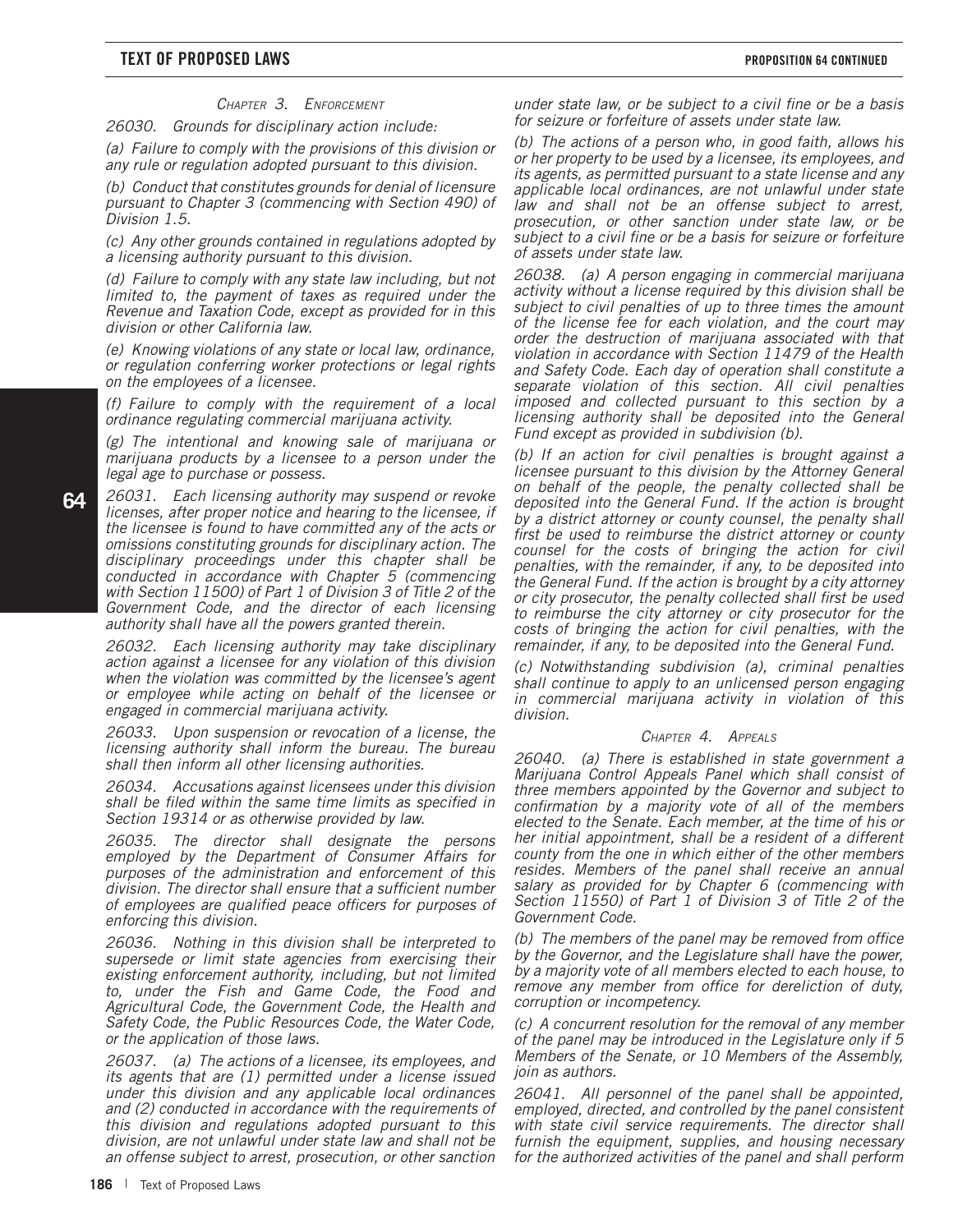**64** 

### *Chapter 3. enforCement*

*26030. Grounds for disciplinary action include:* 

*(a) Failure to comply with the provisions of this division or any rule or regulation adopted pursuant to this division.* 

*(b) Conduct that constitutes grounds for denial of licensure pursuant to Chapter 3 (commencing with Section 490) of Division 1.5.* 

*(c) Any other grounds contained in regulations adopted by a licensing authority pursuant to this division.* 

*(d) Failure to comply with any state law including, but not limited to, the payment of taxes as required under the Revenue and Taxation Code, except as provided for in this division or other California law.* 

*(e) Knowing violations of any state or local law, ordinance, or regulation conferring worker protections or legal rights on the employees of a licensee.* 

*(f) Failure to comply with the requirement of a local ordinance regulating commercial marijuana activity.* 

*(g) The intentional and knowing sale of marijuana or marijuana products by a licensee to a person under the legal age to purchase or possess.* 

*26031. Each licensing authority may suspend or revoke licenses, after proper notice and hearing to the licensee, if the licensee is found to have committed any of the acts or omissions constituting grounds for disciplinary action. The disciplinary proceedings under this chapter shall be conducted in accordance with Chapter 5 (commencing with Section 11500) of Part 1 of Division 3 of Title 2 of the Government Code, and the director of each licensing authority shall have all the powers granted therein.* 

*26032. Each licensing authority may take disciplinary action against a licensee for any violation of this division when the violation was committed by the licensee's agent or employee while acting on behalf of the licensee or engaged in commercial marijuana activity.* 

*26033. Upon suspension or revocation of a license, the licensing authority shall inform the bureau. The bureau shall then inform all other licensing authorities.* 

*26034. Accusations against licensees under this division shall be filed within the same time limits as specified in Section 19314 or as otherwise provided by law.* 

*26035. The director shall designate the persons employed by the Department of Consumer Affairs for purposes of the administration and enforcement of this division. The director shall ensure that a sufficient number of employees are qualified peace officers for purposes of enforcing this division.* 

*26036. Nothing in this division shall be interpreted to supersede or limit state agencies from exercising their existing enforcement authority, including, but not limited to, under the Fish and Game Code, the Food and Agricultural Code, the Government Code, the Health and Safety Code, the Public Resources Code, the Water Code, or the application of those laws.* 

*26037. (a) The actions of a licensee, its employees, and its agents that are (1) permitted under a license issued under this division and any applicable local ordinances and (2) conducted in accordance with the requirements of this division and regulations adopted pursuant to this division, are not unlawful under state law and shall not be an offense subject to arrest, prosecution, or other sanction* 

*under state law, or be subject to a civil fine or be a basis for seizure or forfeiture of assets under state law.* 

*(b) The actions of a person who, in good faith, allows his or her property to be used by a licensee, its employees, and its agents, as permitted pursuant to a state license and any applicable local ordinances, are not unlawful under state law and shall not be an offense subject to arrest, prosecution, or other sanction under state law, or be subject to a civil fine or be a basis for seizure or forfeiture of assets under state law.* 

*26038. (a) A person engaging in commercial marijuana activity without a license required by this division shall be subject to civil penalties of up to three times the amount of the license fee for each violation, and the court may order the destruction of marijuana associated with that violation in accordance with Section 11479 of the Health and Safety Code. Each day of operation shall constitute a separate violation of this section. All civil penalties imposed and collected pursuant to this section by a licensing authority shall be deposited into the General Fund except as provided in subdivision (b).* 

*(b) If an action for civil penalties is brought against a licensee pursuant to this division by the Attorney General on behalf of the people, the penalty collected shall be deposited into the General Fund. If the action is brought by a district attorney or county counsel, the penalty shall first be used to reimburse the district attorney or county counsel for the costs of bringing the action for civil penalties, with the remainder, if any, to be deposited into the General Fund. If the action is brought by a city attorney or city prosecutor, the penalty collected shall first be used to reimburse the city attorney or city prosecutor for the costs of bringing the action for civil penalties, with the remainder, if any, to be deposited into the General Fund.* 

*(c) Notwithstanding subdivision (a), criminal penalties shall continue to apply to an unlicensed person engaging in commercial marijuana activity in violation of this division.* 

#### *Chapter 4. appeals*

*26040. (a) There is established in state government a Marijuana Control Appeals Panel which shall consist of three members appointed by the Governor and subject to confirmation by a majority vote of all of the members elected to the Senate. Each member, at the time of his or her initial appointment, shall be a resident of a different county from the one in which either of the other members resides. Members of the panel shall receive an annual salary as provided for by Chapter 6 (commencing with Section 11550) of Part 1 of Division 3 of Title 2 of the Government Code.* 

*(b) The members of the panel may be removed from office by the Governor, and the Legislature shall have the power, by a majority vote of all members elected to each house, to remove any member from office for dereliction of duty, corruption or incompetency.* 

*(c) A concurrent resolution for the removal of any member of the panel may be introduced in the Legislature only if 5 Members of the Senate, or 10 Members of the Assembly, join as authors.* 

*26041. All personnel of the panel shall be appointed, employed, directed, and controlled by the panel consistent with state civil service requirements. The director shall furnish the equipment, supplies, and housing necessary for the authorized activities of the panel and shall perform*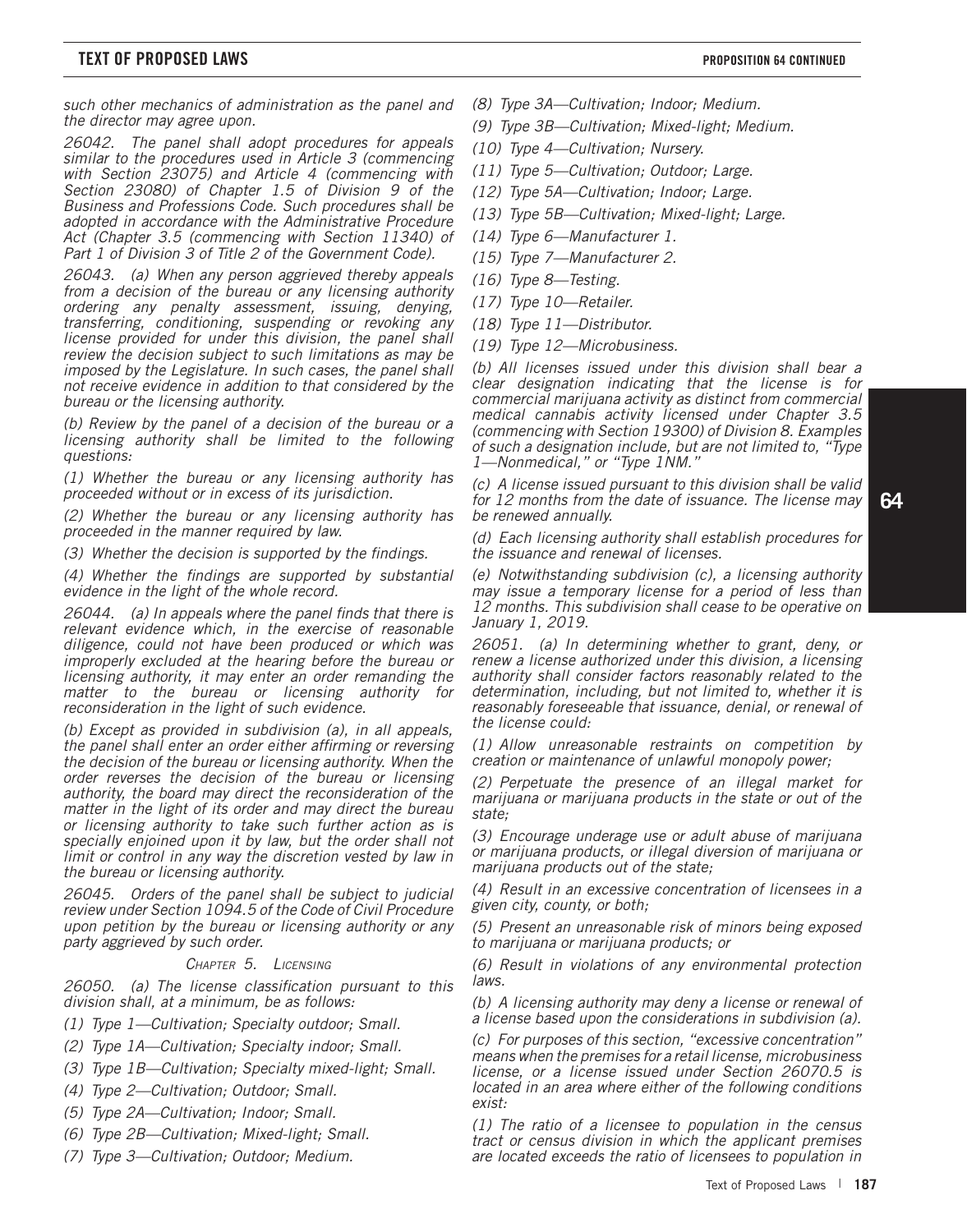**64** 

*such other mechanics of administration as the panel and the director may agree upon.* 

*26042. The panel shall adopt procedures for appeals similar to the procedures used in Article 3 (commencing with Section 23075) and Article 4 (commencing with Section 23080) of Chapter 1.5 of Division 9 of the Business and Professions Code. Such procedures shall be adopted in accordance with the Administrative Procedure Act (Chapter 3.5 (commencing with Section 11340) of Part 1 of Division 3 of Title 2 of the Government Code).* 

*26043. (a) When any person aggrieved thereby appeals from a decision of the bureau or any licensing authority ordering any penalty assessment, issuing, denying, transferring, conditioning, suspending or revoking any license provided for under this division, the panel shall review the decision subject to such limitations as may be imposed by the Legislature. In such cases, the panel shall not receive evidence in addition to that considered by the bureau or the licensing authority.* 

*(b) Review by the panel of a decision of the bureau or a licensing authority shall be limited to the following questions:* 

*(1) Whether the bureau or any licensing authority has proceeded without or in excess of its jurisdiction.* 

*(2) Whether the bureau or any licensing authority has proceeded in the manner required by law.* 

*(3) Whether the decision is supported by the findings.* 

*(4) Whether the findings are supported by substantial evidence in the light of the whole record.* 

*26044. (a) In appeals where the panel finds that there is relevant evidence which, in the exercise of reasonable diligence, could not have been produced or which was improperly excluded at the hearing before the bureau or licensing authority, it may enter an order remanding the matter to the bureau or licensing authority for reconsideration in the light of such evidence.* 

*(b) Except as provided in subdivision (a), in all appeals, the panel shall enter an order either affirming or reversing the decision of the bureau or licensing authority. When the order reverses the decision of the bureau or licensing authority, the board may direct the reconsideration of the matter in the light of its order and may direct the bureau or licensing authority to take such further action as is specially enjoined upon it by law, but the order shall not limit or control in any way the discretion vested by law in the bureau or licensing authority.* 

*26045. Orders of the panel shall be subject to judicial review under Section 1094.5 of the Code of Civil Procedure upon petition by the bureau or licensing authority or any party aggrieved by such order.* 

#### *Chapter 5. liCensinG*

*26050. (a) The license classification pursuant to this division shall, at a minimum, be as follows:* 

- *(1) Type 1—Cultivation; Specialty outdoor; Small.*
- *(2) Type 1A—Cultivation; Specialty indoor; Small.*
- *(3) Type 1B—Cultivation; Specialty mixed-light; Small.*
- *(4) Type 2—Cultivation; Outdoor; Small.*
- *(5) Type 2A—Cultivation; Indoor; Small.*
- *(6) Type 2B—Cultivation; Mixed-light; Small.*
- *(7) Type 3—Cultivation; Outdoor; Medium.*
- *(8) Type 3A—Cultivation; Indoor; Medium.*
- *(9) Type 3B—Cultivation; Mixed-light; Medium.*
- *(10) Type 4—Cultivation; Nursery.*
- *(11) Type 5—Cultivation; Outdoor; Large.*
- *(12) Type 5A—Cultivation; Indoor; Large.* 
	- *(13) Type 5B—Cultivation; Mixed-light; Large.*
	- *(14) Type 6—Manufacturer 1.*
	- *(15) Type 7—Manufacturer 2.*
	- *(16) Type 8—Testing.*
	- *(17) Type 10—Retailer.*
	- *(18) Type 11—Distributor.*
	- *(19) Type 12—Microbusiness.*

*(b) All licenses issued under this division shall bear a clear designation indicating that the license is for commercial marijuana activity as distinct from commercial medical cannabis activity licensed under Chapter 3.5 (commencing with Section 19300) of Division 8. Examples of such a designation include, but are not limited to, "Type 1—Nonmedical," or "Type 1NM."* 

*(c) A license issued pursuant to this division shall be valid for 12 months from the date of issuance. The license may be renewed annually.* 

*(d) Each licensing authority shall establish procedures for the issuance and renewal of licenses.* 

*(e) Notwithstanding subdivision (c), a licensing authority may issue a temporary license for a period of less than 12 months. This subdivision shall cease to be operative on January 1, 2019.* 

*26051. (a) In determining whether to grant, deny, or renew a license authorized under this division, a licensing authority shall consider factors reasonably related to the determination, including, but not limited to, whether it is reasonably foreseeable that issuance, denial, or renewal of the license could:* 

*(1) Allow unreasonable restraints on competition by creation or maintenance of unlawful monopoly power;* 

*(2) Perpetuate the presence of an illegal market for marijuana or marijuana products in the state or out of the state;* 

*(3) Encourage underage use or adult abuse of marijuana or marijuana products, or illegal diversion of marijuana or marijuana products out of the state;* 

*(4) Result in an excessive concentration of licensees in a given city, county, or both;* 

*(5) Present an unreasonable risk of minors being exposed to marijuana or marijuana products; or* 

*(6) Result in violations of any environmental protection laws.* 

*(b) A licensing authority may deny a license or renewal of a license based upon the considerations in subdivision (a).* 

*(c) For purposes of this section, "excessive concentration" means when the premises for a retail license, microbusiness license, or a license issued under Section 26070.5 is located in an area where either of the following conditions exist:* 

*(1) The ratio of a licensee to population in the census tract or census division in which the applicant premises are located exceeds the ratio of licensees to population in*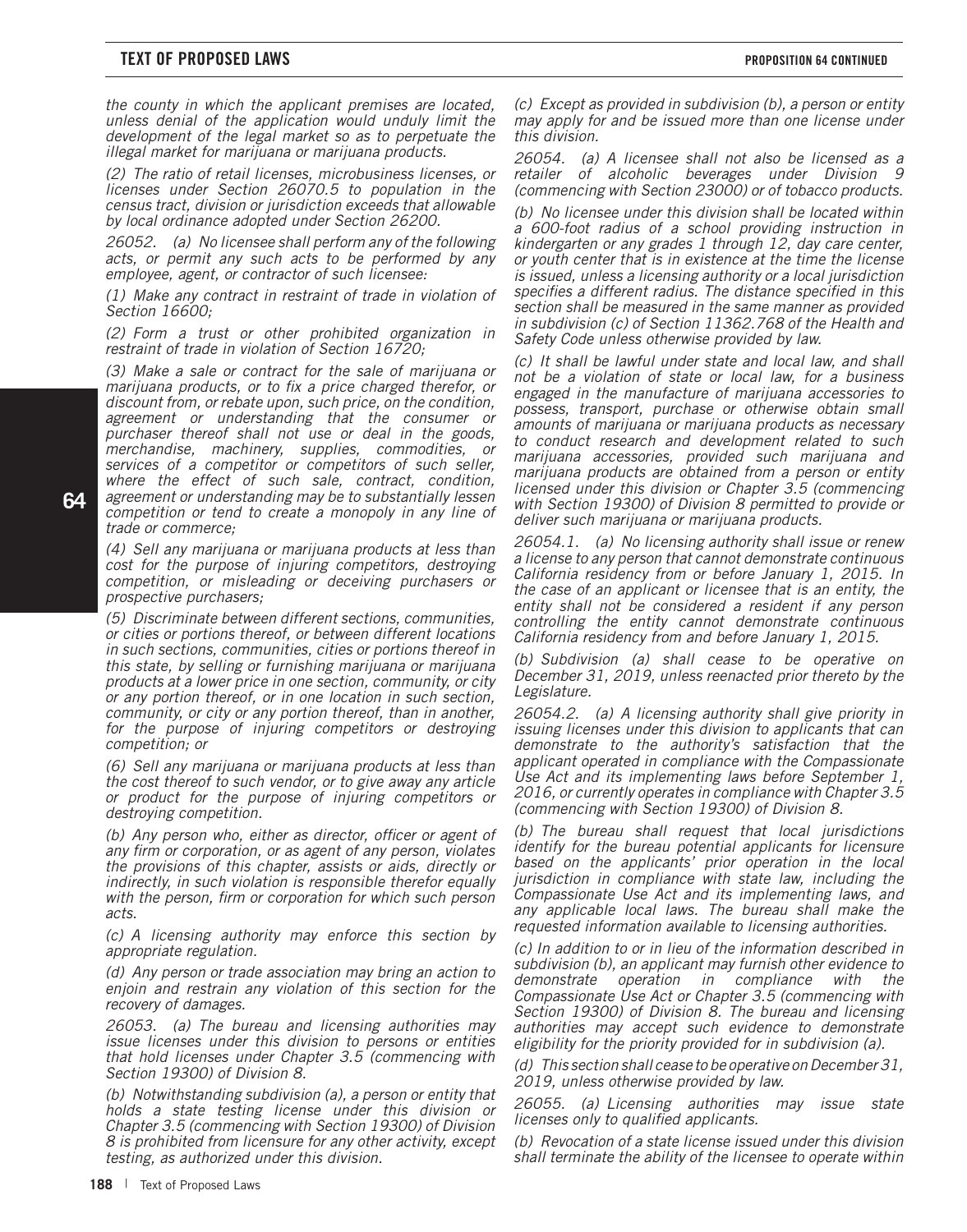**64** 

*the county in which the applicant premises are located, unless denial of the application would unduly limit the development of the legal market so as to perpetuate the illegal market for marijuana or marijuana products.* 

*(2) The ratio of retail licenses, microbusiness licenses, or licenses under Section 26070.5 to population in the census tract, division or jurisdiction exceeds that allowable by local ordinance adopted under Section 26200.* 

*26052. (a) No licensee shall perform any of the following acts, or permit any such acts to be performed by any employee, agent, or contractor of such licensee:* 

*(1) Make any contract in restraint of trade in violation of Section 16600;* 

*(2) Form a trust or other prohibited organization in restraint of trade in violation of Section 16720;* 

*(3) Make a sale or contract for the sale of marijuana or marijuana products, or to fix a price charged therefor, or discount from, or rebate upon, such price, on the condition, agreement or understanding that the consumer or purchaser thereof shall not use or deal in the goods, merchandise, machinery, supplies, commodities, or services of a competitor or competitors of such seller, where the effect of such sale, contract, condition, agreement or understanding may be to substantially lessen competition or tend to create a monopoly in any line of trade or commerce;* 

*(4) Sell any marijuana or marijuana products at less than cost for the purpose of injuring competitors, destroying competition, or misleading or deceiving purchasers or prospective purchasers;* 

*(5) Discriminate between different sections, communities, or cities or portions thereof, or between different locations in such sections, communities, cities or portions thereof in this state, by selling or furnishing marijuana or marijuana products at a lower price in one section, community, or city or any portion thereof, or in one location in such section, community, or city or any portion thereof, than in another, for the purpose of injuring competitors or destroying competition; or* 

*(6) Sell any marijuana or marijuana products at less than the cost thereof to such vendor, or to give away any article or product for the purpose of injuring competitors or destroying competition.* 

*(b) Any person who, either as director, officer or agent of any firm or corporation, or as agent of any person, violates the provisions of this chapter, assists or aids, directly or indirectly, in such violation is responsible therefor equally with the person, firm or corporation for which such person acts.* 

*(c) A licensing authority may enforce this section by appropriate regulation.* 

*(d) Any person or trade association may bring an action to enjoin and restrain any violation of this section for the recovery of damages.* 

*26053. (a) The bureau and licensing authorities may issue licenses under this division to persons or entities that hold licenses under Chapter 3.5 (commencing with Section 19300) of Division 8.* 

*(b) Notwithstanding subdivision (a), a person or entity that holds a state testing license under this division or Chapter 3.5 (commencing with Section 19300) of Division 8 is prohibited from licensure for any other activity, except testing, as authorized under this division.* 

*(c) Except as provided in subdivision (b), a person or entity may apply for and be issued more than one license under this division.* 

*26054. (a) A licensee shall not also be licensed as a retailer of alcoholic beverages under Division 9 (commencing with Section 23000) or of tobacco products.* 

*(b) No licensee under this division shall be located within a 600-foot radius of a school providing instruction in kindergarten or any grades 1 through 12, day care center, or youth center that is in existence at the time the license is issued, unless a licensing authority or a local jurisdiction specifies a different radius. The distance specified in this section shall be measured in the same manner as provided in subdivision (c) of Section 11362.768 of the Health and Safety Code unless otherwise provided by law.* 

*(c) It shall be lawful under state and local law, and shall not be a violation of state or local law, for a business engaged in the manufacture of marijuana accessories to possess, transport, purchase or otherwise obtain small amounts of marijuana or marijuana products as necessary to conduct research and development related to such marijuana accessories, provided such marijuana and marijuana products are obtained from a person or entity licensed under this division or Chapter 3.5 (commencing with Section 19300) of Division 8 permitted to provide or deliver such marijuana or marijuana products.* 

*26054.1. (a) No licensing authority shall issue or renew a license to any person that cannot demonstrate continuous California residency from or before January 1, 2015. In the case of an applicant or licensee that is an entity, the entity shall not be considered a resident if any person controlling the entity cannot demonstrate continuous California residency from and before January 1, 2015.* 

*(b) Subdivision (a) shall cease to be operative on December 31, 2019, unless reenacted prior thereto by the Legislature.* 

*26054.2. (a) A licensing authority shall give priority in issuing licenses under this division to applicants that can demonstrate to the authority's satisfaction that the applicant operated in compliance with the Compassionate Use Act and its implementing laws before September 1, 2016, or currently operates in compliance with Chapter 3.5 (commencing with Section 19300) of Division 8.* 

*(b) The bureau shall request that local jurisdictions identify for the bureau potential applicants for licensure based on the applicants' prior operation in the local jurisdiction in compliance with state law, including the Compassionate Use Act and its implementing laws, and any applicable local laws. The bureau shall make the requested information available to licensing authorities.* 

*(c) In addition to or in lieu of the information described in subdivision (b), an applicant may furnish other evidence to demonstrate operation in compliance with the Compassionate Use Act or Chapter 3.5 (commencing with Section 19300) of Division 8. The bureau and licensing authorities may accept such evidence to demonstrate eligibility for the priority provided for in subdivision (a).* 

*(d) This section shall cease to be operative on December 31, 2019, unless otherwise provided by law.* 

*26055. (a) Licensing authorities may issue state licenses only to qualified applicants.* 

*(b) Revocation of a state license issued under this division shall terminate the ability of the licensee to operate within*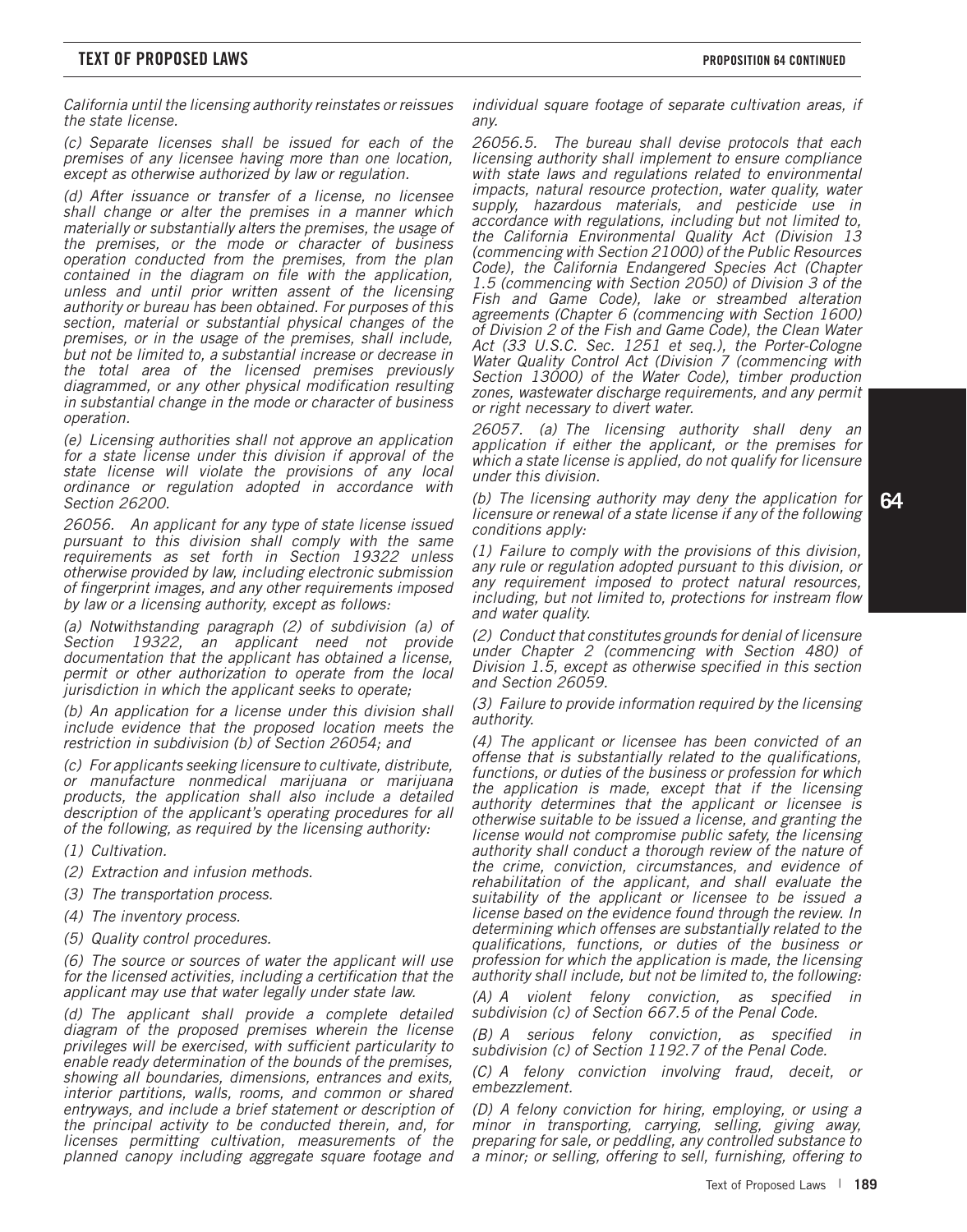*California until the licensing authority reinstates or reissues the state license.* 

*(c) Separate licenses shall be issued for each of the premises of any licensee having more than one location, except as otherwise authorized by law or regulation.* 

*(d) After issuance or transfer of a license, no licensee shall change or alter the premises in a manner which materially or substantially alters the premises, the usage of the premises, or the mode or character of business operation conducted from the premises, from the plan contained in the diagram on file with the application, unless and until prior written assent of the licensing authority or bureau has been obtained. For purposes of this section, material or substantial physical changes of the premises, or in the usage of the premises, shall include, but not be limited to, a substantial increase or decrease in the total area of the licensed premises previously diagrammed, or any other physical modification resulting in substantial change in the mode or character of business operation.* 

*(e) Licensing authorities shall not approve an application for a state license under this division if approval of the state license will violate the provisions of any local ordinance or regulation adopted in accordance with Section 26200.* 

*26056. An applicant for any type of state license issued pursuant to this division shall comply with the same requirements as set forth in Section 19322 unless otherwise provided by law, including electronic submission of fingerprint images, and any other requirements imposed by law or a licensing authority, except as follows:* 

*(a) Notwithstanding paragraph (2) of subdivision (a) of Section 19322, an applicant need not provide documentation that the applicant has obtained a license, permit or other authorization to operate from the local jurisdiction in which the applicant seeks to operate;* 

*(b) An application for a license under this division shall include evidence that the proposed location meets the restriction in subdivision (b) of Section 26054; and* 

*(c) For applicants seeking licensure to cultivate, distribute, or manufacture nonmedical marijuana or marijuana products, the application shall also include a detailed description of the applicant's operating procedures for all of the following, as required by the licensing authority:* 

- *(1) Cultivation.*
- *(2) Extraction and infusion methods.*
- *(3) The transportation process.*
- *(4) The inventory process.*
- *(5) Quality control procedures.*

*(6) The source or sources of water the applicant will use for the licensed activities, including a certification that the applicant may use that water legally under state law.* 

*(d) The applicant shall provide a complete detailed diagram of the proposed premises wherein the license privileges will be exercised, with sufficient particularity to enable ready determination of the bounds of the premises, showing all boundaries, dimensions, entrances and exits, interior partitions, walls, rooms, and common or shared entryways, and include a brief statement or description of the principal activity to be conducted therein, and, for licenses permitting cultivation, measurements of the planned canopy including aggregate square footage and* 

*individual square footage of separate cultivation areas, if any.* 

*26056.5. The bureau shall devise protocols that each licensing authority shall implement to ensure compliance with state laws and regulations related to environmental impacts, natural resource protection, water quality, water supply, hazardous materials, and pesticide use in accordance with regulations, including but not limited to, the California Environmental Quality Act (Division 13 (commencing with Section 21000) of the Public Resources Code), the California Endangered Species Act (Chapter 1.5 (commencing with Section 2050) of Division 3 of the Fish and Game Code), lake or streambed alteration agreements (Chapter 6 (commencing with Section 1600) of Division 2 of the Fish and Game Code), the Clean Water Act (33 U.S.C. Sec. 1251 et seq.), the Porter-Cologne Water Quality Control Act (Division 7 (commencing with Section 13000) of the Water Code), timber production zones, wastewater discharge requirements, and any permit or right necessary to divert water.* 

*26057. (a) The licensing authority shall deny an application if either the applicant, or the premises for which a state license is applied, do not qualify for licensure under this division.* 

*(b) The licensing authority may deny the application for licensure or renewal of a state license if any of the following conditions apply:*  **64** 

*(1) Failure to comply with the provisions of this division, any rule or regulation adopted pursuant to this division, or any requirement imposed to protect natural resources, including, but not limited to, protections for instream flow and water quality.* 

*(2) Conduct that constitutes grounds for denial of licensure under Chapter 2 (commencing with Section 480) of Division 1.5, except as otherwise specified in this section and Section 26059.* 

*(3) Failure to provide information required by the licensing authority.* 

*(4) The applicant or licensee has been convicted of an offense that is substantially related to the qualifications, functions, or duties of the business or profession for which the application is made, except that if the licensing authority determines that the applicant or licensee is otherwise suitable to be issued a license, and granting the license would not compromise public safety, the licensing authority shall conduct a thorough review of the nature of the crime, conviction, circumstances, and evidence of rehabilitation of the applicant, and shall evaluate the suitability of the applicant or licensee to be issued a license based on the evidence found through the review. In determining which offenses are substantially related to the qualifications, functions, or duties of the business or profession for which the application is made, the licensing authority shall include, but not be limited to, the following:* 

*(A) A violent felony conviction, as specified in subdivision (c) of Section 667.5 of the Penal Code.* 

*(B) A serious felony conviction, as specified in subdivision (c) of Section 1192.7 of the Penal Code.* 

*(C) A felony conviction involving fraud, deceit, or embezzlement.* 

*(D) A felony conviction for hiring, employing, or using a minor in transporting, carrying, selling, giving away, preparing for sale, or peddling, any controlled substance to a minor; or selling, offering to sell, furnishing, offering to*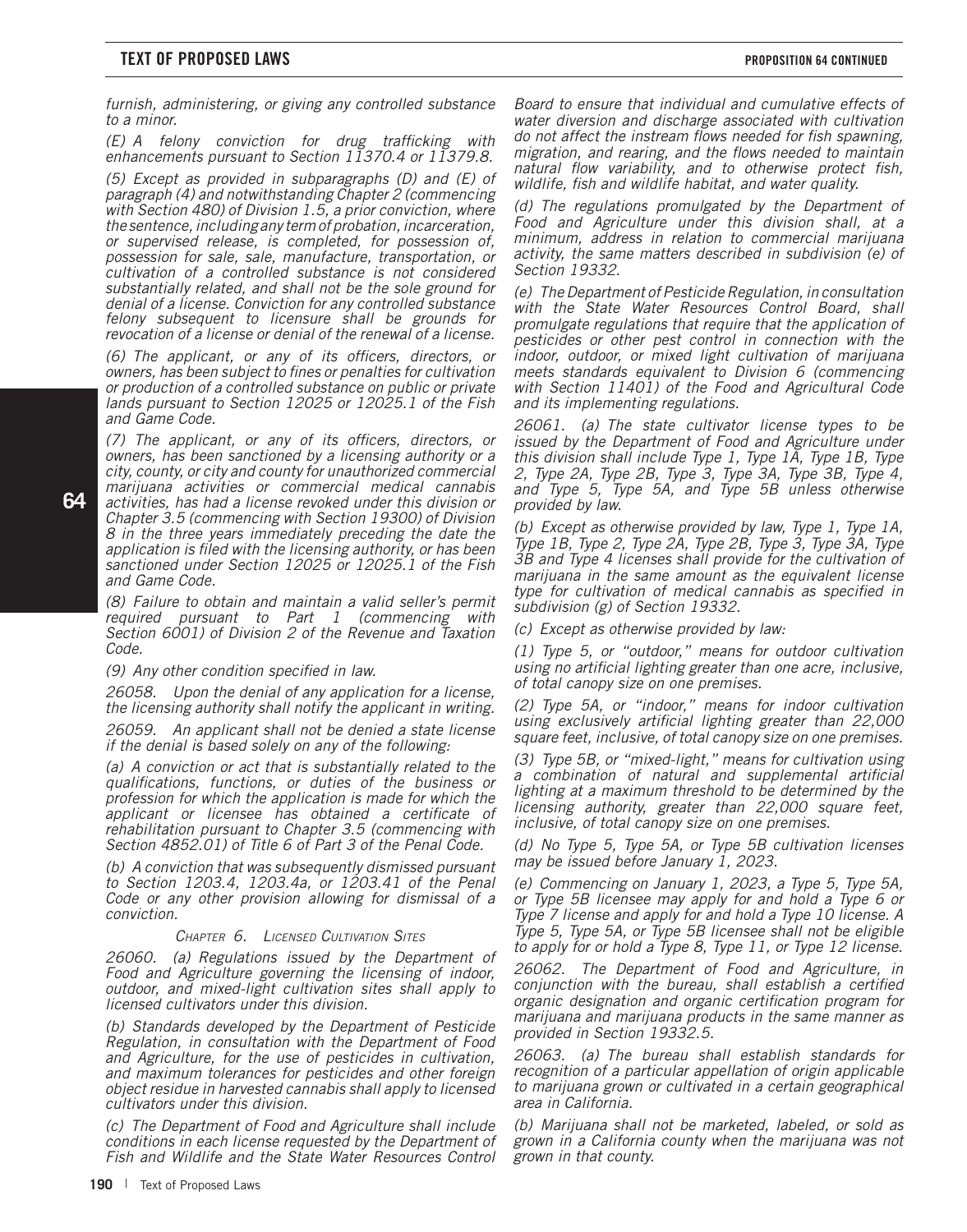*furnish, administering, or giving any controlled substance to a minor.* 

*(E) A felony conviction for drug trafficking with enhancements pursuant to Section 11370.4 or 11379.8.* 

*(5) Except as provided in subparagraphs (D) and (E) of paragraph (4) and notwithstanding Chapter 2 (commencing with Section 480) of Division 1.5, a prior conviction, where the sentence, including any term of probation, incarceration, or supervised release, is completed, for possession of, possession for sale, sale, manufacture, transportation, or cultivation of a controlled substance is not considered substantially related, and shall not be the sole ground for denial of a license. Conviction for any controlled substance felony subsequent to licensure shall be grounds for revocation of a license or denial of the renewal of a license.* 

*(6) The applicant, or any of its officers, directors, or owners, has been subject to fines or penalties for cultivation or production of a controlled substance on public or private lands pursuant to Section 12025 or 12025.1 of the Fish and Game Code.* 

*(7) The applicant, or any of its officers, directors, or owners, has been sanctioned by a licensing authority or a city, county, or city and county for unauthorized commercial marijuana activities or commercial medical cannabis activities, has had a license revoked under this division or Chapter 3.5 (commencing with Section 19300) of Division 8 in the three years immediately preceding the date the application is filed with the licensing authority, or has been sanctioned under Section 12025 or 12025.1 of the Fish and Game Code.* 

*(8) Failure to obtain and maintain a valid seller's permit required pursuant to Part 1 (commencing with Section 6001) of Division 2 of the Revenue and Taxation Code.* 

#### *(9) Any other condition specified in law.*

**64** 

*26058. Upon the denial of any application for a license, the licensing authority shall notify the applicant in writing.* 

*26059. An applicant shall not be denied a state license if the denial is based solely on any of the following:* 

*(a) A conviction or act that is substantially related to the qualifications, functions, or duties of the business or profession for which the application is made for which the applicant or licensee has obtained a certificate of rehabilitation pursuant to Chapter 3.5 (commencing with Section 4852.01) of Title 6 of Part 3 of the Penal Code.* 

*(b) A conviction that was subsequently dismissed pursuant to Section 1203.4, 1203.4a, or 1203.41 of the Penal Code or any other provision allowing for dismissal of a conviction.* 

#### *Chapter 6. liCensed Cultivation sites*

*26060. (a) Regulations issued by the Department of Food and Agriculture governing the licensing of indoor, outdoor, and mixed-light cultivation sites shall apply to licensed cultivators under this division.* 

*(b) Standards developed by the Department of Pesticide Regulation, in consultation with the Department of Food and Agriculture, for the use of pesticides in cultivation, and maximum tolerances for pesticides and other foreign object residue in harvested cannabis shall apply to licensed cultivators under this division.* 

*(c) The Department of Food and Agriculture shall include conditions in each license requested by the Department of Fish and Wildlife and the State Water Resources Control*  *Board to ensure that individual and cumulative effects of water diversion and discharge associated with cultivation do not affect the instream flows needed for fish spawning, migration, and rearing, and the flows needed to maintain natural flow variability, and to otherwise protect fish, wildlife, fish and wildlife habitat, and water quality.* 

*(d) The regulations promulgated by the Department of Food and Agriculture under this division shall, at a minimum, address in relation to commercial marijuana activity, the same matters described in subdivision (e) of Section 19332.* 

*(e) The Department of Pesticide Regulation, in consultation with the State Water Resources Control Board, shall promulgate regulations that require that the application of pesticides or other pest control in connection with the indoor, outdoor, or mixed light cultivation of marijuana meets standards equivalent to Division 6 (commencing with Section 11401) of the Food and Agricultural Code and its implementing regulations.* 

*26061. (a) The state cultivator license types to be issued by the Department of Food and Agriculture under this division shall include Type 1, Type 1A, Type 1B, Type 2, Type 2A, Type 2B, Type 3, Type 3A, Type 3B, Type 4, and Type 5, Type 5A, and Type 5B unless otherwise provided by law.* 

*(b) Except as otherwise provided by law, Type 1, Type 1A, Type 1B, Type 2, Type 2A, Type 2B, Type 3, Type 3A, Type 3B and Type 4 licenses shall provide for the cultivation of marijuana in the same amount as the equivalent license type for cultivation of medical cannabis as specified in subdivision (g) of Section 19332.* 

*(c) Except as otherwise provided by law:* 

*(1) Type 5, or "outdoor," means for outdoor cultivation using no artificial lighting greater than one acre, inclusive, of total canopy size on one premises.* 

*(2) Type 5A, or "indoor," means for indoor cultivation using exclusively artificial lighting greater than 22,000 square feet, inclusive, of total canopy size on one premises.* 

*(3) Type 5B, or "mixed-light," means for cultivation using a combination of natural and supplemental artificial lighting at a maximum threshold to be determined by the licensing authority, greater than 22,000 square feet, inclusive, of total canopy size on one premises.* 

*(d) No Type 5, Type 5A, or Type 5B cultivation licenses may be issued before January 1, 2023.* 

*(e) Commencing on January 1, 2023, a Type 5, Type 5A, or Type 5B licensee may apply for and hold a Type 6 or Type 7 license and apply for and hold a Type 10 license. A Type 5, Type 5A, or Type 5B licensee shall not be eligible to apply for or hold a Type 8, Type 11, or Type 12 license.* 

*26062. The Department of Food and Agriculture, in conjunction with the bureau, shall establish a certified organic designation and organic certification program for marijuana and marijuana products in the same manner as provided in Section 19332.5.* 

*26063. (a) The bureau shall establish standards for recognition of a particular appellation of origin applicable to marijuana grown or cultivated in a certain geographical area in California.* 

*(b) Marijuana shall not be marketed, labeled, or sold as grown in a California county when the marijuana was not grown in that county.*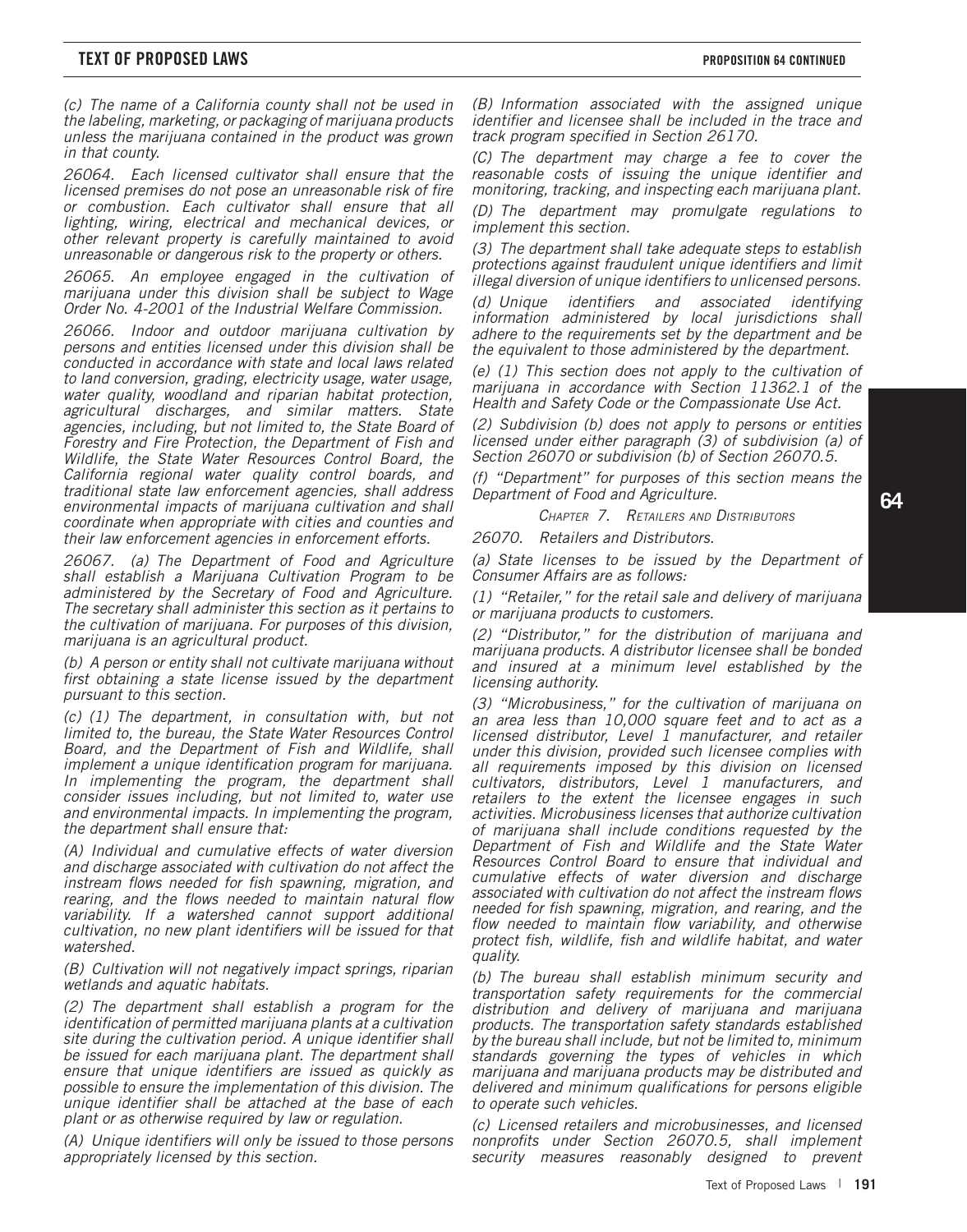**64** 

*(c) The name of a California county shall not be used in the labeling, marketing, or packaging of marijuana products unless the marijuana contained in the product was grown in that county.* 

*26064. Each licensed cultivator shall ensure that the licensed premises do not pose an unreasonable risk of fire or combustion. Each cultivator shall ensure that all lighting, wiring, electrical and mechanical devices, or other relevant property is carefully maintained to avoid unreasonable or dangerous risk to the property or others.* 

*26065. An employee engaged in the cultivation of marijuana under this division shall be subject to Wage Order No. 4-2001 of the Industrial Welfare Commission.* 

*26066. Indoor and outdoor marijuana cultivation by persons and entities licensed under this division shall be conducted in accordance with state and local laws related to land conversion, grading, electricity usage, water usage, water quality, woodland and riparian habitat protection, agricultural discharges, and similar matters. State agencies, including, but not limited to, the State Board of Forestry and Fire Protection, the Department of Fish and Wildlife, the State Water Resources Control Board, the California regional water quality control boards, and traditional state law enforcement agencies, shall address environmental impacts of marijuana cultivation and shall coordinate when appropriate with cities and counties and their law enforcement agencies in enforcement efforts.* 

*26067. (a) The Department of Food and Agriculture shall establish a Marijuana Cultivation Program to be administered by the Secretary of Food and Agriculture. The secretary shall administer this section as it pertains to the cultivation of marijuana. For purposes of this division, marijuana is an agricultural product.* 

*(b) A person or entity shall not cultivate marijuana without first obtaining a state license issued by the department pursuant to this section.* 

*(c) (1) The department, in consultation with, but not limited to, the bureau, the State Water Resources Control Board, and the Department of Fish and Wildlife, shall implement a unique identification program for marijuana. In implementing the program, the department shall consider issues including, but not limited to, water use and environmental impacts. In implementing the program, the department shall ensure that:* 

*(A) Individual and cumulative effects of water diversion and discharge associated with cultivation do not affect the instream flows needed for fish spawning, migration, and rearing, and the flows needed to maintain natural flow variability. If a watershed cannot support additional cultivation, no new plant identifiers will be issued for that watershed.* 

*(B) Cultivation will not negatively impact springs, riparian wetlands and aquatic habitats.* 

*(2) The department shall establish a program for the identification of permitted marijuana plants at a cultivation site during the cultivation period. A unique identifier shall be issued for each marijuana plant. The department shall ensure that unique identifiers are issued as quickly as possible to ensure the implementation of this division. The unique identifier shall be attached at the base of each plant or as otherwise required by law or regulation.* 

*(A) Unique identifiers will only be issued to those persons appropriately licensed by this section.* 

*(B) Information associated with the assigned unique identifier and licensee shall be included in the trace and track program specified in Section 26170.* 

*(C) The department may charge a fee to cover the reasonable costs of issuing the unique identifier and monitoring, tracking, and inspecting each marijuana plant.* 

*(D) The department may promulgate regulations to implement this section.* 

*(3) The department shall take adequate steps to establish protections against fraudulent unique identifiers and limit illegal diversion of unique identifiers to unlicensed persons.* 

*(d) Unique identifiers and associated identifying information administered by local jurisdictions shall adhere to the requirements set by the department and be the equivalent to those administered by the department.* 

*(e) (1) This section does not apply to the cultivation of marijuana in accordance with Section 11362.1 of the Health and Safety Code or the Compassionate Use Act.* 

*(2) Subdivision (b) does not apply to persons or entities licensed under either paragraph (3) of subdivision (a) of Section 26070 or subdivision (b) of Section 26070.5.* 

*(f) "Department" for purposes of this section means the Department of Food and Agriculture.* 

*Chapter 7. retailers and distributors* 

*26070. Retailers and Distributors.* 

*(a) State licenses to be issued by the Department of Consumer Affairs are as follows:* 

*(1) "Retailer," for the retail sale and delivery of marijuana or marijuana products to customers.* 

*(2) "Distributor," for the distribution of marijuana and marijuana products. A distributor licensee shall be bonded and insured at a minimum level established by the licensing authority.* 

*(3) "Microbusiness," for the cultivation of marijuana on an area less than 10,000 square feet and to act as a licensed distributor, Level 1 manufacturer, and retailer under this division, provided such licensee complies with all requirements imposed by this division on licensed cultivators, distributors, Level 1 manufacturers, and retailers to the extent the licensee engages in such activities. Microbusiness licenses that authorize cultivation of marijuana shall include conditions requested by the Department of Fish and Wildlife and the State Water Resources Control Board to ensure that individual and cumulative effects of water diversion and discharge associated with cultivation do not affect the instream flows needed for fish spawning, migration, and rearing, and the flow needed to maintain flow variability, and otherwise protect fish, wildlife, fish and wildlife habitat, and water quality.* 

*(b) The bureau shall establish minimum security and transportation safety requirements for the commercial distribution and delivery of marijuana and marijuana products. The transportation safety standards established by the bureau shall include, but not be limited to, minimum standards governing the types of vehicles in which marijuana and marijuana products may be distributed and delivered and minimum qualifications for persons eligible to operate such vehicles.* 

*(c) Licensed retailers and microbusinesses, and licensed nonprofits under Section 26070.5, shall implement security measures reasonably designed to prevent*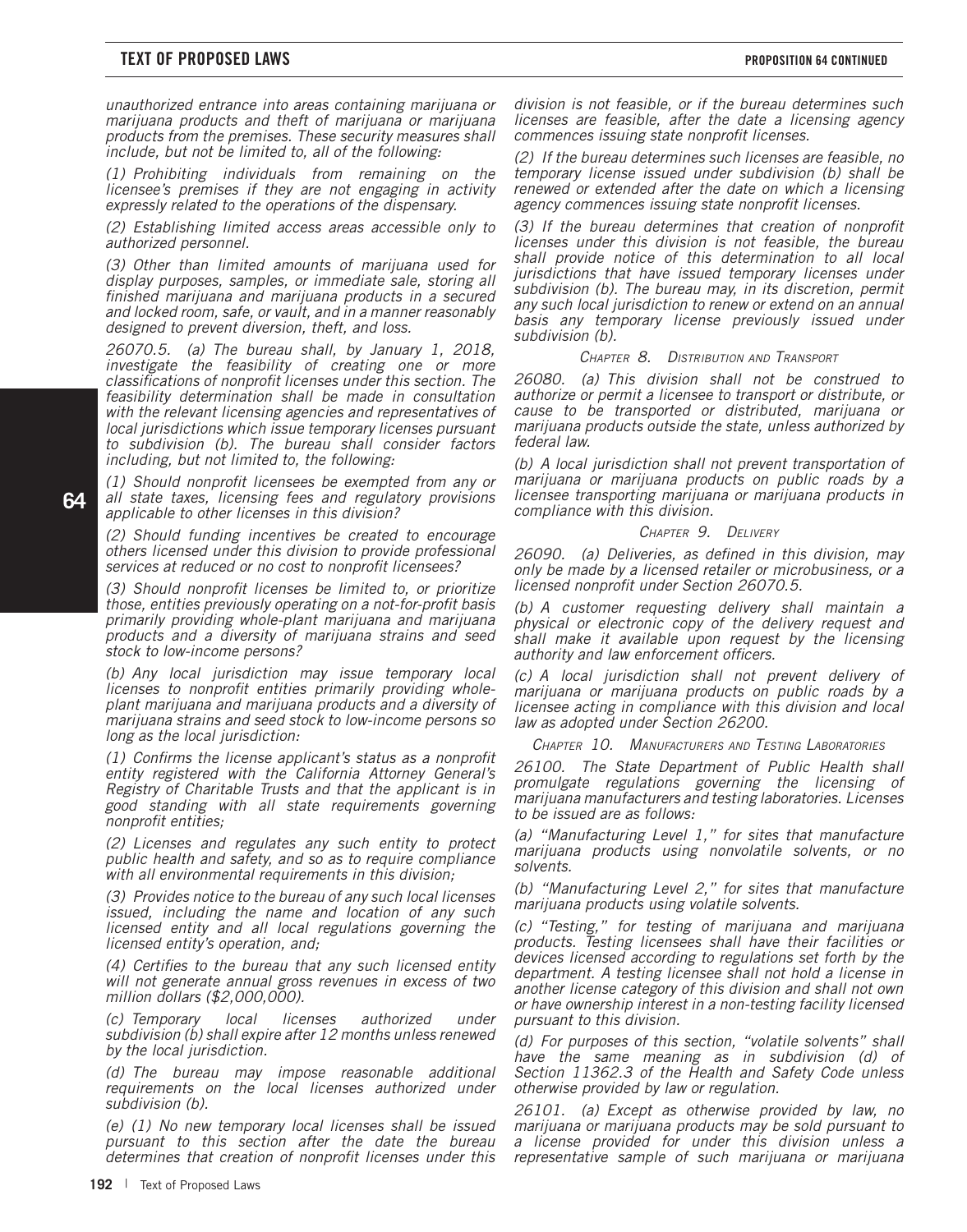**64** 

*unauthorized entrance into areas containing marijuana or marijuana products and theft of marijuana or marijuana products from the premises. These security measures shall include, but not be limited to, all of the following:* 

*(1) Prohibiting individuals from remaining on the licensee's premises if they are not engaging in activity expressly related to the operations of the dispensary.* 

*(2) Establishing limited access areas accessible only to authorized personnel.* 

*(3) Other than limited amounts of marijuana used for display purposes, samples, or immediate sale, storing all finished marijuana and marijuana products in a secured and locked room, safe, or vault, and in a manner reasonably designed to prevent diversion, theft, and loss.* 

*26070.5. (a) The bureau shall, by January 1, 2018, investigate the feasibility of creating one or more classifications of nonprofit licenses under this section. The feasibility determination shall be made in consultation with the relevant licensing agencies and representatives of local jurisdictions which issue temporary licenses pursuant to subdivision (b). The bureau shall consider factors including, but not limited to, the following:* 

*(1) Should nonprofit licensees be exempted from any or all state taxes, licensing fees and regulatory provisions applicable to other licenses in this division?* 

*(2) Should funding incentives be created to encourage others licensed under this division to provide professional 26090. (a) Deliveries, as defined in this division, may services at reduced or no cost to nonprofit licensees?* 

*(3) Should nonprofit licenses be limited to, or prioritize those, entities previously operating on a not-for-profit basis primarily providing whole-plant marijuana and marijuana products and a diversity of marijuana strains and seed stock to low-income persons?* 

*(b) Any local jurisdiction may issue temporary local licenses to nonprofit entities primarily providing wholeplant marijuana and marijuana products and a diversity of marijuana strains and seed stock to low-income persons so long as the local jurisdiction:* 

*(1) Confirms the license applicant's status as a nonprofit entity registered with the California Attorney General's Registry of Charitable Trusts and that the applicant is in good standing with all state requirements governing nonprofit entities;* 

*(2) Licenses and regulates any such entity to protect public health and safety, and so as to require compliance with all environmental requirements in this division;* 

*(3) Provides notice to the bureau of any such local licenses issued, including the name and location of any such licensed entity and all local regulations governing the licensed entity's operation, and;* 

*(4) Certifies to the bureau that any such licensed entity will not generate annual gross revenues in excess of two million dollars (\$2,000,000).* 

*(c) Temporary local licenses authorized under subdivision (b) shall expire after 12 months unless renewed by the local jurisdiction.* 

*(d) The bureau may impose reasonable additional requirements on the local licenses authorized under subdivision (b).* 

*(e) (1) No new temporary local licenses shall be issued pursuant to this section after the date the bureau determines that creation of nonprofit licenses under this*  *division is not feasible, or if the bureau determines such licenses are feasible, after the date a licensing agency commences issuing state nonprofit licenses.* 

*(2) If the bureau determines such licenses are feasible, no temporary license issued under subdivision (b) shall be renewed or extended after the date on which a licensing agency commences issuing state nonprofit licenses.* 

*(3) If the bureau determines that creation of nonprofit licenses under this division is not feasible, the bureau shall provide notice of this determination to all local jurisdictions that have issued temporary licenses under subdivision (b). The bureau may, in its discretion, permit any such local jurisdiction to renew or extend on an annual basis any temporary license previously issued under subdivision (b).* 

#### *Chapter 8. distribution and transport*

*26080. (a) This division shall not be construed to authorize or permit a licensee to transport or distribute, or cause to be transported or distributed, marijuana or marijuana products outside the state, unless authorized by federal law.* 

*(b) A local jurisdiction shall not prevent transportation of marijuana or marijuana products on public roads by a licensee transporting marijuana or marijuana products in compliance with this division.* 

#### *Chapter 9. delivery*

*only be made by a licensed retailer or microbusiness, or a licensed nonprofit under Section 26070.5.* 

*(b) A customer requesting delivery shall maintain a physical or electronic copy of the delivery request and shall make it available upon request by the licensing authority and law enforcement officers.* 

*(c) A local jurisdiction shall not prevent delivery of marijuana or marijuana products on public roads by a licensee acting in compliance with this division and local law as adopted under Section 26200.* 

*Chapter 10. manufaCturers and testinG laboratories* 

*26100. The State Department of Public Health shall promulgate regulations governing the licensing of marijuana manufacturers and testing laboratories. Licenses to be issued are as follows:* 

*(a) "Manufacturing Level 1," for sites that manufacture marijuana products using nonvolatile solvents, or no solvents.* 

*(b) "Manufacturing Level 2," for sites that manufacture marijuana products using volatile solvents.* 

*(c) "Testing," for testing of marijuana and marijuana products. Testing licensees shall have their facilities or devices licensed according to regulations set forth by the department. A testing licensee shall not hold a license in another license category of this division and shall not own or have ownership interest in a non-testing facility licensed pursuant to this division.* 

*(d) For purposes of this section, "volatile solvents" shall have the same meaning as in subdivision (d) of Section 11362.3 of the Health and Safety Code unless otherwise provided by law or regulation.* 

*26101. (a) Except as otherwise provided by law, no marijuana or marijuana products may be sold pursuant to a license provided for under this division unless a representative sample of such marijuana or marijuana*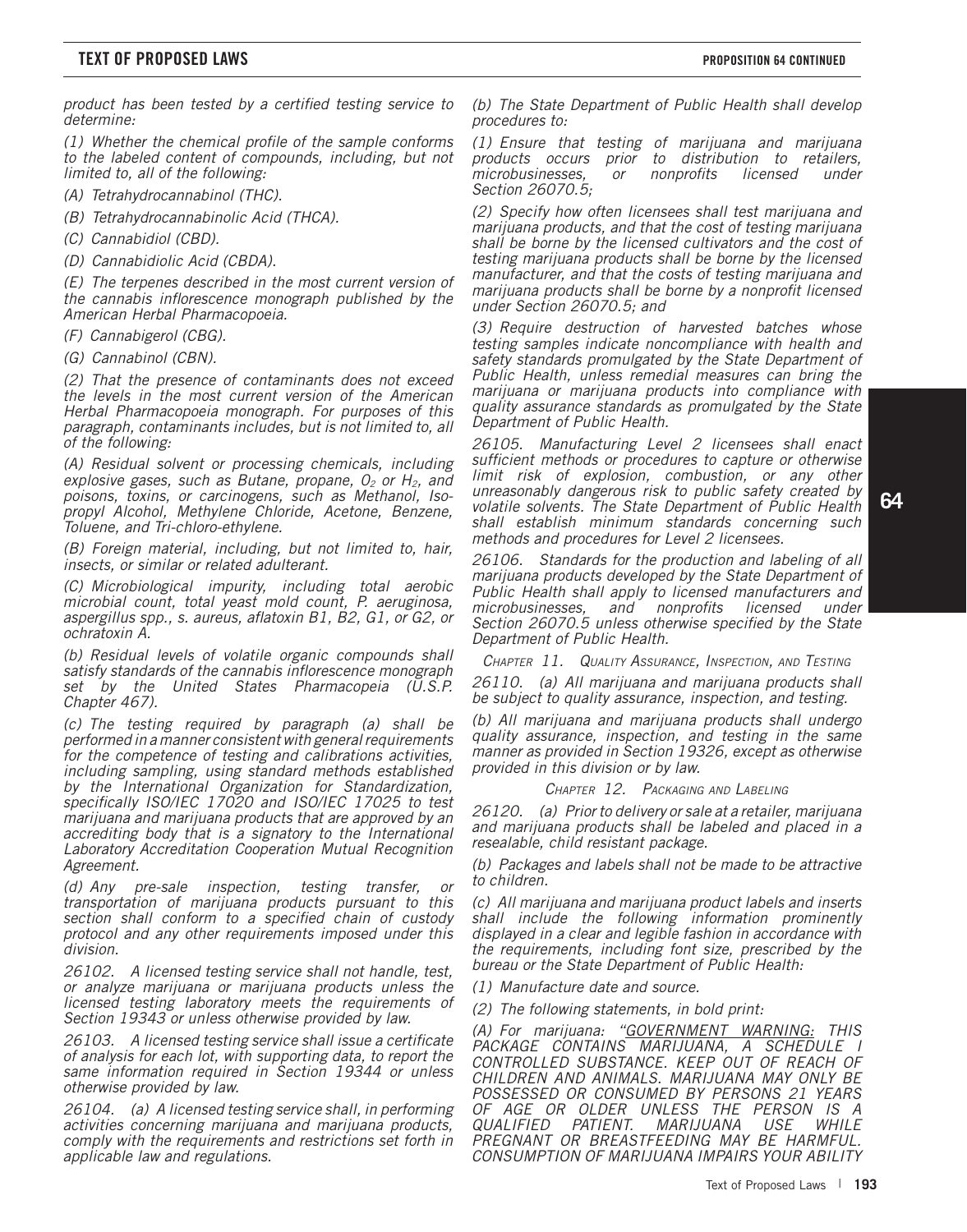**64** 

*product has been tested by a certified testing service to determine:* 

*(1) Whether the chemical profile of the sample conforms to the labeled content of compounds, including, but not limited to, all of the following:* 

*(A) Tetrahydrocannabinol (THC).* 

*(B) Tetrahydrocannabinolic Acid (THCA).* 

*(C) Cannabidiol (CBD).* 

*(D) Cannabidiolic Acid (CBDA).* 

*(E) The terpenes described in the most current version of the cannabis inflorescence monograph published by the American Herbal Pharmacopoeia.* 

*(F) Cannabigerol (CBG).* 

*(G) Cannabinol (CBN).* 

*(2) That the presence of contaminants does not exceed the levels in the most current version of the American Herbal Pharmacopoeia monograph. For purposes of this paragraph, contaminants includes, but is not limited to, all of the following:* 

*(A) Residual solvent or processing chemicals, including*  explosive gases, such as Butane, propane,  $O_2$  or H<sub>2</sub>, and *poisons, toxins, or carcinogens, such as Methanol, Isopropyl Alcohol, Methylene Chloride, Acetone, Benzene, Toluene, and Tri-chloro-ethylene.* 

*(B) Foreign material, including, but not limited to, hair, insects, or similar or related adulterant.* 

*(C) Microbiological impurity, including total aerobic microbial count, total yeast mold count, P. aeruginosa, aspergillus spp., s. aureus, aflatoxin B1, B2, G1, or G2, or ochratoxin A.* 

*(b) Residual levels of volatile organic compounds shall satisfy standards of the cannabis inflorescence monograph set by the United States Pharmacopeia (U.S.P. Chapter 467).* 

*(c) The testing required by paragraph (a) shall be performed in a manner consistent with general requirements for the competence of testing and calibrations activities, including sampling, using standard methods established by the International Organization for Standardization, specifically ISO/IEC 17020 and ISO/IEC 17025 to test marijuana and marijuana products that are approved by an accrediting body that is a signatory to the International Laboratory Accreditation Cooperation Mutual Recognition Agreement.* 

*(d) Any pre-sale inspection, testing transfer, or transportation of marijuana products pursuant to this section shall conform to a specified chain of custody protocol and any other requirements imposed under this division.* 

*26102. A licensed testing service shall not handle, test, or analyze marijuana or marijuana products unless the licensed testing laboratory meets the requirements of Section 19343 or unless otherwise provided by law.* 

*26103. A licensed testing service shall issue a certificate of analysis for each lot, with supporting data, to report the same information required in Section 19344 or unless otherwise provided by law.* 

*26104. (a) A licensed testing service shall, in performing activities concerning marijuana and marijuana products, comply with the requirements and restrictions set forth in applicable law and regulations.* 

*(b) The State Department of Public Health shall develop procedures to:* 

*(1) Ensure that testing of marijuana and marijuana products occurs prior to distribution to retailers, microbusinesses, or nonprofits licensed under Section 26070.5;* 

*(2) Specify how often licensees shall test marijuana and marijuana products, and that the cost of testing marijuana shall be borne by the licensed cultivators and the cost of testing marijuana products shall be borne by the licensed manufacturer, and that the costs of testing marijuana and marijuana products shall be borne by a nonprofit licensed under Section 26070.5; and* 

*(3) Require destruction of harvested batches whose testing samples indicate noncompliance with health and safety standards promulgated by the State Department of Public Health, unless remedial measures can bring the marijuana or marijuana products into compliance with quality assurance standards as promulgated by the State Department of Public Health.* 

*26105. Manufacturing Level 2 licensees shall enact sufficient methods or procedures to capture or otherwise limit risk of explosion, combustion, or any other unreasonably dangerous risk to public safety created by volatile solvents. The State Department of Public Health shall establish minimum standards concerning such methods and procedures for Level 2 licensees.* 

*26106. Standards for the production and labeling of all marijuana products developed by the State Department of Public Health shall apply to licensed manufacturers and microbusinesses, and nonprofits licensed under Section 26070.5 unless otherwise specified by the State Department of Public Health.* 

*Chapter 11. Quality assuranCe, inspeCtion, and testinG* 

*26110. (a) All marijuana and marijuana products shall be subject to quality assurance, inspection, and testing.* 

*(b) All marijuana and marijuana products shall undergo quality assurance, inspection, and testing in the same manner as provided in Section 19326, except as otherwise provided in this division or by law.* 

*Chapter 12. paCKaGinG and labelinG* 

*26120. (a) Prior to delivery or sale at a retailer, marijuana and marijuana products shall be labeled and placed in a resealable, child resistant package.* 

*(b) Packages and labels shall not be made to be attractive to children.* 

*(c) All marijuana and marijuana product labels and inserts shall include the following information prominently displayed in a clear and legible fashion in accordance with the requirements, including font size, prescribed by the bureau or the State Department of Public Health:* 

*(1) Manufacture date and source.* 

*(2) The following statements, in bold print:* 

*(A) For marijuana: "GOVERNMENT WARNING: THIS PACKAGE CONTAINS MARIJUANA, A SCHEDULE CONTROLLED SUBSTANCE. KEEP OUT OF REACH OF CHILDREN AND ANIMALS. MARIJUANA MAY ONLY BE POSSESSED OR CONSUMED BY PERSONS 21 YEARS OF AGE OR OLDER UNLESS THE PERSON IS A QUALIFIED PATIENT. MARIJUANA USE WHILE PREGNANT OR BREASTFEEDING MAY BE HARMFUL. CONSUMPTION OF MARIJUANA IMPAIRS YOUR ABILITY*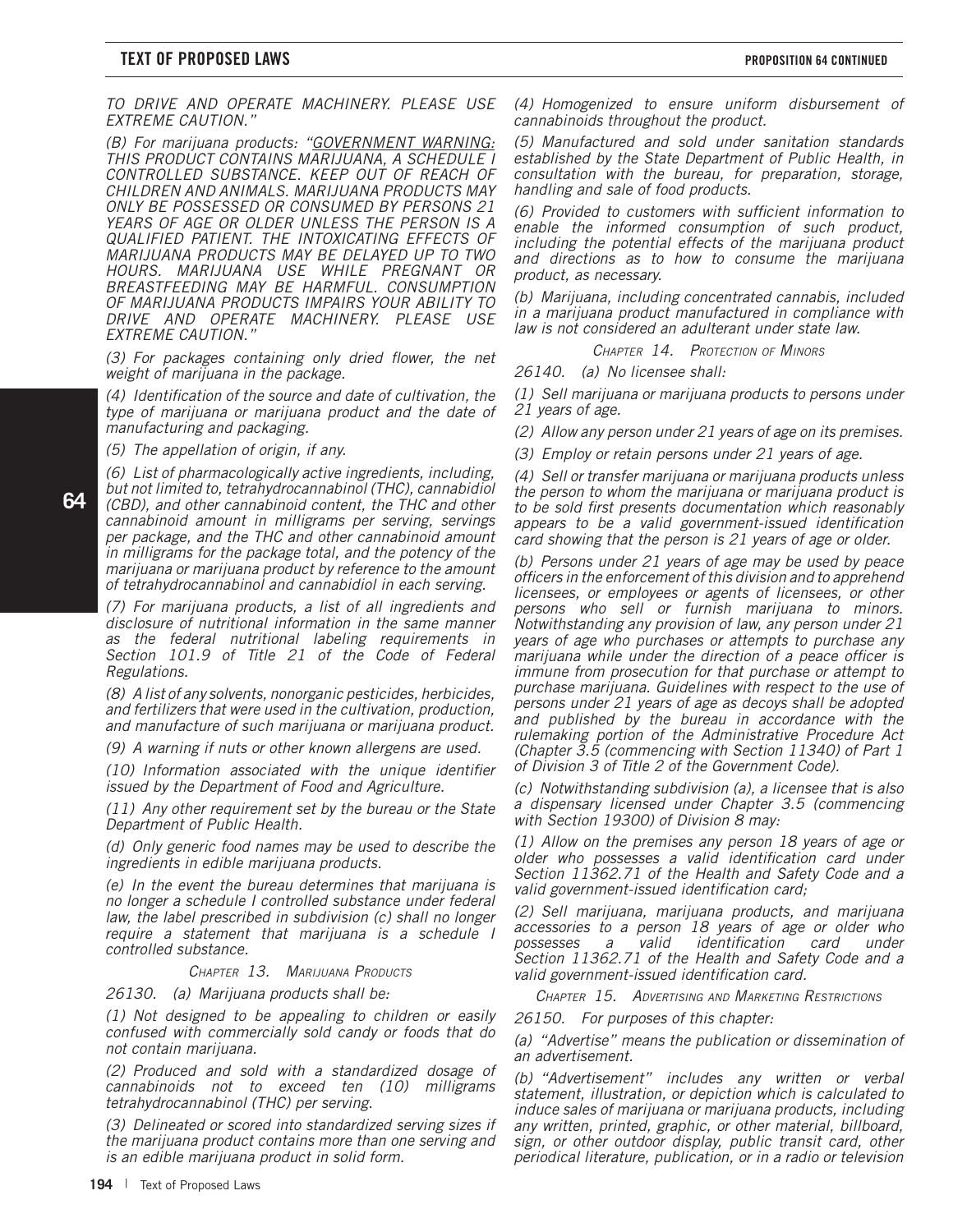*TO DRIVE AND OPERATE MACHINERY. PLEASE USE EXTREME CAUTION."* 

*(B) For marijuana products: "GOVERNMENT WARNING: THIS PRODUCT CONTAINS MARIJUANA, A SCHEDULE I CONTROLLED SUBSTANCE. KEEP OUT OF REACH OF CHILDREN AND ANIMALS. MARIJUANA PRODUCTS MAY ONLY BE POSSESSED OR CONSUMED BY PERSONS 21 YEARS OF AGE OR OLDER UNLESS THE PERSON IS A QUALIFIED PATIENT. THE INTOXICATING EFFECTS OF MARIJUANA PRODUCTS MAY BE DELAYED UP TO TWO HOURS. MARIJUANA USE WHILE PREGNANT OR BREASTFEEDING MAY BE HARMFUL. CONSUMPTION OF MARIJUANA PRODUCTS IMPAIRS YOUR ABILITY TO DRIVE AND OPERATE MACHINERY. PLEASE USE EXTREME CAUTION."* 

*(3) For packages containing only dried flower, the net weight of marijuana in the package.* 

*(4) Identification of the source and date of cultivation, the type of marijuana or marijuana product and the date of manufacturing and packaging.* 

*(5) The appellation of origin, if any.* 

**64** 

*(6) List of pharmacologically active ingredients, including, but not limited to, tetrahydrocannabinol (THC), cannabidiol (CBD), and other cannabinoid content, the THC and other cannabinoid amount in milligrams per serving, servings per package, and the THC and other cannabinoid amount in milligrams for the package total, and the potency of the marijuana or marijuana product by reference to the amount of tetrahydrocannabinol and cannabidiol in each serving.* 

*(7) For marijuana products, a list of all ingredients and disclosure of nutritional information in the same manner as the federal nutritional labeling requirements in Section 101.9 of Title 21 of the Code of Federal Regulations.* 

*(8) A list of any solvents, nonorganic pesticides, herbicides, and fertilizers that were used in the cultivation, production, and manufacture of such marijuana or marijuana product.* 

*(9) A warning if nuts or other known allergens are used.* 

*(10) Information associated with the unique identifier issued by the Department of Food and Agriculture.* 

*(11) Any other requirement set by the bureau or the State Department of Public Health.* 

*(d) Only generic food names may be used to describe the ingredients in edible marijuana products.* 

*(e) In the event the bureau determines that marijuana is no longer a schedule I controlled substance under federal law, the label prescribed in subdivision (c) shall no longer require a statement that marijuana is a schedule I controlled substance.* 

### *Chapter 13. marijuana produCts*

*26130. (a) Marijuana products shall be:* 

*(1) Not designed to be appealing to children or easily confused with commercially sold candy or foods that do not contain marijuana.* 

*(2) Produced and sold with a standardized dosage of cannabinoids not to exceed ten (10) milligrams tetrahydrocannabinol (THC) per serving.* 

*(3) Delineated or scored into standardized serving sizes if the marijuana product contains more than one serving and is an edible marijuana product in solid form.* 

*(4) Homogenized to ensure uniform disbursement of cannabinoids throughout the product.* 

*(5) Manufactured and sold under sanitation standards established by the State Department of Public Health, in consultation with the bureau, for preparation, storage, handling and sale of food products.* 

*(6) Provided to customers with sufficient information to enable the informed consumption of such product, including the potential effects of the marijuana product and directions as to how to consume the marijuana product, as necessary.* 

*(b) Marijuana, including concentrated cannabis, included in a marijuana product manufactured in compliance with law is not considered an adulterant under state law.* 

*Chapter 14. proteCtion of minors* 

*26140. (a) No licensee shall:* 

*(1) Sell marijuana or marijuana products to persons under 21 years of age.* 

*(2) Allow any person under 21 years of age on its premises.* 

*(3) Employ or retain persons under 21 years of age.* 

*(4) Sell or transfer marijuana or marijuana products unless the person to whom the marijuana or marijuana product is to be sold first presents documentation which reasonably appears to be a valid government-issued identification card showing that the person is 21 years of age or older.* 

*(b) Persons under 21 years of age may be used by peace officers in the enforcement of this division and to apprehend licensees, or employees or agents of licensees, or other persons who sell or furnish marijuana to minors. Notwithstanding any provision of law, any person under 21 years of age who purchases or attempts to purchase any marijuana while under the direction of a peace officer is immune from prosecution for that purchase or attempt to purchase marijuana. Guidelines with respect to the use of persons under 21 years of age as decoys shall be adopted and published by the bureau in accordance with the rulemaking portion of the Administrative Procedure Act (Chapter 3.5 (commencing with Section 11340) of Part 1 of Division 3 of Title 2 of the Government Code).* 

*(c) Notwithstanding subdivision (a), a licensee that is also a dispensary licensed under Chapter 3.5 (commencing with Section 19300) of Division 8 may:* 

*(1) Allow on the premises any person 18 years of age or older who possesses a valid identification card under Section 11362.71 of the Health and Safety Code and a valid government-issued identification card;* 

*(2) Sell marijuana, marijuana products, and marijuana accessories to a person 18 years of age or older who possesses a valid identification card under Section 11362.71 of the Health and Safety Code and a valid government-issued identification card.* 

*Chapter 15. advertisinG and marKetinG restriCtions* 

*26150. For purposes of this chapter:* 

*(a) "Advertise" means the publication or dissemination of an advertisement.* 

*(b) "Advertisement" includes any written or verbal statement, illustration, or depiction which is calculated to induce sales of marijuana or marijuana products, including any written, printed, graphic, or other material, billboard, sign, or other outdoor display, public transit card, other periodical literature, publication, or in a radio or television*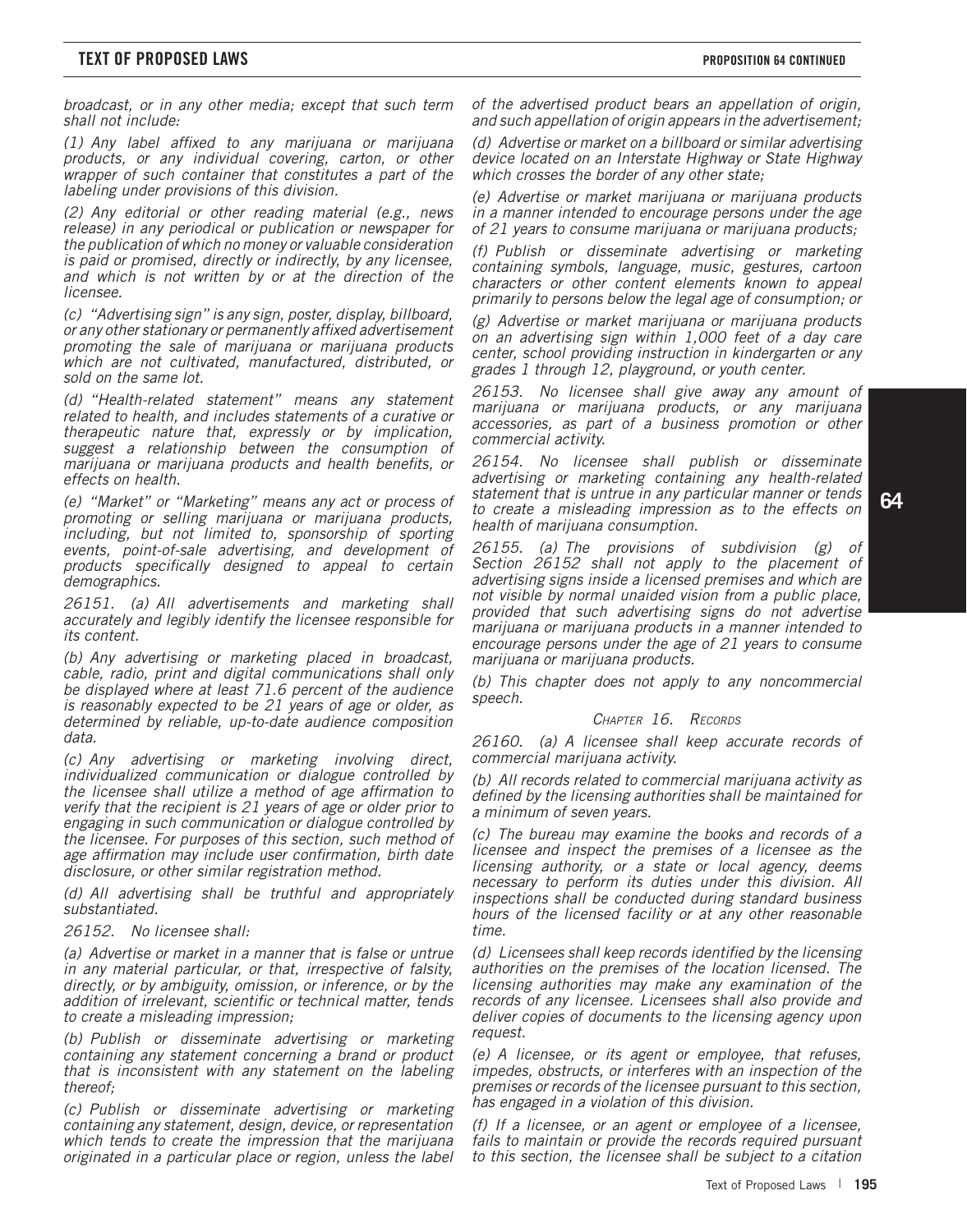**64** 

*broadcast, or in any other media; except that such term shall not include:* 

*(1) Any label affixed to any marijuana or marijuana products, or any individual covering, carton, or other wrapper of such container that constitutes a part of the labeling under provisions of this division.* 

*(2) Any editorial or other reading material (e.g., news release) in any periodical or publication or newspaper for the publication of which no money or valuable consideration is paid or promised, directly or indirectly, by any licensee, and which is not written by or at the direction of the licensee.* 

*(c) "Advertising sign" is any sign, poster, display, billboard, or any other stationary or permanently affixed advertisement promoting the sale of marijuana or marijuana products which are not cultivated, manufactured, distributed, or sold on the same lot.* 

*(d) "Health-related statement" means any statement related to health, and includes statements of a curative or therapeutic nature that, expressly or by implication, suggest a relationship between the consumption of marijuana or marijuana products and health benefits, or effects on health.* 

*(e) "Market" or "Marketing" means any act or process of promoting or selling marijuana or marijuana products, including, but not limited to, sponsorship of sporting events, point-of-sale advertising, and development of products specifically designed to appeal to certain demographics.* 

*26151. (a) All advertisements and marketing shall accurately and legibly identify the licensee responsible for its content.* 

*(b) Any advertising or marketing placed in broadcast, cable, radio, print and digital communications shall only be displayed where at least 71.6 percent of the audience is reasonably expected to be 21 years of age or older, as determined by reliable, up-to-date audience composition data.* 

*(c) Any advertising or marketing involving direct, individualized communication or dialogue controlled by the licensee shall utilize a method of age affirmation to verify that the recipient is 21 years of age or older prior to engaging in such communication or dialogue controlled by the licensee. For purposes of this section, such method of age affirmation may include user confirmation, birth date disclosure, or other similar registration method.* 

*(d) All advertising shall be truthful and appropriately substantiated.* 

*26152. No licensee shall:* 

*(a) Advertise or market in a manner that is false or untrue in any material particular, or that, irrespective of falsity, directly, or by ambiguity, omission, or inference, or by the addition of irrelevant, scientific or technical matter, tends to create a misleading impression;* 

*(b) Publish or disseminate advertising or marketing containing any statement concerning a brand or product that is inconsistent with any statement on the labeling thereof;* 

*(c) Publish or disseminate advertising or marketing containing any statement, design, device, or representation which tends to create the impression that the marijuana originated in a particular place or region, unless the label* 

*of the advertised product bears an appellation of origin, and such appellation of origin appears in the advertisement;* 

*(d) Advertise or market on a billboard or similar advertising device located on an Interstate Highway or State Highway which crosses the border of any other state;* 

*(e) Advertise or market marijuana or marijuana products in a manner intended to encourage persons under the age of 21 years to consume marijuana or marijuana products;* 

*(f) Publish or disseminate advertising or marketing containing symbols, language, music, gestures, cartoon characters or other content elements known to appeal primarily to persons below the legal age of consumption; or* 

*(g) Advertise or market marijuana or marijuana products on an advertising sign within 1,000 feet of a day care center, school providing instruction in kindergarten or any grades 1 through 12, playground, or youth center.* 

*26153. No licensee shall give away any amount of marijuana or marijuana products, or any marijuana accessories, as part of a business promotion or other commercial activity.* 

*26154. No licensee shall publish or disseminate advertising or marketing containing any health-related statement that is untrue in any particular manner or tends to create a misleading impression as to the effects on health of marijuana consumption.* 

*26155. (a) The provisions of subdivision (g) of Section 26152 shall not apply to the placement of advertising signs inside a licensed premises and which are not visible by normal unaided vision from a public place, provided that such advertising signs do not advertise marijuana or marijuana products in a manner intended to encourage persons under the age of 21 years to consume marijuana or marijuana products.* 

*(b) This chapter does not apply to any noncommercial speech.* 

## *Chapter 16. reCords*

*26160. (a) A licensee shall keep accurate records of commercial marijuana activity.* 

*(b) All records related to commercial marijuana activity as defined by the licensing authorities shall be maintained for a minimum of seven years.* 

*(c) The bureau may examine the books and records of a licensee and inspect the premises of a licensee as the licensing authority, or a state or local agency, deems necessary to perform its duties under this division. All inspections shall be conducted during standard business hours of the licensed facility or at any other reasonable time.* 

*(d) Licensees shall keep records identified by the licensing authorities on the premises of the location licensed. The licensing authorities may make any examination of the records of any licensee. Licensees shall also provide and deliver copies of documents to the licensing agency upon request.* 

*(e) A licensee, or its agent or employee, that refuses, impedes, obstructs, or interferes with an inspection of the premises or records of the licensee pursuant to this section, has engaged in a violation of this division.* 

*(f) If a licensee, or an agent or employee of a licensee,*  fails to maintain or provide the records required pursuant *to this section, the licensee shall be subject to a citation*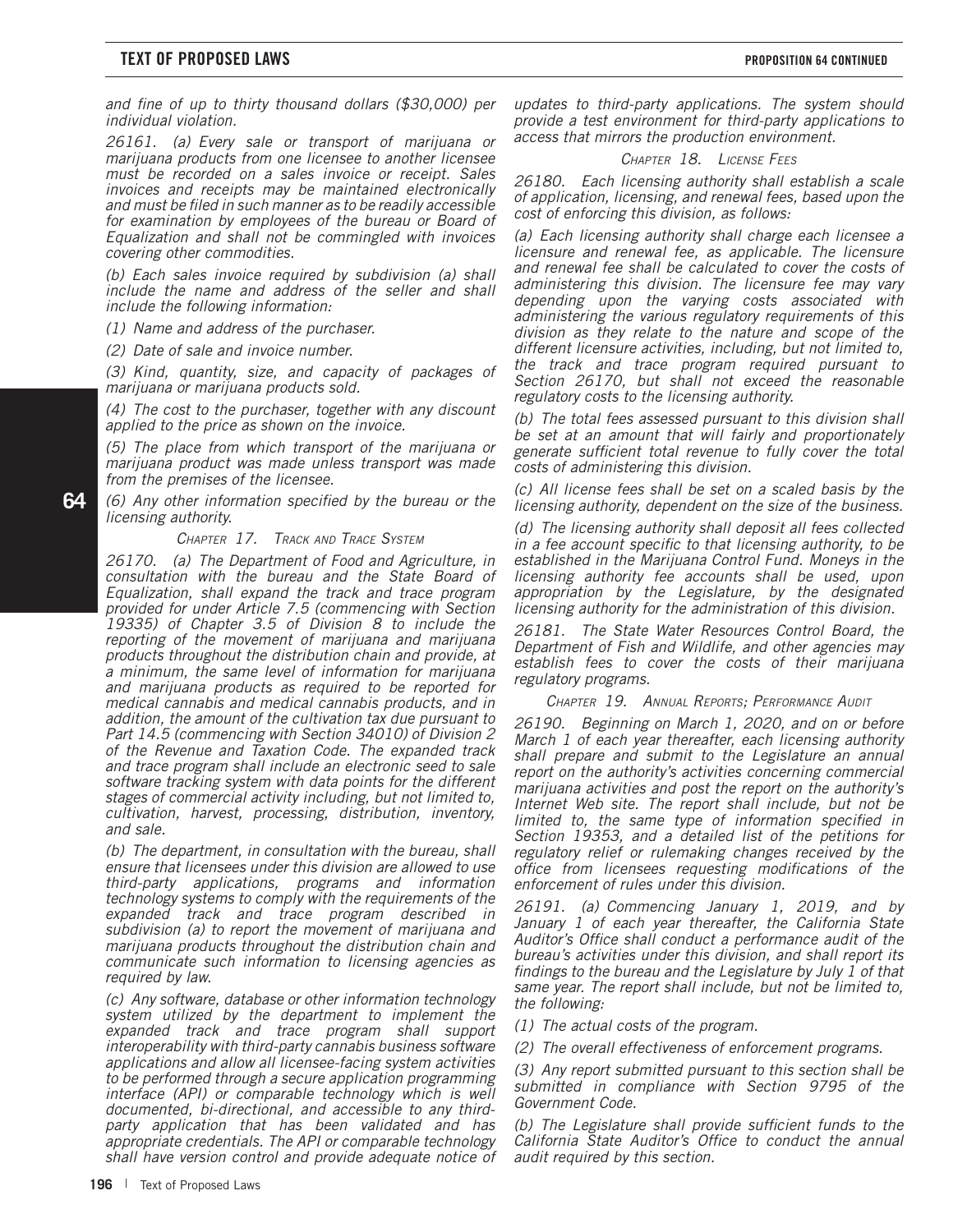*and fine of up to thirty thousand dollars (\$30,000) per individual violation.* 

*26161. (a) Every sale or transport of marijuana or marijuana products from one licensee to another licensee must be recorded on a sales invoice or receipt. Sales invoices and receipts may be maintained electronically and must be filed in such manner as to be readily accessible for examination by employees of the bureau or Board of Equalization and shall not be commingled with invoices covering other commodities.* 

*(b) Each sales invoice required by subdivision (a) shall include the name and address of the seller and shall include the following information:* 

*(1) Name and address of the purchaser.* 

*(2) Date of sale and invoice number.* 

**64** 

*(3) Kind, quantity, size, and capacity of packages of marijuana or marijuana products sold.* 

*(4) The cost to the purchaser, together with any discount applied to the price as shown on the invoice.* 

*(5) The place from which transport of the marijuana or marijuana product was made unless transport was made from the premises of the licensee.* 

*(6) Any other information specified by the bureau or the licensing authority.* 

#### CHAPTER 17. TRACK AND TRACE SYSTEM

*26170. (a) The Department of Food and Agriculture, in consultation with the bureau and the State Board of Equalization, shall expand the track and trace program provided for under Article 7.5 (commencing with Section 19335) of Chapter 3.5 of Division 8 to include the reporting of the movement of marijuana and marijuana products throughout the distribution chain and provide, at a minimum, the same level of information for marijuana and marijuana products as required to be reported for medical cannabis and medical cannabis products, and in addition, the amount of the cultivation tax due pursuant to Part 14.5 (commencing with Section 34010) of Division 2 of the Revenue and Taxation Code. The expanded track and trace program shall include an electronic seed to sale software tracking system with data points for the different stages of commercial activity including, but not limited to, cultivation, harvest, processing, distribution, inventory, and sale.* 

*(b) The department, in consultation with the bureau, shall ensure that licensees under this division are allowed to use third-party applications, programs and information technology systems to comply with the requirements of the expanded track and trace program described in subdivision (a) to report the movement of marijuana and marijuana products throughout the distribution chain and communicate such information to licensing agencies as required by law.* 

*(c) Any software, database or other information technology system utilized by the department to implement the expanded track and trace program shall support interoperability with third-party cannabis business software applications and allow all licensee-facing system activities to be performed through a secure application programming interface (API) or comparable technology which is well documented, bi-directional, and accessible to any thirdparty application that has been validated and has appropriate credentials. The API or comparable technology shall have version control and provide adequate notice of* 

*updates to third-party applications. The system should provide a test environment for third-party applications to access that mirrors the production environment.* 

#### *Chapter 18. liCense fees*

*26180. Each licensing authority shall establish a scale of application, licensing, and renewal fees, based upon the cost of enforcing this division, as follows:* 

*(a) Each licensing authority shall charge each licensee a licensure and renewal fee, as applicable. The licensure and renewal fee shall be calculated to cover the costs of administering this division. The licensure fee may vary depending upon the varying costs associated with administering the various regulatory requirements of this division as they relate to the nature and scope of the different licensure activities, including, but not limited to, the track and trace program required pursuant to Section 26170, but shall not exceed the reasonable regulatory costs to the licensing authority.* 

*(b) The total fees assessed pursuant to this division shall be set at an amount that will fairly and proportionately generate sufficient total revenue to fully cover the total costs of administering this division.* 

*(c) All license fees shall be set on a scaled basis by the licensing authority, dependent on the size of the business.* 

*(d) The licensing authority shall deposit all fees collected in a fee account specific to that licensing authority, to be established in the Marijuana Control Fund. Moneys in the licensing authority fee accounts shall be used, upon appropriation by the Legislature, by the designated licensing authority for the administration of this division.* 

*26181. The State Water Resources Control Board, the Department of Fish and Wildlife, and other agencies may establish fees to cover the costs of their marijuana regulatory programs.* 

CHAPTER 19. ANNUAL REPORTS; PERFORMANCE AUDIT

*26190. Beginning on March 1, 2020, and on or before March 1 of each year thereafter, each licensing authority shall prepare and submit to the Legislature an annual report on the authority's activities concerning commercial marijuana activities and post the report on the authority's Internet Web site. The report shall include, but not be limited to, the same type of information specified in Section 19353, and a detailed list of the petitions for regulatory relief or rulemaking changes received by the office from licensees requesting modifications of the enforcement of rules under this division.* 

*26191. (a) Commencing January 1, 2019, and by January 1 of each year thereafter, the California State Auditor's Office shall conduct a performance audit of the bureau's activities under this division, and shall report its findings to the bureau and the Legislature by July 1 of that same year. The report shall include, but not be limited to, the following:* 

*(1) The actual costs of the program.* 

*(2) The overall effectiveness of enforcement programs.* 

*(3) Any report submitted pursuant to this section shall be submitted in compliance with Section 9795 of the Government Code.* 

*(b) The Legislature shall provide sufficient funds to the California State Auditor's Office to conduct the annual audit required by this section.*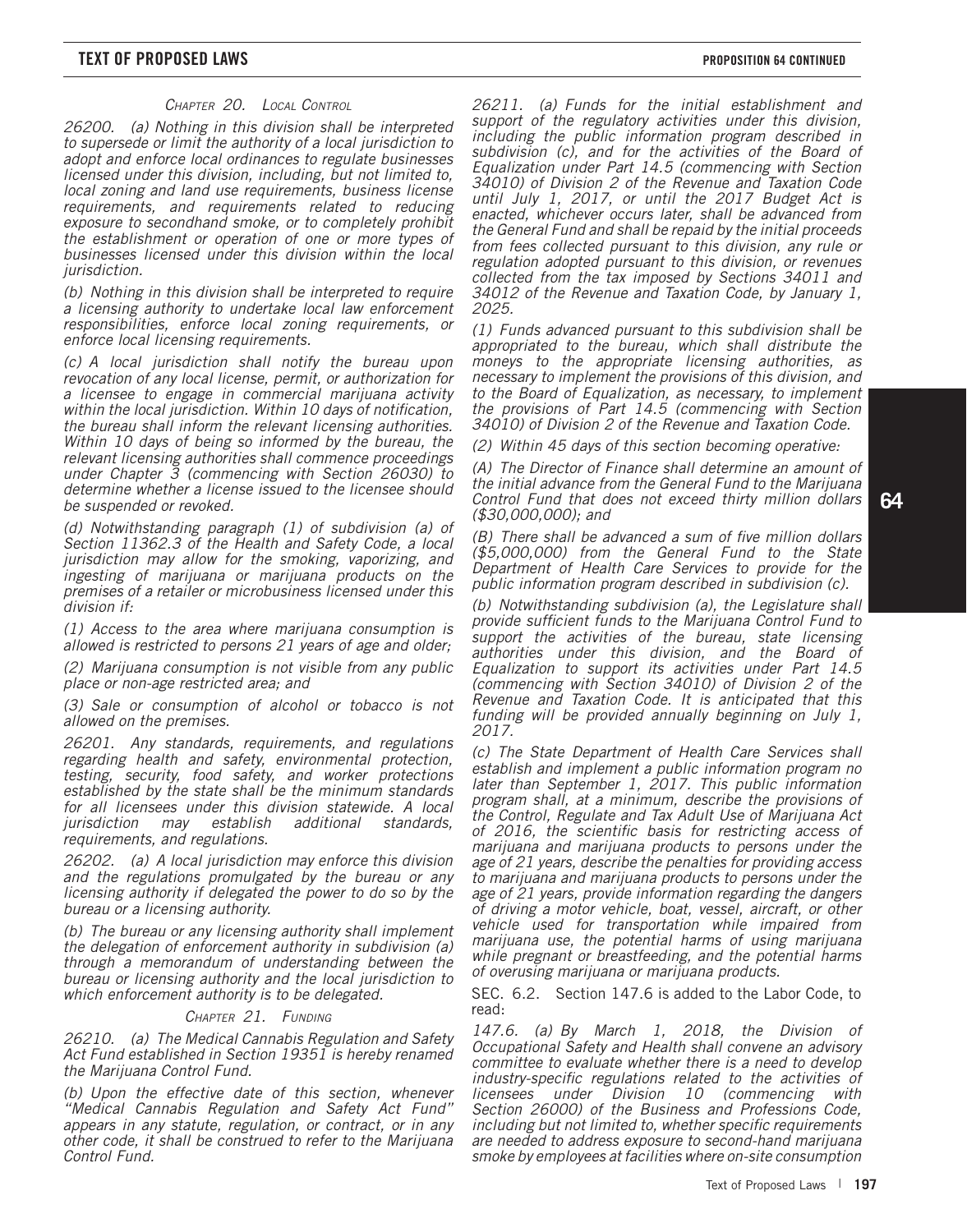### *Chapter 20. loCal Control*

*26200. (a) Nothing in this division shall be interpreted to supersede or limit the authority of a local jurisdiction to adopt and enforce local ordinances to regulate businesses licensed under this division, including, but not limited to, local zoning and land use requirements, business license requirements, and requirements related to reducing exposure to secondhand smoke, or to completely prohibit the establishment or operation of one or more types of businesses licensed under this division within the local jurisdiction.* 

*(b) Nothing in this division shall be interpreted to require a licensing authority to undertake local law enforcement responsibilities, enforce local zoning requirements, or enforce local licensing requirements.* 

*(c) A local jurisdiction shall notify the bureau upon revocation of any local license, permit, or authorization for a licensee to engage in commercial marijuana activity within the local jurisdiction. Within 10 days of notification, the bureau shall inform the relevant licensing authorities. Within 10 days of being so informed by the bureau, the relevant licensing authorities shall commence proceedings under Chapter 3 (commencing with Section 26030) to determine whether a license issued to the licensee should be suspended or revoked.* 

*(d) Notwithstanding paragraph (1) of subdivision (a) of Section 11362.3 of the Health and Safety Code, a local jurisdiction may allow for the smoking, vaporizing, and ingesting of marijuana or marijuana products on the premises of a retailer or microbusiness licensed under this division if:* 

*(1) Access to the area where marijuana consumption is allowed is restricted to persons 21 years of age and older;* 

*(2) Marijuana consumption is not visible from any public place or non-age restricted area; and* 

*(3) Sale or consumption of alcohol or tobacco is not allowed on the premises.* 

*26201. Any standards, requirements, and regulations regarding health and safety, environmental protection, testing, security, food safety, and worker protections established by the state shall be the minimum standards for all licensees under this division statewide. A local jurisdiction may establish additional standards, requirements, and regulations.* 

*26202. (a) A local jurisdiction may enforce this division and the regulations promulgated by the bureau or any licensing authority if delegated the power to do so by the bureau or a licensing authority.* 

*(b) The bureau or any licensing authority shall implement the delegation of enforcement authority in subdivision (a) through a memorandum of understanding between the bureau or licensing authority and the local jurisdiction to which enforcement authority is to be delegated.* 

#### *Chapter 21. fundinG*

*26210. (a) The Medical Cannabis Regulation and Safety Act Fund established in Section 19351 is hereby renamed the Marijuana Control Fund.* 

*(b) Upon the effective date of this section, whenever "Medical Cannabis Regulation and Safety Act Fund" appears in any statute, regulation, or contract, or in any other code, it shall be construed to refer to the Marijuana Control Fund.* 

*26211. (a) Funds for the initial establishment and support of the regulatory activities under this division, including the public information program described in subdivision (c), and for the activities of the Board of Equalization under Part 14.5 (commencing with Section 34010) of Division 2 of the Revenue and Taxation Code until July 1, 2017, or until the 2017 Budget Act is enacted, whichever occurs later, shall be advanced from the General Fund and shall be repaid by the initial proceeds from fees collected pursuant to this division, any rule or regulation adopted pursuant to this division, or revenues collected from the tax imposed by Sections 34011 and 34012 of the Revenue and Taxation Code, by January 1, 2025.* 

*(1) Funds advanced pursuant to this subdivision shall be appropriated to the bureau, which shall distribute the moneys to the appropriate licensing authorities, as necessary to implement the provisions of this division, and to the Board of Equalization, as necessary, to implement the provisions of Part 14.5 (commencing with Section 34010) of Division 2 of the Revenue and Taxation Code.* 

*(2) Within 45 days of this section becoming operative:* 

*(A) The Director of Finance shall determine an amount of the initial advance from the General Fund to the Marijuana Control Fund that does not exceed thirty million dollars (\$30,000,000); and* 

*(B) There shall be advanced a sum of five million dollars (\$5,000,000) from the General Fund to the State Department of Health Care Services to provide for the public information program described in subdivision (c).* 

*(b) Notwithstanding subdivision (a), the Legislature shall provide sufficient funds to the Marijuana Control Fund to support the activities of the bureau, state licensing authorities under this division, and the Board of Equalization to support its activities under Part 14.5 (commencing with Section 34010) of Division 2 of the Revenue and Taxation Code. It is anticipated that this funding will be provided annually beginning on July 1, 2017.* 

*(c) The State Department of Health Care Services shall establish and implement a public information program no later than September 1, 2017. This public information program shall, at a minimum, describe the provisions of the Control, Regulate and Tax Adult Use of Marijuana Act of 2016, the scientific basis for restricting access of marijuana and marijuana products to persons under the age of 21 years, describe the penalties for providing access to marijuana and marijuana products to persons under the age of 21 years, provide information regarding the dangers of driving a motor vehicle, boat, vessel, aircraft, or other vehicle used for transportation while impaired from marijuana use, the potential harms of using marijuana while pregnant or breastfeeding, and the potential harms of overusing marijuana or marijuana products.* 

SEC. 6.2. Section 147.6 is added to the Labor Code, to read:

*147.6. (a) By March 1, 2018, the Division of Occupational Safety and Health shall convene an advisory committee to evaluate whether there is a need to develop industry-specific regulations related to the activities of licensees under Division 10 (commencing with Section 26000) of the Business and Professions Code, including but not limited to, whether specific requirements are needed to address exposure to second-hand marijuana smoke by employees at facilities where on-site consumption*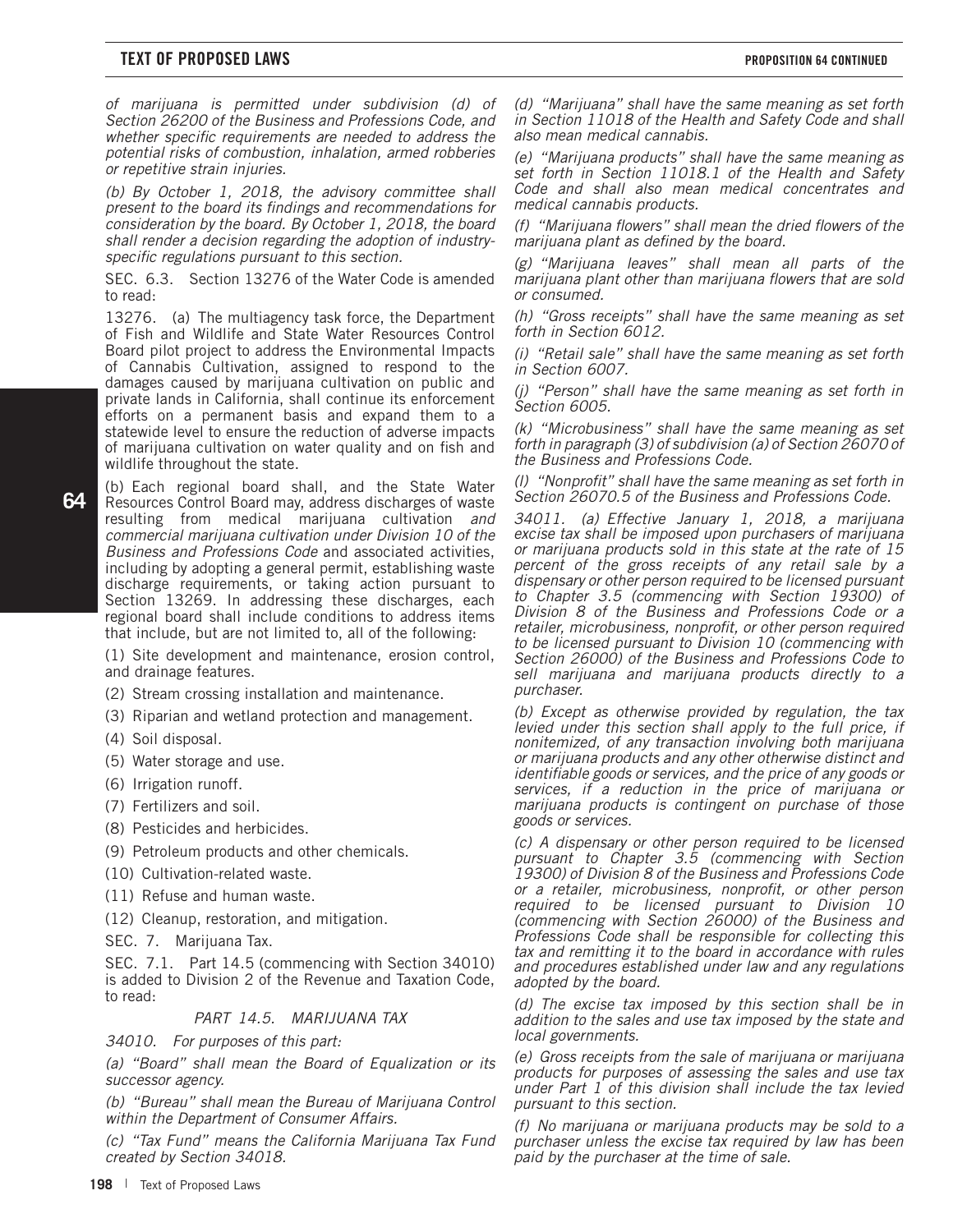*of marijuana is permitted under subdivision (d) of Section 26200 of the Business and Professions Code, and whether specific requirements are needed to address the potential risks of combustion, inhalation, armed robberies or repetitive strain injuries.* 

*(b) By October 1, 2018, the advisory committee shall present to the board its findings and recommendations for consideration by the board. By October 1, 2018, the board shall render a decision regarding the adoption of industryspecific regulations pursuant to this section.* 

SEC. 6.3. Section 13276 of the Water Code is amended to read:

13276. (a) The multiagency task force, the Department of Fish and Wildlife and State Water Resources Control Board pilot project to address the Environmental Impacts of Cannabis Cultivation, assigned to respond to the damages caused by marijuana cultivation on public and private lands in California, shall continue its enforcement efforts on a permanent basis and expand them to a statewide level to ensure the reduction of adverse impacts of marijuana cultivation on water quality and on fish and wildlife throughout the state.

(b) Each regional board shall, and the State Water Resources Control Board may, address discharges of waste resulting from medical marijuana cultivation *and commercial marijuana cultivation under Division 10 of the Business and Professions Code* and associated activities, including by adopting a general permit, establishing waste discharge requirements, or taking action pursuant to Section 13269. In addressing these discharges, each regional board shall include conditions to address items that include, but are not limited to, all of the following:

(1) Site development and maintenance, erosion control, and drainage features.

(2) Stream crossing installation and maintenance.

(3) Riparian and wetland protection and management.

(4) Soil disposal.

**64** 

(5) Water storage and use.

(6) Irrigation runoff.

(7) Fertilizers and soil.

(8) Pesticides and herbicides.

(9) Petroleum products and other chemicals.

(10) Cultivation-related waste.

(11) Refuse and human waste.

(12) Cleanup, restoration, and mitigation.

SEC. 7. Marijuana Tax.

SEC. 7.1. Part 14.5 (commencing with Section 34010) is added to Division 2 of the Revenue and Taxation Code, to read:

## *PART 14.5. MARIJUANA TAX*

*34010. For purposes of this part:* 

*(a) "Board" shall mean the Board of Equalization or its successor agency.* 

*(b) "Bureau" shall mean the Bureau of Marijuana Control within the Department of Consumer Affairs.* 

*(c) "Tax Fund" means the California Marijuana Tax Fund created by Section 34018.* 

*(d) "Marijuana" shall have the same meaning as set forth in Section 11018 of the Health and Safety Code and shall also mean medical cannabis.* 

*(e) "Marijuana products" shall have the same meaning as set forth in Section 11018.1 of the Health and Safety Code and shall also mean medical concentrates and medical cannabis products.* 

*(f) "Marijuana flowers" shall mean the dried flowers of the marijuana plant as defined by the board.* 

*(g) "Marijuana leaves" shall mean all parts of the marijuana plant other than marijuana flowers that are sold or consumed.* 

*(h) "Gross receipts" shall have the same meaning as set forth in Section 6012.* 

*(i) "Retail sale" shall have the same meaning as set forth in Section 6007.* 

*(j) "Person" shall have the same meaning as set forth in Section 6005.* 

*(k) "Microbusiness" shall have the same meaning as set forth in paragraph (3) of subdivision (a) of Section 26070 of the Business and Professions Code.* 

*(l) "Nonprofit" shall have the same meaning as set forth in Section 26070.5 of the Business and Professions Code.* 

*34011. (a) Effective January 1, 2018, a marijuana excise tax shall be imposed upon purchasers of marijuana or marijuana products sold in this state at the rate of 15 percent of the gross receipts of any retail sale by a dispensary or other person required to be licensed pursuant to Chapter 3.5 (commencing with Section 19300) of Division 8 of the Business and Professions Code or a retailer, microbusiness, nonprofit, or other person required to be licensed pursuant to Division 10 (commencing with Section 26000) of the Business and Professions Code to sell marijuana and marijuana products directly to a purchaser.* 

*(b) Except as otherwise provided by regulation, the tax levied under this section shall apply to the full price, if nonitemized, of any transaction involving both marijuana or marijuana products and any other otherwise distinct and identifiable goods or services, and the price of any goods or services, if a reduction in the price of marijuana or marijuana products is contingent on purchase of those goods or services.* 

*(c) A dispensary or other person required to be licensed pursuant to Chapter 3.5 (commencing with Section 19300) of Division 8 of the Business and Professions Code or a retailer, microbusiness, nonprofit, or other person required to be licensed pursuant to Division 10 (commencing with Section 26000) of the Business and Professions Code shall be responsible for collecting this tax and remitting it to the board in accordance with rules and procedures established under law and any regulations adopted by the board.* 

*(d) The excise tax imposed by this section shall be in addition to the sales and use tax imposed by the state and local governments.* 

*(e) Gross receipts from the sale of marijuana or marijuana products for purposes of assessing the sales and use tax under Part 1 of this division shall include the tax levied pursuant to this section.* 

*(f) No marijuana or marijuana products may be sold to a purchaser unless the excise tax required by law has been paid by the purchaser at the time of sale.*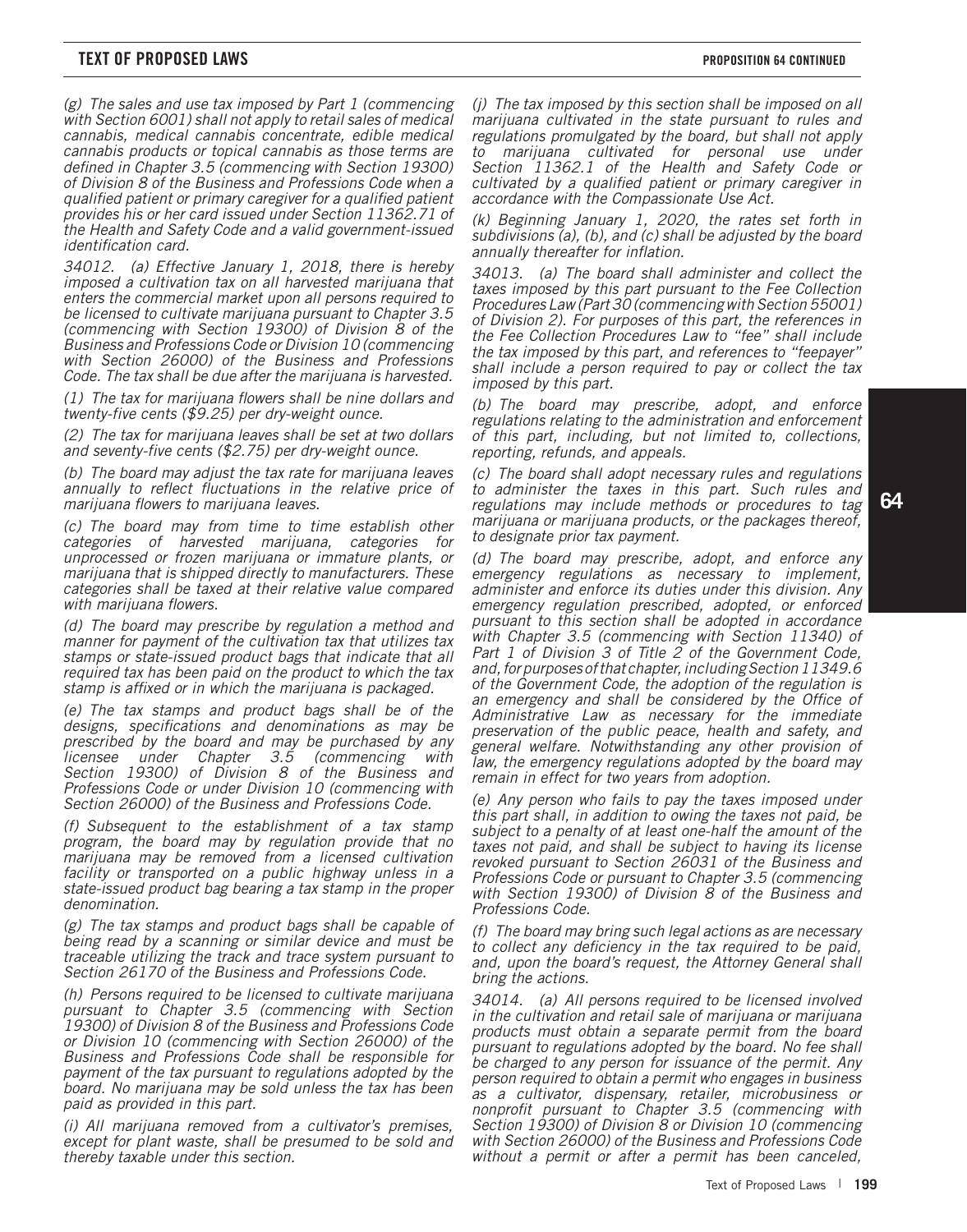*(g) The sales and use tax imposed by Part 1 (commencing with Section 6001) shall not apply to retail sales of medical cannabis, medical cannabis concentrate, edible medical cannabis products or topical cannabis as those terms are defined in Chapter 3.5 (commencing with Section 19300) of Division 8 of the Business and Professions Code when a qualified patient or primary caregiver for a qualified patient provides his or her card issued under Section 11362.71 of the Health and Safety Code and a valid government-issued identification card.* 

*34012. (a) Effective January 1, 2018, there is hereby imposed a cultivation tax on all harvested marijuana that enters the commercial market upon all persons required to be licensed to cultivate marijuana pursuant to Chapter 3.5 (commencing with Section 19300) of Division 8 of the Business and Professions Code or Division 10 (commencing with Section 26000) of the Business and Professions Code. The tax shall be due after the marijuana is harvested.* 

*(1) The tax for marijuana flowers shall be nine dollars and twenty-five cents (\$9.25) per dry-weight ounce.* 

*(2) The tax for marijuana leaves shall be set at two dollars and seventy-five cents (\$2.75) per dry-weight ounce.* 

*(b) The board may adjust the tax rate for marijuana leaves annually to reflect fluctuations in the relative price of marijuana flowers to marijuana leaves.* 

*(c) The board may from time to time establish other categories of harvested marijuana, categories for unprocessed or frozen marijuana or immature plants, or marijuana that is shipped directly to manufacturers. These categories shall be taxed at their relative value compared with marijuana flowers.* 

*(d) The board may prescribe by regulation a method and manner for payment of the cultivation tax that utilizes tax stamps or state-issued product bags that indicate that all required tax has been paid on the product to which the tax stamp is affixed or in which the marijuana is packaged.* 

*(e) The tax stamps and product bags shall be of the designs, specifications and denominations as may be prescribed by the board and may be purchased by any licensee under Chapter 3.5 (commencing with Section 19300) of Division 8 of the Business and Professions Code or under Division 10 (commencing with Section 26000) of the Business and Professions Code.* 

*(f) Subsequent to the establishment of a tax stamp program, the board may by regulation provide that no marijuana may be removed from a licensed cultivation facility or transported on a public highway unless in a state-issued product bag bearing a tax stamp in the proper denomination.* 

*(g) The tax stamps and product bags shall be capable of being read by a scanning or similar device and must be traceable utilizing the track and trace system pursuant to Section 26170 of the Business and Professions Code.* 

*(h) Persons required to be licensed to cultivate marijuana pursuant to Chapter 3.5 (commencing with Section 19300) of Division 8 of the Business and Professions Code or Division 10 (commencing with Section 26000) of the Business and Professions Code shall be responsible for payment of the tax pursuant to regulations adopted by the board. No marijuana may be sold unless the tax has been paid as provided in this part.* 

*(i) All marijuana removed from a cultivator's premises, except for plant waste, shall be presumed to be sold and thereby taxable under this section.* 

*(j) The tax imposed by this section shall be imposed on all marijuana cultivated in the state pursuant to rules and regulations promulgated by the board, but shall not apply to marijuana cultivated for personal use under Section 11362.1 of the Health and Safety Code or cultivated by a qualified patient or primary caregiver in accordance with the Compassionate Use Act.* 

*(k) Beginning January 1, 2020, the rates set forth in subdivisions (a), (b), and (c) shall be adjusted by the board annually thereafter for inflation.* 

*34013. (a) The board shall administer and collect the taxes imposed by this part pursuant to the Fee Collection Procedures Law (Part 30 (commencing with Section 55001) of Division 2). For purposes of this part, the references in the Fee Collection Procedures Law to "fee" shall include the tax imposed by this part, and references to "feepayer" shall include a person required to pay or collect the tax imposed by this part.* 

*(b) The board may prescribe, adopt, and enforce regulations relating to the administration and enforcement of this part, including, but not limited to, collections, reporting, refunds, and appeals.* 

*(c) The board shall adopt necessary rules and regulations to administer the taxes in this part. Such rules and regulations may include methods or procedures to tag marijuana or marijuana products, or the packages thereof, to designate prior tax payment.* 

**64** 

*(d) The board may prescribe, adopt, and enforce any emergency regulations as necessary to implement, administer and enforce its duties under this division. Any emergency regulation prescribed, adopted, or enforced pursuant to this section shall be adopted in accordance with Chapter 3.5 (commencing with Section 11340) of Part 1 of Division 3 of Title 2 of the Government Code, and, for purposes of that chapter, including Section 11349.6 of the Government Code, the adoption of the regulation is an emergency and shall be considered by the Office of Administrative Law as necessary for the immediate preservation of the public peace, health and safety, and general welfare. Notwithstanding any other provision of law, the emergency regulations adopted by the board may remain in effect for two years from adoption.* 

*(e) Any person who fails to pay the taxes imposed under this part shall, in addition to owing the taxes not paid, be subject to a penalty of at least one-half the amount of the taxes not paid, and shall be subject to having its license revoked pursuant to Section 26031 of the Business and Professions Code or pursuant to Chapter 3.5 (commencing with Section 19300) of Division 8 of the Business and Professions Code.* 

*(f) The board may bring such legal actions as are necessary to collect any deficiency in the tax required to be paid, and, upon the board's request, the Attorney General shall bring the actions.* 

*34014. (a) All persons required to be licensed involved in the cultivation and retail sale of marijuana or marijuana products must obtain a separate permit from the board pursuant to regulations adopted by the board. No fee shall be charged to any person for issuance of the permit. Any person required to obtain a permit who engages in business as a cultivator, dispensary, retailer, microbusiness or nonprofit pursuant to Chapter 3.5 (commencing with Section 19300) of Division 8 or Division 10 (commencing with Section 26000) of the Business and Professions Code without a permit or after a permit has been canceled,*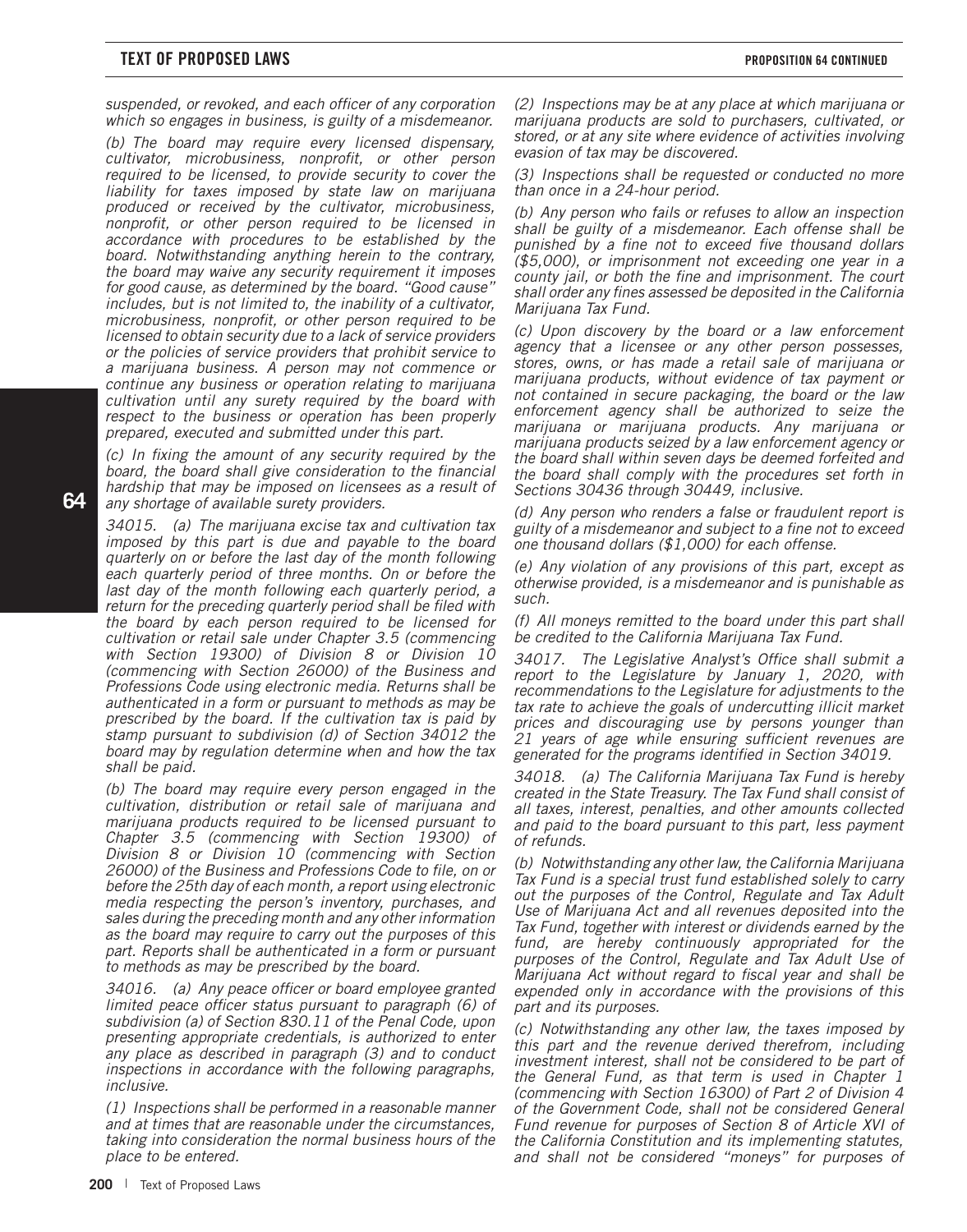**64** 

*suspended, or revoked, and each officer of any corporation which so engages in business, is guilty of a misdemeanor.* 

*(b) The board may require every licensed dispensary, cultivator, microbusiness, nonprofit, or other person required to be licensed, to provide security to cover the liability for taxes imposed by state law on marijuana produced or received by the cultivator, microbusiness, nonprofit, or other person required to be licensed in accordance with procedures to be established by the board. Notwithstanding anything herein to the contrary, the board may waive any security requirement it imposes for good cause, as determined by the board. "Good cause" includes, but is not limited to, the inability of a cultivator, microbusiness, nonprofit, or other person required to be licensed to obtain security due to a lack of service providers or the policies of service providers that prohibit service to a marijuana business. A person may not commence or continue any business or operation relating to marijuana cultivation until any surety required by the board with respect to the business or operation has been properly prepared, executed and submitted under this part.* 

*(c) In fixing the amount of any security required by the board, the board shall give consideration to the financial hardship that may be imposed on licensees as a result of any shortage of available surety providers.* 

*34015. (a) The marijuana excise tax and cultivation tax imposed by this part is due and payable to the board quarterly on or before the last day of the month following each quarterly period of three months. On or before the last day of the month following each quarterly period, a return for the preceding quarterly period shall be filed with the board by each person required to be licensed for cultivation or retail sale under Chapter 3.5 (commencing with Section 19300) of Division 8 or Division 10 (commencing with Section 26000) of the Business and Professions Code using electronic media. Returns shall be authenticated in a form or pursuant to methods as may be prescribed by the board. If the cultivation tax is paid by stamp pursuant to subdivision (d) of Section 34012 the board may by regulation determine when and how the tax shall be paid.* 

*(b) The board may require every person engaged in the cultivation, distribution or retail sale of marijuana and marijuana products required to be licensed pursuant to Chapter 3.5 (commencing with Section 19300) of Division 8 or Division 10 (commencing with Section 26000) of the Business and Professions Code to file, on or before the 25th day of each month, a report using electronic media respecting the person's inventory, purchases, and sales during the preceding month and any other information as the board may require to carry out the purposes of this part. Reports shall be authenticated in a form or pursuant to methods as may be prescribed by the board.* 

*34016. (a) Any peace officer or board employee granted limited peace officer status pursuant to paragraph (6) of subdivision (a) of Section 830.11 of the Penal Code, upon presenting appropriate credentials, is authorized to enter any place as described in paragraph (3) and to conduct inspections in accordance with the following paragraphs, inclusive.* 

*(1) Inspections shall be performed in a reasonable manner and at times that are reasonable under the circumstances, taking into consideration the normal business hours of the place to be entered.* 

*(2) Inspections may be at any place at which marijuana or marijuana products are sold to purchasers, cultivated, or stored, or at any site where evidence of activities involving evasion of tax may be discovered.* 

*(3) Inspections shall be requested or conducted no more than once in a 24-hour period.* 

*(b) Any person who fails or refuses to allow an inspection shall be guilty of a misdemeanor. Each offense shall be punished by a fine not to exceed five thousand dollars (\$5,000), or imprisonment not exceeding one year in a county jail, or both the fine and imprisonment. The court shall order any fines assessed be deposited in the California Marijuana Tax Fund.* 

*(c) Upon discovery by the board or a law enforcement agency that a licensee or any other person possesses, stores, owns, or has made a retail sale of marijuana or marijuana products, without evidence of tax payment or not contained in secure packaging, the board or the law enforcement agency shall be authorized to seize the marijuana or marijuana products. Any marijuana or marijuana products seized by a law enforcement agency or the board shall within seven days be deemed forfeited and the board shall comply with the procedures set forth in Sections 30436 through 30449, inclusive.* 

*(d) Any person who renders a false or fraudulent report is guilty of a misdemeanor and subject to a fine not to exceed one thousand dollars (\$1,000) for each offense.* 

*(e) Any violation of any provisions of this part, except as otherwise provided, is a misdemeanor and is punishable as such.* 

*(f) All moneys remitted to the board under this part shall be credited to the California Marijuana Tax Fund.* 

*34017. The Legislative Analyst's Office shall submit a report to the Legislature by January 1, 2020, with recommendations to the Legislature for adjustments to the tax rate to achieve the goals of undercutting illicit market prices and discouraging use by persons younger than 21 years of age while ensuring sufficient revenues are generated for the programs identified in Section 34019.* 

*34018. (a) The California Marijuana Tax Fund is hereby created in the State Treasury. The Tax Fund shall consist of all taxes, interest, penalties, and other amounts collected and paid to the board pursuant to this part, less payment of refunds.* 

*(b) Notwithstanding any other law, the California Marijuana Tax Fund is a special trust fund established solely to carry out the purposes of the Control, Regulate and Tax Adult Use of Marijuana Act and all revenues deposited into the Tax Fund, together with interest or dividends earned by the fund, are hereby continuously appropriated for the purposes of the Control, Regulate and Tax Adult Use of Marijuana Act without regard to fiscal year and shall be expended only in accordance with the provisions of this part and its purposes.* 

*(c) Notwithstanding any other law, the taxes imposed by this part and the revenue derived therefrom, including investment interest, shall not be considered to be part of the General Fund, as that term is used in Chapter 1 (commencing with Section 16300) of Part 2 of Division 4 of the Government Code, shall not be considered General Fund revenue for purposes of Section 8 of Article XVI of the California Constitution and its implementing statutes, and shall not be considered "moneys" for purposes of*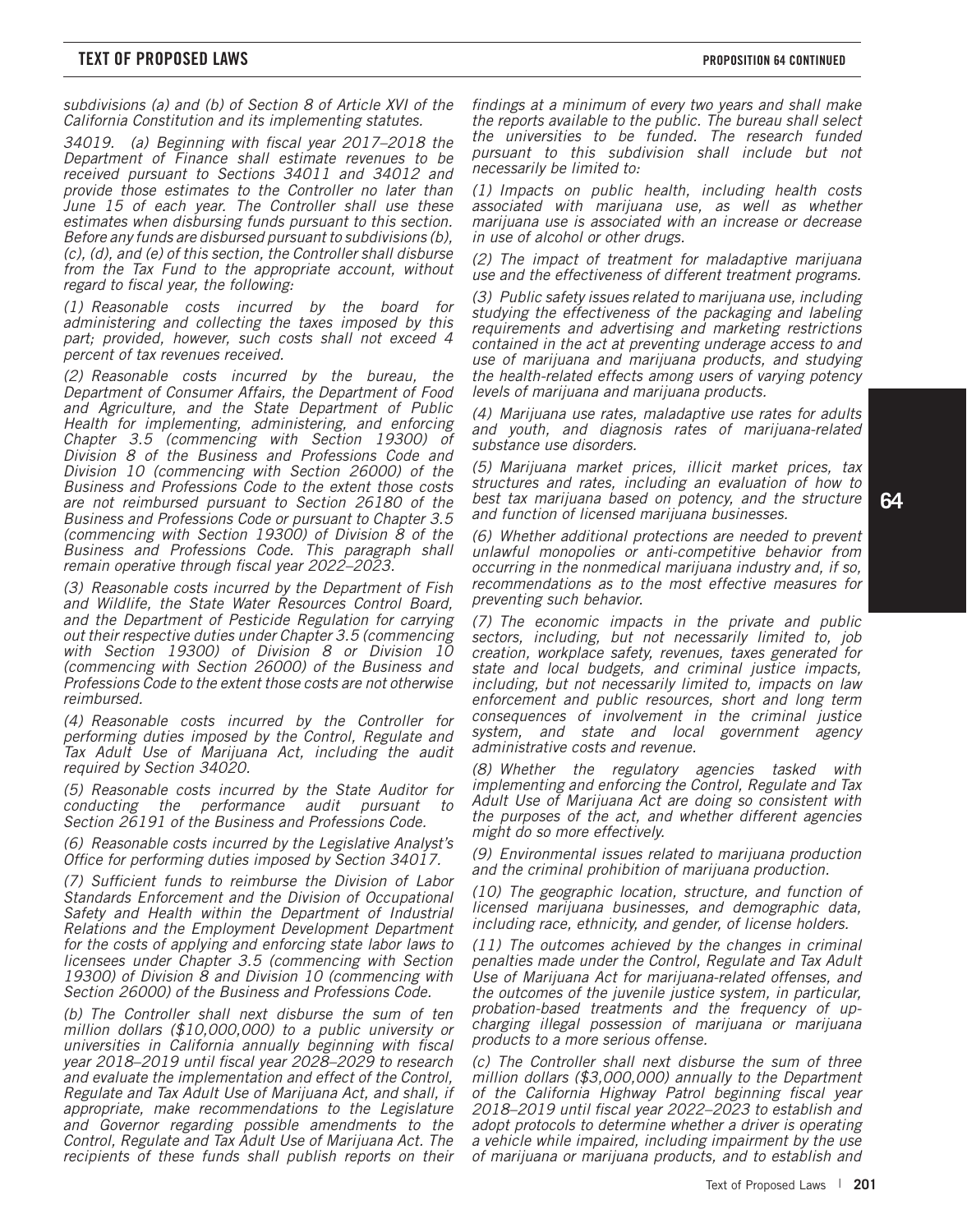*subdivisions (a) and (b) of Section 8 of Article XVI of the California Constitution and its implementing statutes.* 

*34019. (a) Beginning with fiscal year 2017–2018 the Department of Finance shall estimate revenues to be received pursuant to Sections 34011 and 34012 and provide those estimates to the Controller no later than June 15 of each year. The Controller shall use these estimates when disbursing funds pursuant to this section. Before any funds are disbursed pursuant to subdivisions (b), (c), (d), and (e) of this section, the Controller shall disburse from the Tax Fund to the appropriate account, without regard to fiscal year, the following:* 

*(1) Reasonable costs incurred by the board for administering and collecting the taxes imposed by this part; provided, however, such costs shall not exceed 4 percent of tax revenues received.* 

*(2) Reasonable costs incurred by the bureau, the Department of Consumer Affairs, the Department of Food and Agriculture, and the State Department of Public Health for implementing, administering, and enforcing Chapter 3.5 (commencing with Section 19300) of Division 8 of the Business and Professions Code and Division 10 (commencing with Section 26000) of the Business and Professions Code to the extent those costs are not reimbursed pursuant to Section 26180 of the Business and Professions Code or pursuant to Chapter 3.5 (commencing with Section 19300) of Division 8 of the Business and Professions Code. This paragraph shall remain operative through fiscal year 2022–2023.* 

*(3) Reasonable costs incurred by the Department of Fish and Wildlife, the State Water Resources Control Board, and the Department of Pesticide Regulation for carrying out their respective duties under Chapter 3.5 (commencing with Section 19300) of Division 8 or Division 10 (commencing with Section 26000) of the Business and Professions Code to the extent those costs are not otherwise reimbursed.* 

*(4) Reasonable costs incurred by the Controller for performing duties imposed by the Control, Regulate and Tax Adult Use of Marijuana Act, including the audit required by Section 34020.* 

*(5) Reasonable costs incurred by the State Auditor for conducting the performance audit pursuant to Section 26191 of the Business and Professions Code.* 

*(6) Reasonable costs incurred by the Legislative Analyst's Office for performing duties imposed by Section 34017.* 

*(7) Sufficient funds to reimburse the Division of Labor Standards Enforcement and the Division of Occupational Safety and Health within the Department of Industrial Relations and the Employment Development Department for the costs of applying and enforcing state labor laws to licensees under Chapter 3.5 (commencing with Section 19300) of Division 8 and Division 10 (commencing with Section 26000) of the Business and Professions Code.* 

*(b) The Controller shall next disburse the sum of ten million dollars (\$10,000,000) to a public university or universities in California annually beginning with fiscal year 2018–2019 until fiscal year 2028–2029 to research and evaluate the implementation and effect of the Control, Regulate and Tax Adult Use of Marijuana Act, and shall, if appropriate, make recommendations to the Legislature and Governor regarding possible amendments to the Control, Regulate and Tax Adult Use of Marijuana Act. The recipients of these funds shall publish reports on their* 

*findings at a minimum of every two years and shall make the reports available to the public. The bureau shall select the universities to be funded. The research funded pursuant to this subdivision shall include but not necessarily be limited to:* 

*(1) Impacts on public health, including health costs associated with marijuana use, as well as whether marijuana use is associated with an increase or decrease in use of alcohol or other drugs.* 

*(2) The impact of treatment for maladaptive marijuana use and the effectiveness of different treatment programs.* 

*(3) Public safety issues related to marijuana use, including studying the effectiveness of the packaging and labeling requirements and advertising and marketing restrictions contained in the act at preventing underage access to and use of marijuana and marijuana products, and studying the health-related effects among users of varying potency levels of marijuana and marijuana products.* 

*(4) Marijuana use rates, maladaptive use rates for adults and youth, and diagnosis rates of marijuana-related substance use disorders.* 

*(5) Marijuana market prices, illicit market prices, tax structures and rates, including an evaluation of how to best tax marijuana based on potency, and the structure and function of licensed marijuana businesses.* 

*(6) Whether additional protections are needed to prevent unlawful monopolies or anti-competitive behavior from occurring in the nonmedical marijuana industry and, if so, recommendations as to the most effective measures for preventing such behavior.* 

*(7) The economic impacts in the private and public sectors, including, but not necessarily limited to, job creation, workplace safety, revenues, taxes generated for state and local budgets, and criminal justice impacts, including, but not necessarily limited to, impacts on law enforcement and public resources, short and long term consequences of involvement in the criminal justice system, and state and local government agency administrative costs and revenue.* 

*(8) Whether the regulatory agencies tasked with implementing and enforcing the Control, Regulate and Tax Adult Use of Marijuana Act are doing so consistent with the purposes of the act, and whether different agencies might do so more effectively.* 

*(9) Environmental issues related to marijuana production and the criminal prohibition of marijuana production.* 

*(10) The geographic location, structure, and function of licensed marijuana businesses, and demographic data, including race, ethnicity, and gender, of license holders.* 

*(11) The outcomes achieved by the changes in criminal penalties made under the Control, Regulate and Tax Adult Use of Marijuana Act for marijuana-related offenses, and the outcomes of the juvenile justice system, in particular, probation-based treatments and the frequency of upcharging illegal possession of marijuana or marijuana products to a more serious offense.* 

*(c) The Controller shall next disburse the sum of three million dollars (\$3,000,000) annually to the Department of the California Highway Patrol beginning fiscal year 2018–2019 until fiscal year 2022–2023 to establish and adopt protocols to determine whether a driver is operating a vehicle while impaired, including impairment by the use of marijuana or marijuana products, and to establish and* 

**64**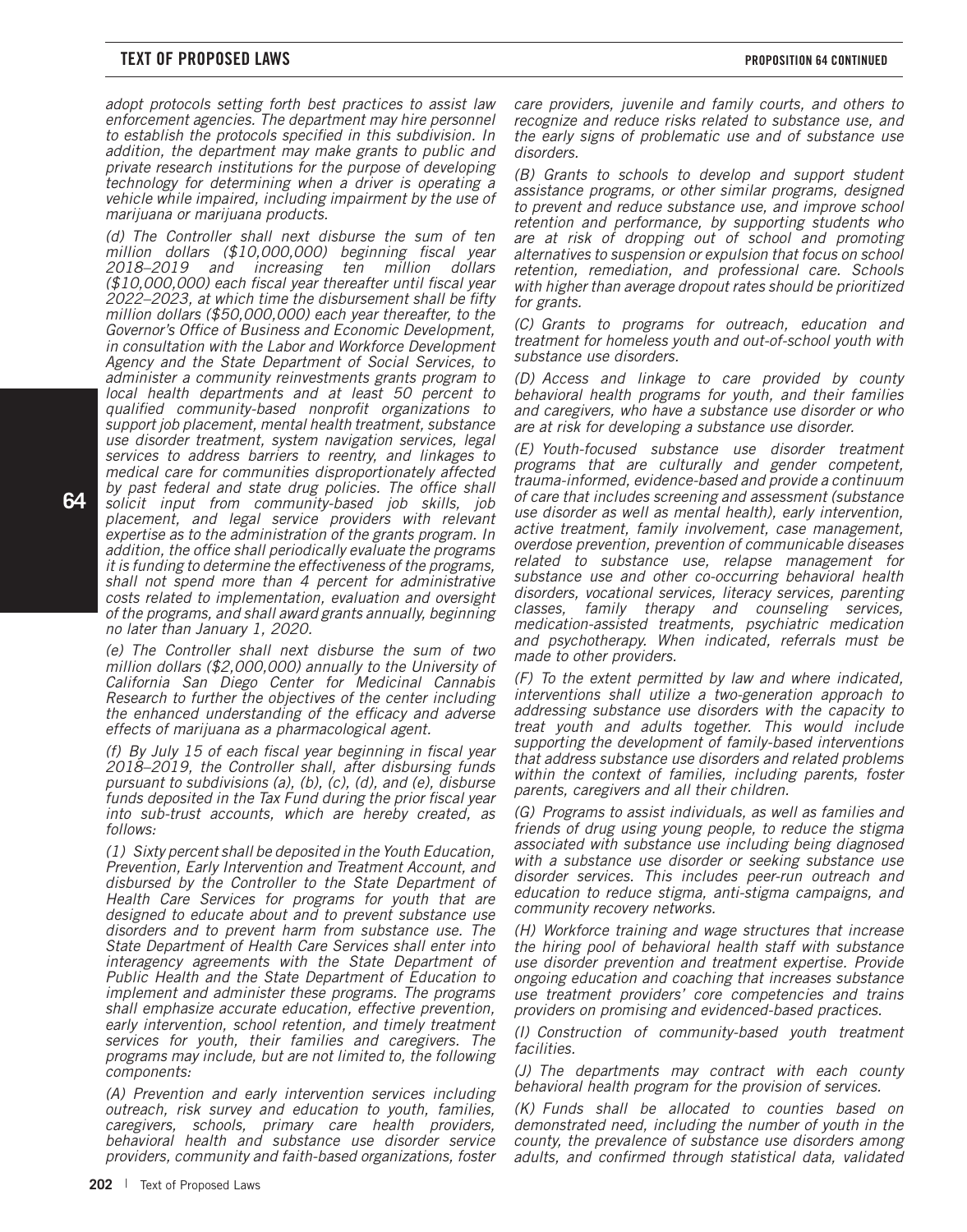**64** 

*adopt protocols setting forth best practices to assist law enforcement agencies. The department may hire personnel to establish the protocols specified in this subdivision. In addition, the department may make grants to public and private research institutions for the purpose of developing technology for determining when a driver is operating a vehicle while impaired, including impairment by the use of marijuana or marijuana products.* 

*(d) The Controller shall next disburse the sum of ten million dollars (\$10,000,000) beginning fiscal year 2018–2019 and increasing ten million dollars (\$10,000,000) each fiscal year thereafter until fiscal year 2022–2023, at which time the disbursement shall be fifty million dollars (\$50,000,000) each year thereafter, to the Governor's Office of Business and Economic Development, in consultation with the Labor and Workforce Development Agency and the State Department of Social Services, to administer a community reinvestments grants program to local health departments and at least 50 percent to qualified community-based nonprofit organizations to support job placement, mental health treatment, substance use disorder treatment, system navigation services, legal services to address barriers to reentry, and linkages to medical care for communities disproportionately affected by past federal and state drug policies. The office shall solicit input from community-based job skills, job placement, and legal service providers with relevant expertise as to the administration of the grants program. In addition, the office shall periodically evaluate the programs it is funding to determine the effectiveness of the programs, shall not spend more than 4 percent for administrative costs related to implementation, evaluation and oversight of the programs, and shall award grants annually, beginning no later than January 1, 2020.* 

*(e) The Controller shall next disburse the sum of two million dollars (\$2,000,000) annually to the University of California San Diego Center for Medicinal Cannabis Research to further the objectives of the center including the enhanced understanding of the efficacy and adverse effects of marijuana as a pharmacological agent.* 

*(f) By July 15 of each fiscal year beginning in fiscal year 2018–2019, the Controller shall, after disbursing funds pursuant to subdivisions (a), (b), (c), (d), and (e), disburse funds deposited in the Tax Fund during the prior fiscal year into sub-trust accounts, which are hereby created, as follows:* 

*(1) Sixty percent shall be deposited in the Youth Education, Prevention, Early Intervention and Treatment Account, and disbursed by the Controller to the State Department of Health Care Services for programs for youth that are designed to educate about and to prevent substance use disorders and to prevent harm from substance use. The State Department of Health Care Services shall enter into interagency agreements with the State Department of Public Health and the State Department of Education to implement and administer these programs. The programs shall emphasize accurate education, effective prevention, early intervention, school retention, and timely treatment services for youth, their families and caregivers. The programs may include, but are not limited to, the following components:* 

*(A) Prevention and early intervention services including outreach, risk survey and education to youth, families, caregivers, schools, primary care health providers, behavioral health and substance use disorder service providers, community and faith-based organizations, foster*  *care providers, juvenile and family courts, and others to recognize and reduce risks related to substance use, and the early signs of problematic use and of substance use disorders.* 

*(B) Grants to schools to develop and support student assistance programs, or other similar programs, designed to prevent and reduce substance use, and improve school retention and performance, by supporting students who are at risk of dropping out of school and promoting alternatives to suspension or expulsion that focus on school retention, remediation, and professional care. Schools with higher than average dropout rates should be prioritized for grants.* 

*(C) Grants to programs for outreach, education and treatment for homeless youth and out-of-school youth with substance use disorders.* 

*(D) Access and linkage to care provided by county behavioral health programs for youth, and their families and caregivers, who have a substance use disorder or who are at risk for developing a substance use disorder.* 

*(E) Youth-focused substance use disorder treatment programs that are culturally and gender competent, trauma-informed, evidence-based and provide a continuum of care that includes screening and assessment (substance use disorder as well as mental health), early intervention, active treatment, family involvement, case management, overdose prevention, prevention of communicable diseases related to substance use, relapse management for substance use and other co-occurring behavioral health disorders, vocational services, literacy services, parenting classes, family therapy and counseling services, medication-assisted treatments, psychiatric medication and psychotherapy. When indicated, referrals must be made to other providers.* 

*(F) To the extent permitted by law and where indicated, interventions shall utilize a two-generation approach to addressing substance use disorders with the capacity to treat youth and adults together. This would include supporting the development of family-based interventions that address substance use disorders and related problems within the context of families, including parents, foster parents, caregivers and all their children.* 

*(G) Programs to assist individuals, as well as families and friends of drug using young people, to reduce the stigma associated with substance use including being diagnosed with a substance use disorder or seeking substance use disorder services. This includes peer-run outreach and education to reduce stigma, anti-stigma campaigns, and community recovery networks.* 

*(H) Workforce training and wage structures that increase the hiring pool of behavioral health staff with substance use disorder prevention and treatment expertise. Provide ongoing education and coaching that increases substance use treatment providers' core competencies and trains providers on promising and evidenced-based practices.* 

*(I) Construction of community-based youth treatment facilities.* 

*(J) The departments may contract with each county behavioral health program for the provision of services.* 

*(K) Funds shall be allocated to counties based on demonstrated need, including the number of youth in the county, the prevalence of substance use disorders among adults, and confirmed through statistical data, validated*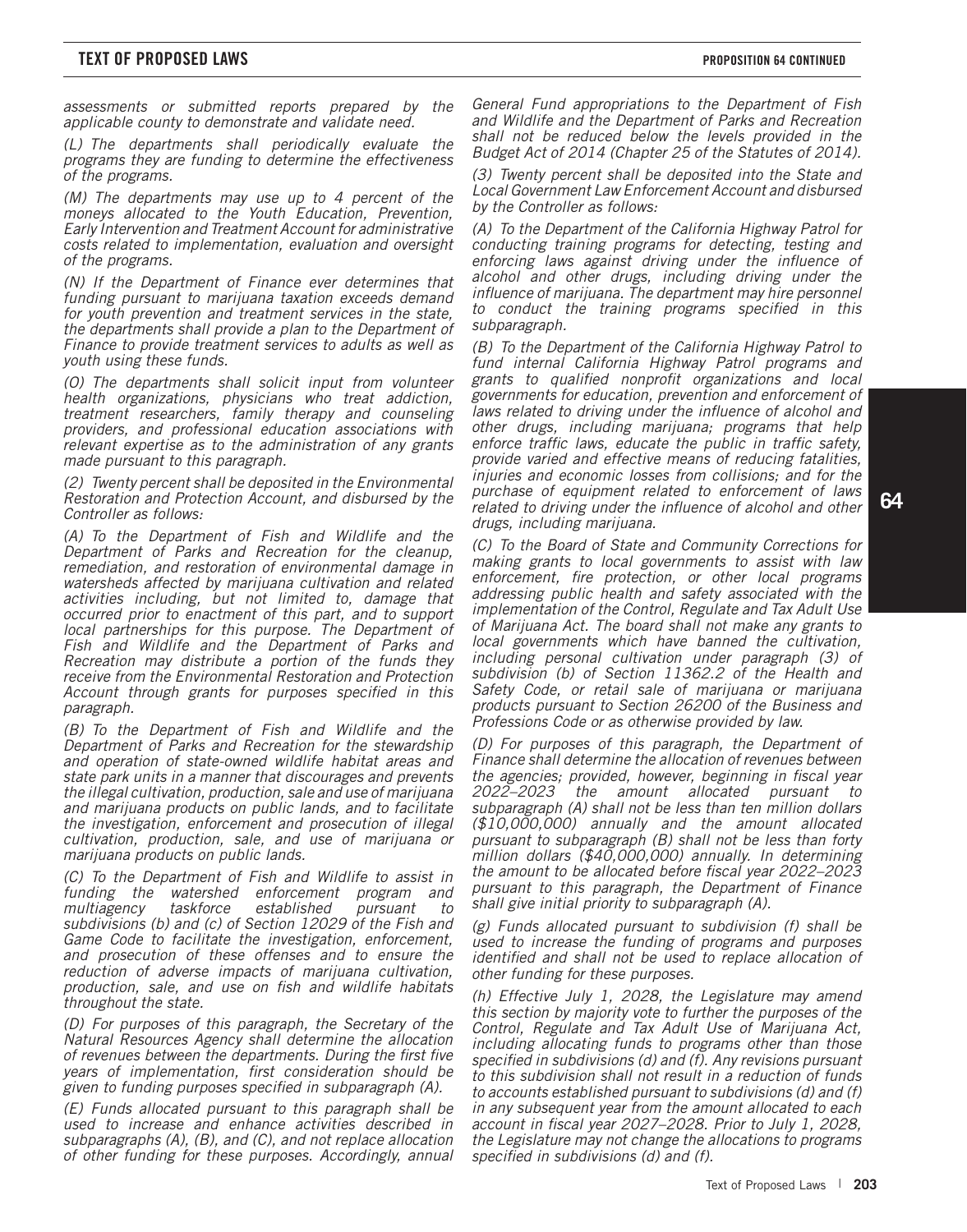*assessments or submitted reports prepared by the applicable county to demonstrate and validate need.* 

*(L) The departments shall periodically evaluate the programs they are funding to determine the effectiveness of the programs.* 

*(M) The departments may use up to 4 percent of the moneys allocated to the Youth Education, Prevention, Early Intervention and Treatment Account for administrative costs related to implementation, evaluation and oversight of the programs.* 

*(N) If the Department of Finance ever determines that funding pursuant to marijuana taxation exceeds demand for youth prevention and treatment services in the state, the departments shall provide a plan to the Department of Finance to provide treatment services to adults as well as youth using these funds.* 

*(O) The departments shall solicit input from volunteer health organizations, physicians who treat addiction, treatment researchers, family therapy and counseling providers, and professional education associations with relevant expertise as to the administration of any grants made pursuant to this paragraph.* 

*(2) Twenty percent shall be deposited in the Environmental Restoration and Protection Account, and disbursed by the Controller as follows:* 

*(A) To the Department of Fish and Wildlife and the Department of Parks and Recreation for the cleanup, remediation, and restoration of environmental damage in watersheds affected by marijuana cultivation and related activities including, but not limited to, damage that occurred prior to enactment of this part, and to support local partnerships for this purpose. The Department of Fish and Wildlife and the Department of Parks and Recreation may distribute a portion of the funds they receive from the Environmental Restoration and Protection Account through grants for purposes specified in this paragraph.* 

*(B) To the Department of Fish and Wildlife and the Department of Parks and Recreation for the stewardship and operation of state-owned wildlife habitat areas and state park units in a manner that discourages and prevents the illegal cultivation, production, sale and use of marijuana and marijuana products on public lands, and to facilitate the investigation, enforcement and prosecution of illegal cultivation, production, sale, and use of marijuana or marijuana products on public lands.* 

*(C) To the Department of Fish and Wildlife to assist in funding the watershed enforcement program and multiagency taskforce established pursuant to subdivisions (b) and (c) of Section 12029 of the Fish and Game Code to facilitate the investigation, enforcement, and prosecution of these offenses and to ensure the reduction of adverse impacts of marijuana cultivation, production, sale, and use on fish and wildlife habitats throughout the state.* 

*(D) For purposes of this paragraph, the Secretary of the Natural Resources Agency shall determine the allocation of revenues between the departments. During the first five years of implementation, first consideration should be given to funding purposes specified in subparagraph (A).* 

*(E) Funds allocated pursuant to this paragraph shall be used to increase and enhance activities described in subparagraphs (A), (B), and (C), and not replace allocation of other funding for these purposes. Accordingly, annual*  *General Fund appropriations to the Department of Fish and Wildlife and the Department of Parks and Recreation shall not be reduced below the levels provided in the Budget Act of 2014 (Chapter 25 of the Statutes of 2014).* 

*(3) Twenty percent shall be deposited into the State and Local Government Law Enforcement Account and disbursed by the Controller as follows:* 

*(A) To the Department of the California Highway Patrol for conducting training programs for detecting, testing and enforcing laws against driving under the influence of alcohol and other drugs, including driving under the influence of marijuana. The department may hire personnel to conduct the training programs specified in this subparagraph.* 

*(B) To the Department of the California Highway Patrol to fund internal California Highway Patrol programs and grants to qualified nonprofit organizations and local governments for education, prevention and enforcement of laws related to driving under the influence of alcohol and other drugs, including marijuana; programs that help enforce traffic laws, educate the public in traffic safety, provide varied and effective means of reducing fatalities, injuries and economic losses from collisions; and for the purchase of equipment related to enforcement of laws related to driving under the influence of alcohol and other drugs, including marijuana.* 

*(C) To the Board of State and Community Corrections for making grants to local governments to assist with law enforcement, fire protection, or other local programs addressing public health and safety associated with the implementation of the Control, Regulate and Tax Adult Use of Marijuana Act. The board shall not make any grants to local governments which have banned the cultivation, including personal cultivation under paragraph (3) of subdivision (b) of Section 11362.2 of the Health and Safety Code, or retail sale of marijuana or marijuana products pursuant to Section 26200 of the Business and Professions Code or as otherwise provided by law.* 

*(D) For purposes of this paragraph, the Department of Finance shall determine the allocation of revenues between the agencies; provided, however, beginning in fiscal year 2022–2023 the amount allocated pursuant to subparagraph (A) shall not be less than ten million dollars (\$10,000,000) annually and the amount allocated pursuant to subparagraph (B) shall not be less than forty million dollars (\$40,000,000) annually. In determining the amount to be allocated before fiscal year 2022–2023 pursuant to this paragraph, the Department of Finance shall give initial priority to subparagraph (A).* 

*(g) Funds allocated pursuant to subdivision (f) shall be used to increase the funding of programs and purposes identified and shall not be used to replace allocation of other funding for these purposes.* 

*(h) Effective July 1, 2028, the Legislature may amend this section by majority vote to further the purposes of the Control, Regulate and Tax Adult Use of Marijuana Act, including allocating funds to programs other than those specified in subdivisions (d) and (f). Any revisions pursuant to this subdivision shall not result in a reduction of funds to accounts established pursuant to subdivisions (d) and (f) in any subsequent year from the amount allocated to each account in fiscal year 2027–2028. Prior to July 1, 2028, the Legislature may not change the allocations to programs specified in subdivisions (d) and (f).* 

**64**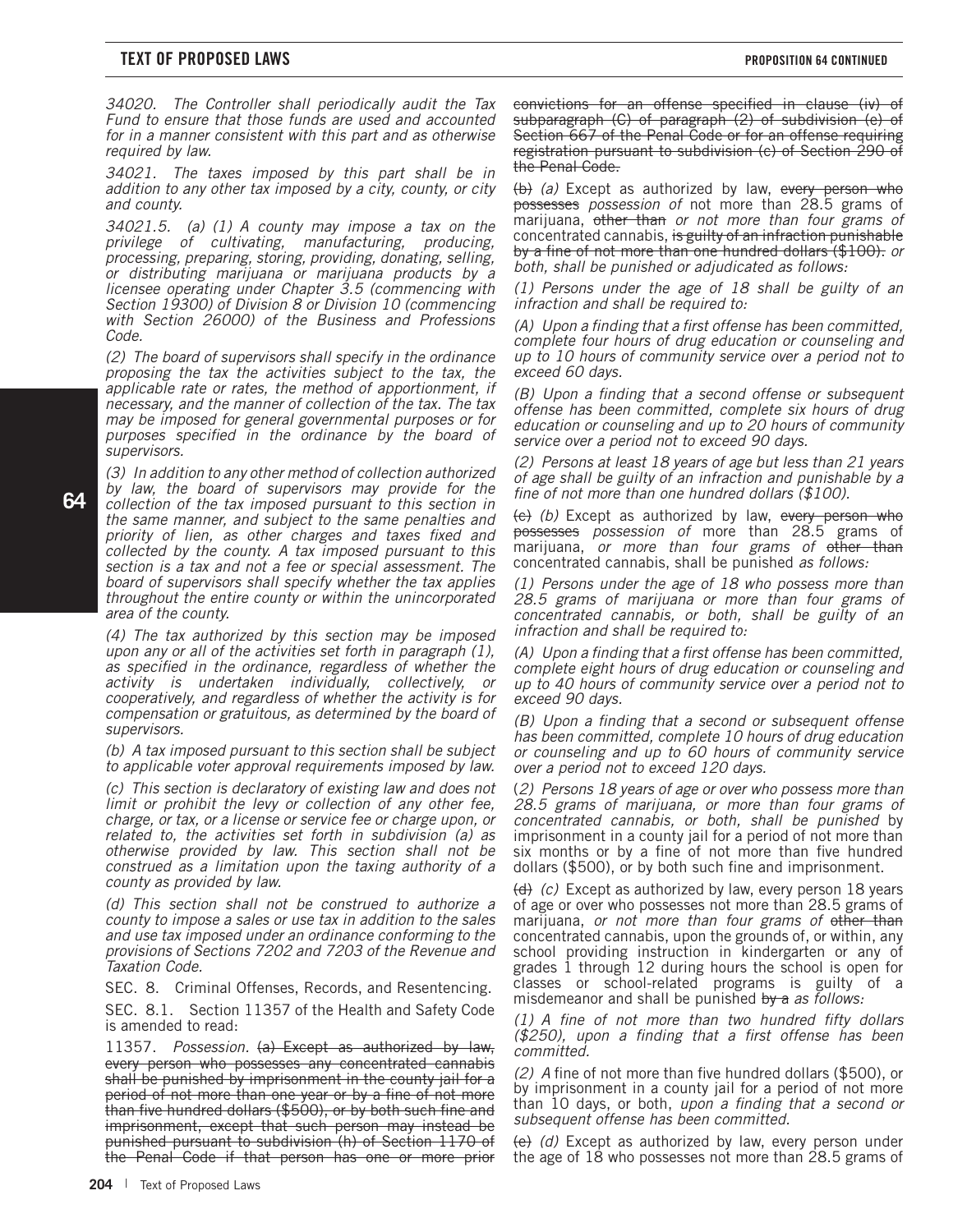**64** 

*34020. The Controller shall periodically audit the Tax Fund to ensure that those funds are used and accounted for in a manner consistent with this part and as otherwise required by law.* 

*34021. The taxes imposed by this part shall be in addition to any other tax imposed by a city, county, or city and county.* 

*34021.5. (a) (1) A county may impose a tax on the privilege of cultivating, manufacturing, producing, processing, preparing, storing, providing, donating, selling, or distributing marijuana or marijuana products by a licensee operating under Chapter 3.5 (commencing with Section 19300) of Division 8 or Division 10 (commencing with Section 26000) of the Business and Professions Code.* 

*(2) The board of supervisors shall specify in the ordinance proposing the tax the activities subject to the tax, the applicable rate or rates, the method of apportionment, if necessary, and the manner of collection of the tax. The tax may be imposed for general governmental purposes or for purposes specified in the ordinance by the board of supervisors.* 

*(3) In addition to any other method of collection authorized by law, the board of supervisors may provide for the collection of the tax imposed pursuant to this section in the same manner, and subject to the same penalties and priority of lien, as other charges and taxes fixed and collected by the county. A tax imposed pursuant to this section is a tax and not a fee or special assessment. The board of supervisors shall specify whether the tax applies throughout the entire county or within the unincorporated area of the county.* 

*(4) The tax authorized by this section may be imposed upon any or all of the activities set forth in paragraph (1), as specified in the ordinance, regardless of whether the activity is undertaken individually, collectively, or cooperatively, and regardless of whether the activity is for compensation or gratuitous, as determined by the board of supervisors.* 

*(b) A tax imposed pursuant to this section shall be subject to applicable voter approval requirements imposed by law.* 

*(c) This section is declaratory of existing law and does not limit or prohibit the levy or collection of any other fee, charge, or tax, or a license or service fee or charge upon, or related to, the activities set forth in subdivision (a) as otherwise provided by law. This section shall not be construed as a limitation upon the taxing authority of a county as provided by law.* 

*(d) This section shall not be construed to authorize a county to impose a sales or use tax in addition to the sales and use tax imposed under an ordinance conforming to the provisions of Sections 7202 and 7203 of the Revenue and Taxation Code.* 

SEC. 8. Criminal Offenses, Records, and Resentencing.

SEC. 8.1. Section 11357 of the Health and Safety Code is amended to read:

11357. *Possession.* (a) Except as authorized by law, every person who possesses any concentrated cannabis shall be punished by imprisonment in the county jail for a period of not more than one year or by a fine of not more than five hundred dollars (\$500), or by both such fine and imprisonment, except that such person may instead be punished pursuant to subdivision (h) of Section 1170 of the Penal Code if that person has one or more prior convictions for an offense specified in clause (iv) of subparagraph (C) of paragraph (2) of subdivision (e) of Section 667 of the Penal Code or for an offense requiring registration pursuant to subdivision (c) of Section 290 of the Penal Code.

(b) *(a)* Except as authorized by law, every person who possesses *possession of* not more than 28.5 grams of marijuana, other than *or not more than four grams of*  concentrated cannabis, is guilty of an infraction punishable by a fine of not more than one hundred dollars (\$100). *or both, shall be punished or adjudicated as follows:* 

*(1) Persons under the age of 18 shall be guilty of an infraction and shall be required to:* 

*(A) Upon a finding that a first offense has been committed, complete four hours of drug education or counseling and up to 10 hours of community service over a period not to exceed 60 days.* 

*(B) Upon a finding that a second offense or subsequent offense has been committed, complete six hours of drug education or counseling and up to 20 hours of community service over a period not to exceed 90 days.* 

*(2) Persons at least 18 years of age but less than 21 years of age shall be guilty of an infraction and punishable by a fine of not more than one hundred dollars (\$100).* 

(c) *(b)* Except as authorized by law, every person who possesses *possession of* more than 28.5 grams of marijuana, *or more than four grams of* other than concentrated cannabis, shall be punished *as follows:* 

*(1) Persons under the age of 18 who possess more than 28.5 grams of marijuana or more than four grams of concentrated cannabis, or both, shall be guilty of an infraction and shall be required to:* 

*(A) Upon a finding that a first offense has been committed, complete eight hours of drug education or counseling and up to 40 hours of community service over a period not to exceed 90 days.* 

*(B) Upon a finding that a second or subsequent offense has been committed, complete 10 hours of drug education or counseling and up to 60 hours of community service over a period not to exceed 120 days.* 

(*2) Persons 18 years of age or over who possess more than 28.5 grams of marijuana, or more than four grams of concentrated cannabis, or both, shall be punished* by imprisonment in a county jail for a period of not more than six months or by a fine of not more than five hundred dollars (\$500), or by both such fine and imprisonment.

(d) *(c)* Except as authorized by law, every person 18 years of age or over who possesses not more than 28.5 grams of marijuana, *or not more than four grams of* other than concentrated cannabis, upon the grounds of, or within, any school providing instruction in kindergarten or any of grades 1 through 12 during hours the school is open for classes or school-related programs is guilty of a misdemeanor and shall be punished by a *as follows:* 

*(1) A fine of not more than two hundred fifty dollars (\$250), upon a finding that a first offense has been committed.* 

*(2) A* fine of not more than five hundred dollars (\$500), or by imprisonment in a county jail for a period of not more than 10 days, or both, *upon a finding that a second or subsequent offense has been committed.* 

(e) *(d)* Except as authorized by law, every person under the age of 18 who possesses not more than 28.5 grams of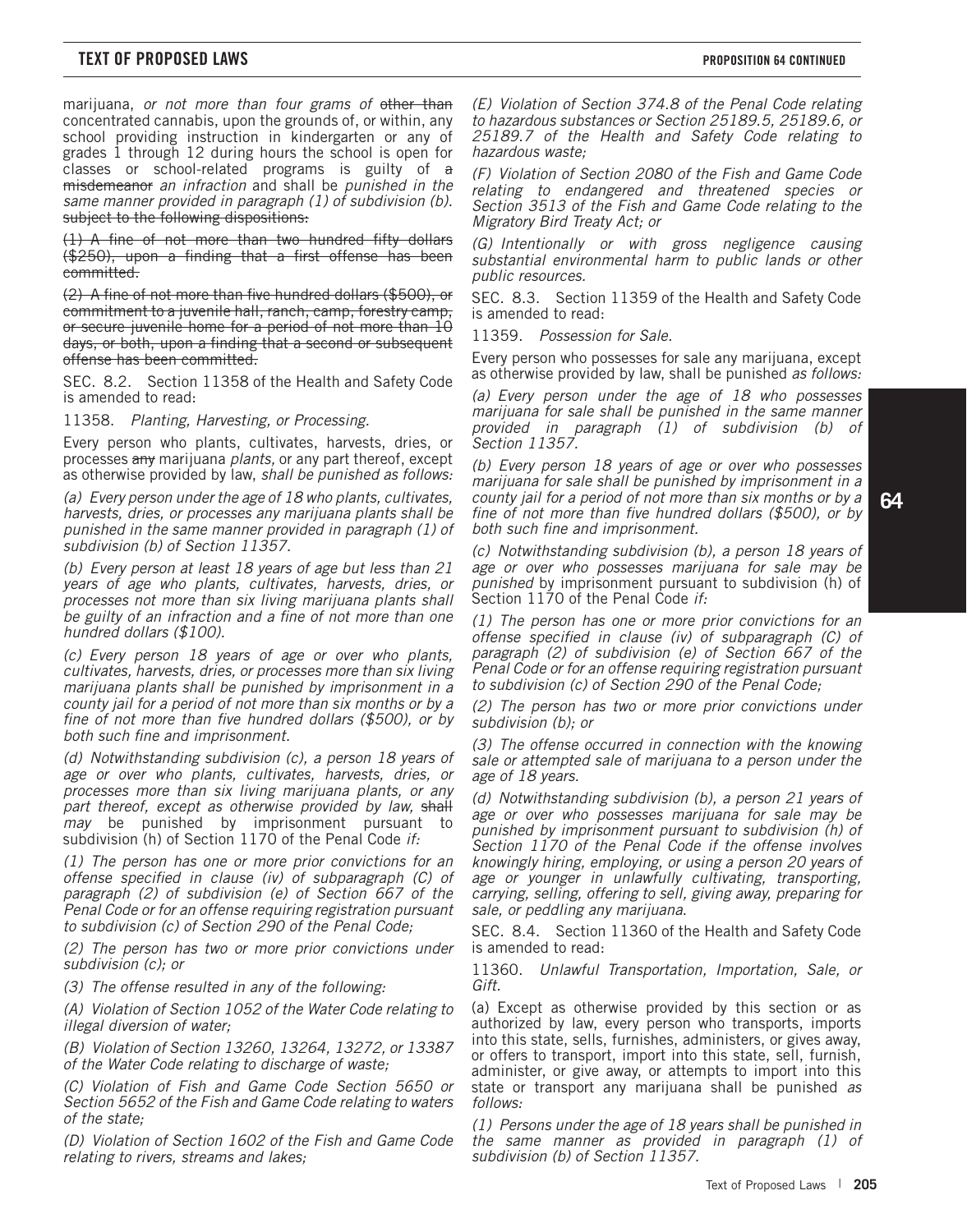**64** 

marijuana, *or not more than four grams of* other than concentrated cannabis, upon the grounds of, or within, any school providing instruction in kindergarten or any of grades 1 through 12 during hours the school is open for classes or school-related programs is guilty of a misdemeanor *an infraction* and shall be *punished in the same manner provided in paragraph (1) of subdivision (b).*  subject to the following dispositions:

(1) A fine of not more than two hundred fifty dollars (\$250), upon a finding that a first offense has been committed.

(2) A fine of not more than five hundred dollars (\$500), or commitment to a juvenile hall, ranch, camp, forestry camp, or secure juvenile home for a period of not more than 10 days, or both, upon a finding that a second or subsequent offense has been committed.

SEC. 8.2. Section 11358 of the Health and Safety Code is amended to read:

11358. *Planting, Harvesting, or Processing.* 

Every person who plants, cultivates, harvests, dries, or processes any marijuana *plants,* or any part thereof, except as otherwise provided by law, *shall be punished as follows:* 

*(a) Every person under the age of 18 who plants, cultivates, harvests, dries, or processes any marijuana plants shall be punished in the same manner provided in paragraph (1) of subdivision (b) of Section 11357.* 

*(b) Every person at least 18 years of age but less than 21 years of age who plants, cultivates, harvests, dries, or processes not more than six living marijuana plants shall be guilty of an infraction and a fine of not more than one hundred dollars (\$100).* 

*(c) Every person 18 years of age or over who plants, cultivates, harvests, dries, or processes more than six living marijuana plants shall be punished by imprisonment in a county jail for a period of not more than six months or by a fine of not more than five hundred dollars (\$500), or by both such fine and imprisonment.* 

*(d) Notwithstanding subdivision (c), a person 18 years of age or over who plants, cultivates, harvests, dries, or processes more than six living marijuana plants, or any*  part thereof, except as otherwise provided by law, shall *may* be punished by imprisonment pursuant to subdivision (h) of Section 1170 of the Penal Code *if:* 

*(1) The person has one or more prior convictions for an offense specified in clause (iv) of subparagraph (C) of paragraph (2) of subdivision (e) of Section 667 of the Penal Code or for an offense requiring registration pursuant to subdivision (c) of Section 290 of the Penal Code;* 

*(2) The person has two or more prior convictions under subdivision (c); or* 

*(3) The offense resulted in any of the following:* 

*(A) Violation of Section 1052 of the Water Code relating to illegal diversion of water;* 

*(B) Violation of Section 13260, 13264, 13272, or 13387 of the Water Code relating to discharge of waste;* 

*(C) Violation of Fish and Game Code Section 5650 or Section 5652 of the Fish and Game Code relating to waters of the state;* 

*(D) Violation of Section 1602 of the Fish and Game Code relating to rivers, streams and lakes;* 

*(E) Violation of Section 374.8 of the Penal Code relating to hazardous substances or Section 25189.5, 25189.6, or 25189.7 of the Health and Safety Code relating to hazardous waste;* 

*(F) Violation of Section 2080 of the Fish and Game Code relating to endangered and threatened species or Section 3513 of the Fish and Game Code relating to the Migratory Bird Treaty Act; or* 

*(G) Intentionally or with gross negligence causing substantial environmental harm to public lands or other public resources.* 

SEC. 8.3. Section 11359 of the Health and Safety Code is amended to read:

11359. *Possession for Sale.* 

Every person who possesses for sale any marijuana, except as otherwise provided by law, shall be punished *as follows:* 

*(a) Every person under the age of 18 who possesses marijuana for sale shall be punished in the same manner provided in paragraph (1) of subdivision (b) of Section 11357.* 

*(b) Every person 18 years of age or over who possesses marijuana for sale shall be punished by imprisonment in a county jail for a period of not more than six months or by a fine of not more than five hundred dollars (\$500), or by both such fine and imprisonment.* 

*(c) Notwithstanding subdivision (b), a person 18 years of age or over who possesses marijuana for sale may be punished* by imprisonment pursuant to subdivision (h) of Section 1170 of the Penal Code *if:* 

*(1) The person has one or more prior convictions for an offense specified in clause (iv) of subparagraph (C) of paragraph (2) of subdivision (e) of Section 667 of the Penal Code or for an offense requiring registration pursuant to subdivision (c) of Section 290 of the Penal Code;* 

*(2) The person has two or more prior convictions under subdivision (b); or* 

*(3) The offense occurred in connection with the knowing sale or attempted sale of marijuana to a person under the age of 18 years.* 

*(d) Notwithstanding subdivision (b), a person 21 years of age or over who possesses marijuana for sale may be punished by imprisonment pursuant to subdivision (h) of Section 1170 of the Penal Code if the offense involves knowingly hiring, employing, or using a person 20 years of age or younger in unlawfully cultivating, transporting, carrying, selling, offering to sell, giving away, preparing for sale, or peddling any marijuana*.

SEC. 8.4. Section 11360 of the Health and Safety Code is amended to read:

11360. *Unlawful Transportation, Importation, Sale, or Gift.* 

(a) Except as otherwise provided by this section or as authorized by law, every person who transports, imports into this state, sells, furnishes, administers, or gives away, or offers to transport, import into this state, sell, furnish, administer, or give away, or attempts to import into this state or transport any marijuana shall be punished *as follows:* 

*(1) Persons under the age of 18 years shall be punished in the same manner as provided in paragraph (1) of subdivision (b) of Section 11357.*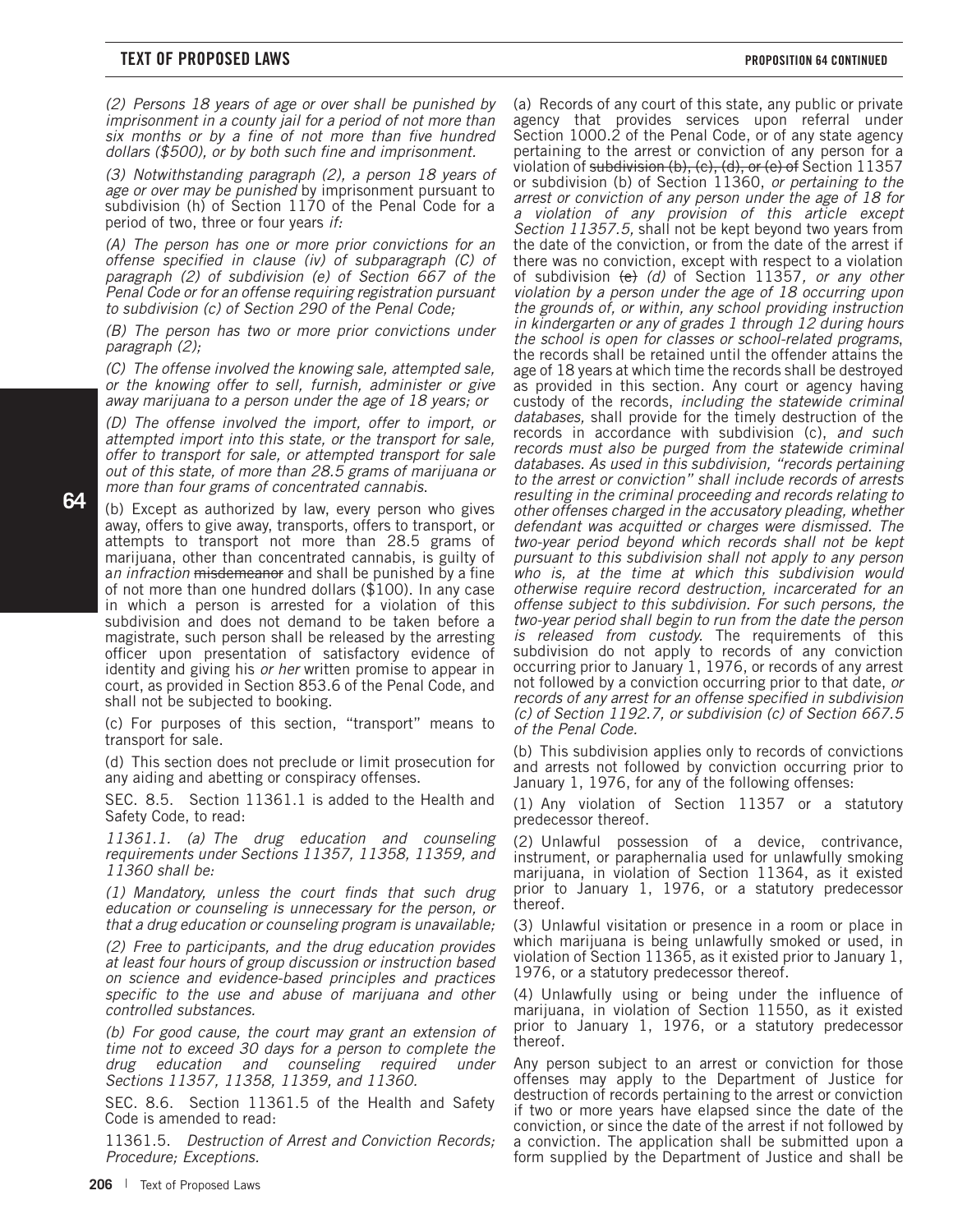**64** 

*(2) Persons 18 years of age or over shall be punished by imprisonment in a county jail for a period of not more than six months or by a fine of not more than five hundred dollars (\$500), or by both such fine and imprisonment.* 

*(3) Notwithstanding paragraph (2), a person 18 years of age or over may be punished* by imprisonment pursuant to subdivision (h) of Section 1170 of the Penal Code for a period of two, three or four years *if:* 

*(A) The person has one or more prior convictions for an offense specified in clause (iv) of subparagraph (C) of paragraph (2) of subdivision (e) of Section 667 of the Penal Code or for an offense requiring registration pursuant to subdivision (c) of Section 290 of the Penal Code;* 

*(B) The person has two or more prior convictions under paragraph (2);* 

*(C) The offense involved the knowing sale, attempted sale, or the knowing offer to sell, furnish, administer or give away marijuana to a person under the age of 18 years; or* 

*(D) The offense involved the import, offer to import, or attempted import into this state, or the transport for sale, offer to transport for sale, or attempted transport for sale out of this state, of more than 28.5 grams of marijuana or more than four grams of concentrated cannabis*.

(b) Except as authorized by law, every person who gives away, offers to give away, transports, offers to transport, or attempts to transport not more than 28.5 grams of marijuana, other than concentrated cannabis, is guilty of a*n infraction* misdemeanor and shall be punished by a fine of not more than one hundred dollars (\$100). In any case in which a person is arrested for a violation of this subdivision and does not demand to be taken before a magistrate, such person shall be released by the arresting officer upon presentation of satisfactory evidence of identity and giving his *or her* written promise to appear in court, as provided in Section 853.6 of the Penal Code, and shall not be subjected to booking.

(c) For purposes of this section, "transport" means to transport for sale.

(d) This section does not preclude or limit prosecution for any aiding and abetting or conspiracy offenses.

SEC. 8.5. Section 11361.1 is added to the Health and Safety Code, to read:

*11361.1. (a) The drug education and counseling requirements under Sections 11357, 11358, 11359, and 11360 shall be:* 

*(1) Mandatory, unless the court finds that such drug education or counseling is unnecessary for the person, or that a drug education or counseling program is unavailable;* 

*(2) Free to participants, and the drug education provides at least four hours of group discussion or instruction based on science and evidence-based principles and practices specific to the use and abuse of marijuana and other controlled substances.* 

*(b) For good cause, the court may grant an extension of time not to exceed 30 days for a person to complete the drug education and counseling required under Sections 11357, 11358, 11359, and 11360.* 

SEC. 8.6. Section 11361.5 of the Health and Safety Code is amended to read:

11361.5. *Destruction of Arrest and Conviction Records; Procedure; Exceptions.* 

(a) Records of any court of this state, any public or private agency that provides services upon referral under Section 1000.2 of the Penal Code, or of any state agency pertaining to the arrest or conviction of any person for a violation of subdivision  $(b)$ ,  $(c)$ ,  $(d)$ , or  $(e)$  of Section 11357 or subdivision (b) of Section 11360, *or pertaining to the arrest or conviction of any person under the age of 18 for a violation of any provision of this article except Section 11357.5,* shall not be kept beyond two years from the date of the conviction, or from the date of the arrest if there was no conviction, except with respect to a violation of subdivision (e) *(d)* of Section 11357*, or any other violation by a person under the age of 18 occurring upon the grounds of, or within, any school providing instruction in kindergarten or any of grades 1 through 12 during hours the school is open for classes or school-related programs*, the records shall be retained until the offender attains the age of 18 years at which time the records shall be destroyed as provided in this section. Any court or agency having custody of the records, *including the statewide criminal databases,* shall provide for the timely destruction of the records in accordance with subdivision (c), *and such records must also be purged from the statewide criminal databases. As used in this subdivision, "records pertaining to the arrest or conviction" shall include records of arrests resulting in the criminal proceeding and records relating to other offenses charged in the accusatory pleading, whether defendant was acquitted or charges were dismissed. The two-year period beyond which records shall not be kept pursuant to this subdivision shall not apply to any person who is, at the time at which this subdivision would otherwise require record destruction, incarcerated for an offense subject to this subdivision. For such persons, the two-year period shall begin to run from the date the person is released from custody.* The requirements of this subdivision do not apply to records of any conviction occurring prior to January 1, 1976, or records of any arrest not followed by a conviction occurring prior to that date, *or records of any arrest for an offense specified in subdivision (c) of Section 1192.7, or subdivision (c) of Section 667.5 of the Penal Code.* 

(b) This subdivision applies only to records of convictions and arrests not followed by conviction occurring prior to January 1, 1976, for any of the following offenses:

(1) Any violation of Section 11357 or a statutory predecessor thereof.

(2) Unlawful possession of a device, contrivance, instrument, or paraphernalia used for unlawfully smoking marijuana, in violation of Section 11364, as it existed prior to January 1, 1976, or a statutory predecessor thereof.

(3) Unlawful visitation or presence in a room or place in which marijuana is being unlawfully smoked or used, in violation of Section 11365, as it existed prior to January 1, 1976, or a statutory predecessor thereof.

(4) Unlawfully using or being under the influence of marijuana, in violation of Section 11550, as it existed prior to January 1, 1976, or a statutory predecessor thereof.

Any person subject to an arrest or conviction for those offenses may apply to the Department of Justice for destruction of records pertaining to the arrest or conviction if two or more years have elapsed since the date of the conviction, or since the date of the arrest if not followed by a conviction. The application shall be submitted upon a form supplied by the Department of Justice and shall be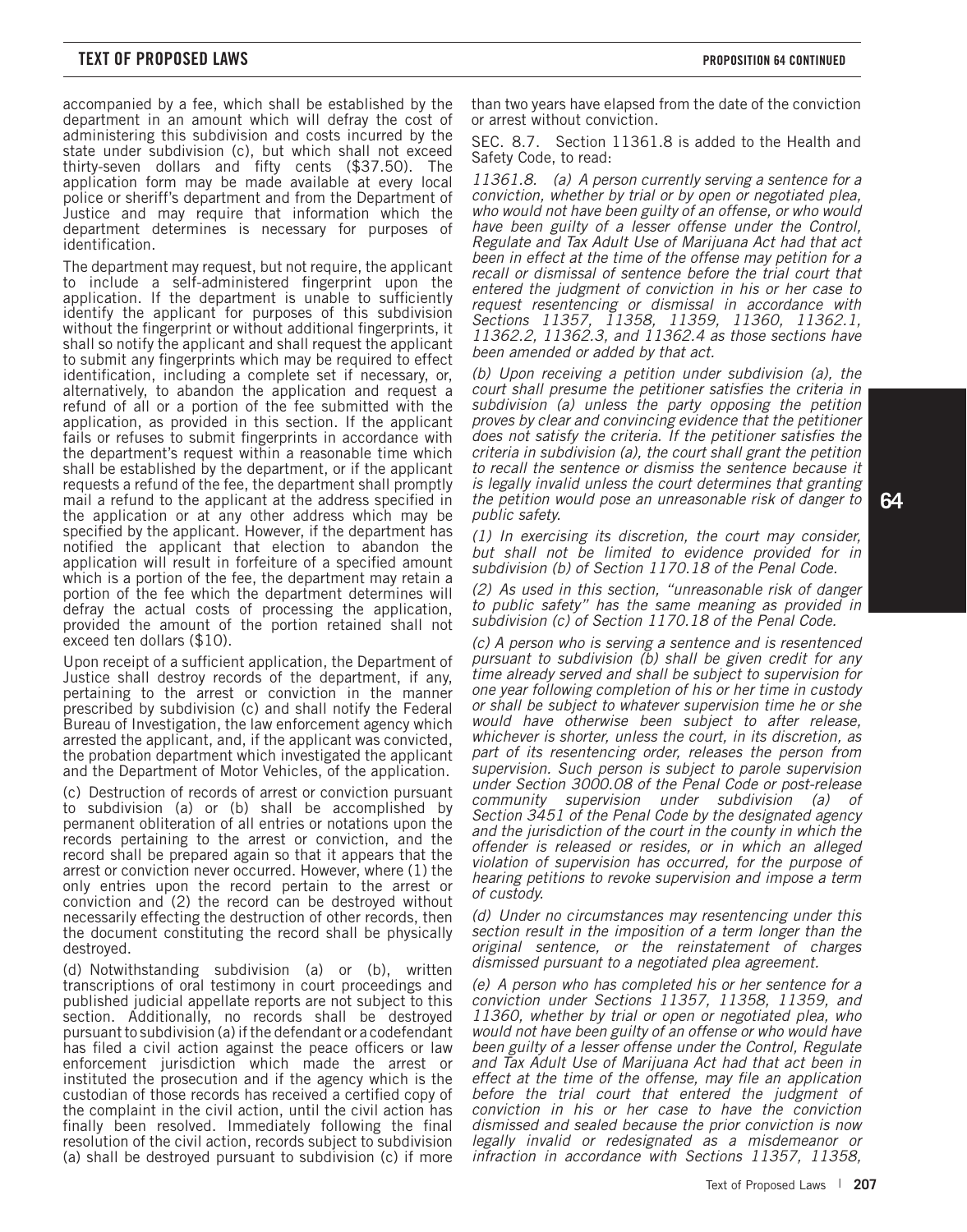**64** 

## **TEXT OF PROPOSED LAWS PROPOSITION 64 CONTINuED**

accompanied by a fee, which shall be established by the department in an amount which will defray the cost of administering this subdivision and costs incurred by the state under subdivision (c), but which shall not exceed thirty-seven dollars and fifty cents (\$37.50). The application form may be made available at every local police or sheriff's department and from the Department of Justice and may require that information which the department determines is necessary for purposes of identification.

The department may request, but not require, the applicant to include a self-administered fingerprint upon the application. If the department is unable to sufficiently identify the applicant for purposes of this subdivision without the fingerprint or without additional fingerprints, it shall so notify the applicant and shall request the applicant to submit any fingerprints which may be required to effect identification, including a complete set if necessary, or, alternatively, to abandon the application and request a refund of all or a portion of the fee submitted with the application, as provided in this section. If the applicant fails or refuses to submit fingerprints in accordance with the department's request within a reasonable time which shall be established by the department, or if the applicant requests a refund of the fee, the department shall promptly mail a refund to the applicant at the address specified in the application or at any other address which may be specified by the applicant. However, if the department has notified the applicant that election to abandon the application will result in forfeiture of a specified amount which is a portion of the fee, the department may retain a portion of the fee which the department determines will defray the actual costs of processing the application, provided the amount of the portion retained shall not exceed ten dollars (\$10).

Upon receipt of a sufficient application, the Department of Justice shall destroy records of the department, if any, pertaining to the arrest or conviction in the manner prescribed by subdivision (c) and shall notify the Federal Bureau of Investigation, the law enforcement agency which arrested the applicant, and, if the applicant was convicted, the probation department which investigated the applicant and the Department of Motor Vehicles, of the application.

(c) Destruction of records of arrest or conviction pursuant to subdivision (a) or (b) shall be accomplished by permanent obliteration of all entries or notations upon the records pertaining to the arrest or conviction, and the record shall be prepared again so that it appears that the arrest or conviction never occurred. However, where (1) the only entries upon the record pertain to the arrest or conviction and (2) the record can be destroyed without necessarily effecting the destruction of other records, then the document constituting the record shall be physically destroyed.

(d) Notwithstanding subdivision (a) or (b), written transcriptions of oral testimony in court proceedings and published judicial appellate reports are not subject to this section. Additionally, no records shall be destroyed pursuant to subdivision (a) if the defendant or a codefendant has filed a civil action against the peace officers or law enforcement jurisdiction which made the arrest or instituted the prosecution and if the agency which is the custodian of those records has received a certified copy of the complaint in the civil action, until the civil action has finally been resolved. Immediately following the final resolution of the civil action, records subject to subdivision (a) shall be destroyed pursuant to subdivision (c) if more

than two years have elapsed from the date of the conviction or arrest without conviction.

SEC. 8.7. Section 11361.8 is added to the Health and Safety Code, to read:

*11361.8. (a) A person currently serving a sentence for a conviction, whether by trial or by open or negotiated plea, who would not have been guilty of an offense, or who would have been guilty of a lesser offense under the Control, Regulate and Tax Adult Use of Marijuana Act had that act been in effect at the time of the offense may petition for a recall or dismissal of sentence before the trial court that entered the judgment of conviction in his or her case to request resentencing or dismissal in accordance with Sections 11357, 11358, 11359, 11360, 11362.1, 11362.2, 11362.3, and 11362.4 as those sections have been amended or added by that act.* 

*(b) Upon receiving a petition under subdivision (a), the court shall presume the petitioner satisfies the criteria in subdivision (a) unless the party opposing the petition proves by clear and convincing evidence that the petitioner does not satisfy the criteria. If the petitioner satisfies the criteria in subdivision (a), the court shall grant the petition to recall the sentence or dismiss the sentence because it is legally invalid unless the court determines that granting the petition would pose an unreasonable risk of danger to public safety.* 

*(1) In exercising its discretion, the court may consider, but shall not be limited to evidence provided for in subdivision (b) of Section 1170.18 of the Penal Code.* 

*(2) As used in this section, "unreasonable risk of danger to public safety" has the same meaning as provided in subdivision (c) of Section 1170.18 of the Penal Code.* 

*(c) A person who is serving a sentence and is resentenced pursuant to subdivision (b) shall be given credit for any time already served and shall be subject to supervision for one year following completion of his or her time in custody or shall be subject to whatever supervision time he or she would have otherwise been subject to after release, whichever is shorter, unless the court, in its discretion, as part of its resentencing order, releases the person from supervision. Such person is subject to parole supervision under Section 3000.08 of the Penal Code or post-release community supervision under subdivision (a) of Section 3451 of the Penal Code by the designated agency and the jurisdiction of the court in the county in which the offender is released or resides, or in which an alleged violation of supervision has occurred, for the purpose of hearing petitions to revoke supervision and impose a term of custody.* 

*(d) Under no circumstances may resentencing under this section result in the imposition of a term longer than the original sentence, or the reinstatement of charges dismissed pursuant to a negotiated plea agreement.* 

*(e) A person who has completed his or her sentence for a conviction under Sections 11357, 11358, 11359, and 11360, whether by trial or open or negotiated plea, who would not have been guilty of an offense or who would have been guilty of a lesser offense under the Control, Regulate and Tax Adult Use of Marijuana Act had that act been in effect at the time of the offense, may file an application before the trial court that entered the judgment of conviction in his or her case to have the conviction dismissed and sealed because the prior conviction is now legally invalid or redesignated as a misdemeanor or infraction in accordance with Sections 11357, 11358,*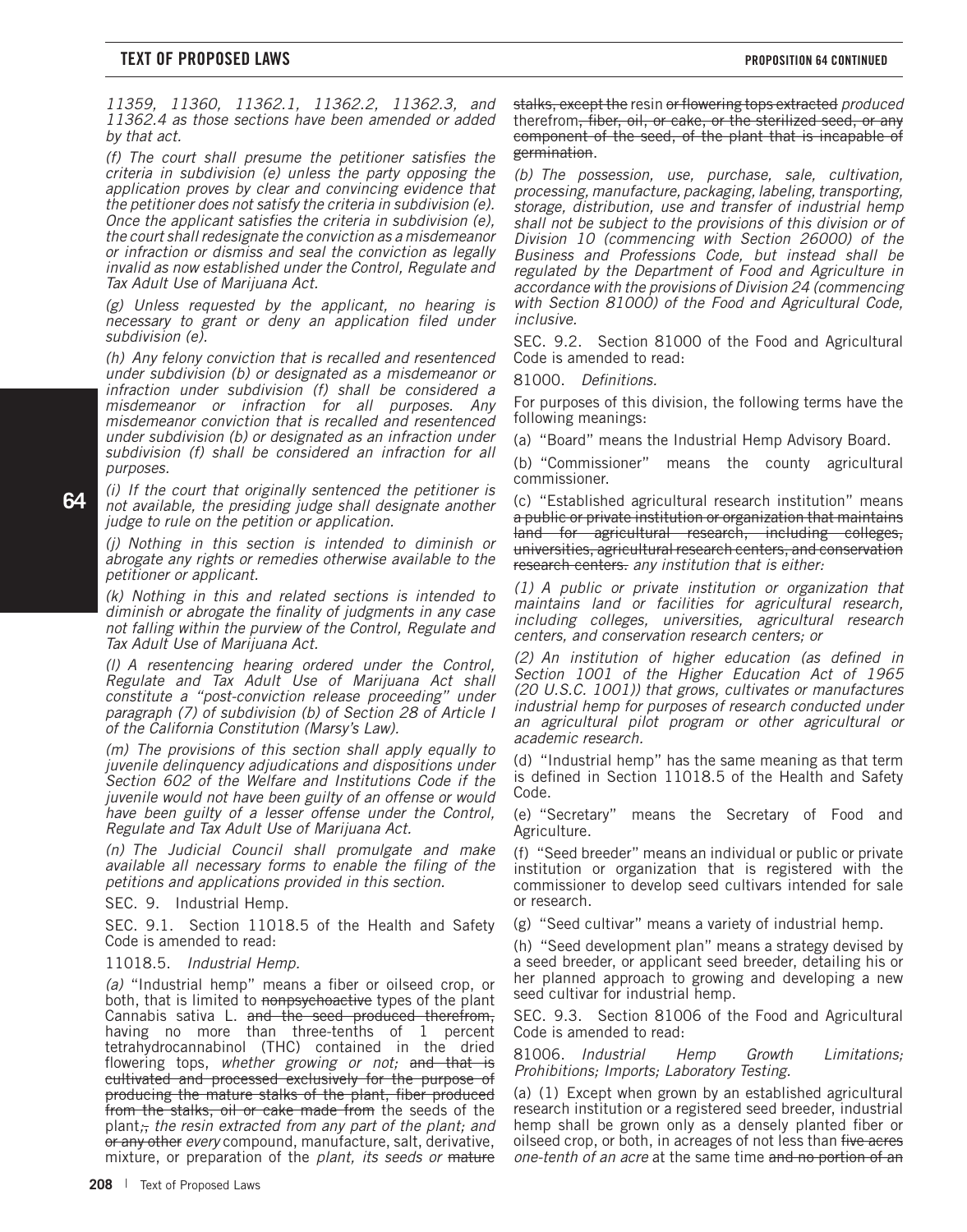*11359, 11360, 11362.1, 11362.2, 11362.3, and 11362.4 as those sections have been amended or added by that act.* 

*(f) The court shall presume the petitioner satisfies the criteria in subdivision (e) unless the party opposing the application proves by clear and convincing evidence that the petitioner does not satisfy the criteria in subdivision (e). Once the applicant satisfies the criteria in subdivision (e), the court shall redesignate the conviction as a misdemeanor or infraction or dismiss and seal the conviction as legally invalid as now established under the Control, Regulate and Tax Adult Use of Marijuana Act.* 

*(g) Unless requested by the applicant, no hearing is necessary to grant or deny an application filed under subdivision (e).* 

*(h) Any felony conviction that is recalled and resentenced under subdivision (b) or designated as a misdemeanor or infraction under subdivision (f) shall be considered a misdemeanor or infraction for all purposes. Any misdemeanor conviction that is recalled and resentenced under subdivision (b) or designated as an infraction under subdivision (f) shall be considered an infraction for all purposes.* 

*(i) If the court that originally sentenced the petitioner is not available, the presiding judge shall designate another judge to rule on the petition or application.* 

*(j) Nothing in this section is intended to diminish or abrogate any rights or remedies otherwise available to the petitioner or applicant.* 

*(k) Nothing in this and related sections is intended to diminish or abrogate the finality of judgments in any case not falling within the purview of the Control, Regulate and Tax Adult Use of Marijuana Act.* 

*(l) A resentencing hearing ordered under the Control, Regulate and Tax Adult Use of Marijuana Act shall constitute a "post-conviction release proceeding" under paragraph (7) of subdivision (b) of Section 28 of Article I of the California Constitution (Marsy's Law).* 

*(m) The provisions of this section shall apply equally to juvenile delinquency adjudications and dispositions under Section 602 of the Welfare and Institutions Code if the juvenile would not have been guilty of an offense or would have been guilty of a lesser offense under the Control, Regulate and Tax Adult Use of Marijuana Act.* 

*(n) The Judicial Council shall promulgate and make available all necessary forms to enable the filing of the petitions and applications provided in this section.* 

SEC. 9. Industrial Hemp.

**64** 

Code is amended to read:

#### 11018.5. *Industrial Hemp.*

*(a)* "Industrial hemp" means a fiber or oilseed crop, or both, that is limited to nonpsychoactive types of the plant Cannabis sativa L. and the seed produced therefrom, having no more than three-tenths of 1 percent tetrahydrocannabinol (THC) contained in the dried flowering tops, *whether growing or not;* and that is cultivated and processed exclusively for the purpose of producing the mature stalks of the plant, fiber produced from the stalks, oil or cake made from the seeds of the plant*;*, *the resin extracted from any part of the plant; and*  or any other *every* compound, manufacture, salt, derivative, mixture, or preparation of the *plant, its seeds or* mature

stalks, except the resin or flowering tops extracted *produced*  therefrom, fiber, oil, or cake, or the sterilized seed, or any component of the seed, of the plant that is incapable of germination.

*(b) The possession, use, purchase, sale, cultivation, processing, manufacture, packaging, labeling, transporting, storage, distribution, use and transfer of industrial hemp shall not be subject to the provisions of this division or of Division 10 (commencing with Section 26000) of the Business and Professions Code, but instead shall be regulated by the Department of Food and Agriculture in accordance with the provisions of Division 24 (commencing with Section 81000) of the Food and Agricultural Code, inclusive.* 

SEC. 9.2. Section 81000 of the Food and Agricultural Code is amended to read:

81000. *Definitions.* 

For purposes of this division, the following terms have the following meanings:

(a) "Board" means the Industrial Hemp Advisory Board.

(b) "Commissioner" means the county agricultural commissioner.

(c) "Established agricultural research institution" means a public or private institution or organization that maintains land for agricultural research, including colleges, universities, agricultural research centers, and conservation research centers. *any institution that is either:* 

*(1) A public or private institution or organization that maintains land or facilities for agricultural research, including colleges, universities, agricultural research centers, and conservation research centers; or* 

*(2) An institution of higher education (as defined in Section 1001 of the Higher Education Act of 1965 (20 U.S.C. 1001)) that grows, cultivates or manufactures industrial hemp for purposes of research conducted under an agricultural pilot program or other agricultural or academic research.* 

(d) "Industrial hemp" has the same meaning as that term is defined in Section 11018.5 of the Health and Safety Code.

(e) "Secretary" means the Secretary of Food and Agriculture.

(f) "Seed breeder" means an individual or public or private institution or organization that is registered with the commissioner to develop seed cultivars intended for sale or research.

SEC. 9.1. Section 11018.5 of the Health and Safety (g) "Seed cultivar" means a variety of industrial hemp.

(h) "Seed development plan" means a strategy devised by a seed breeder, or applicant seed breeder, detailing his or her planned approach to growing and developing a new seed cultivar for industrial hemp.

SEC. 9.3. Section 81006 of the Food and Agricultural Code is amended to read:

81006. *Industrial Hemp Growth Limitations; Prohibitions; Imports; Laboratory Testing.* 

(a) (1) Except when grown by an established agricultural research institution or a registered seed breeder, industrial hemp shall be grown only as a densely planted fiber or oilseed crop, or both, in acreages of not less than five acres *one-tenth of an acre* at the same time and no portion of an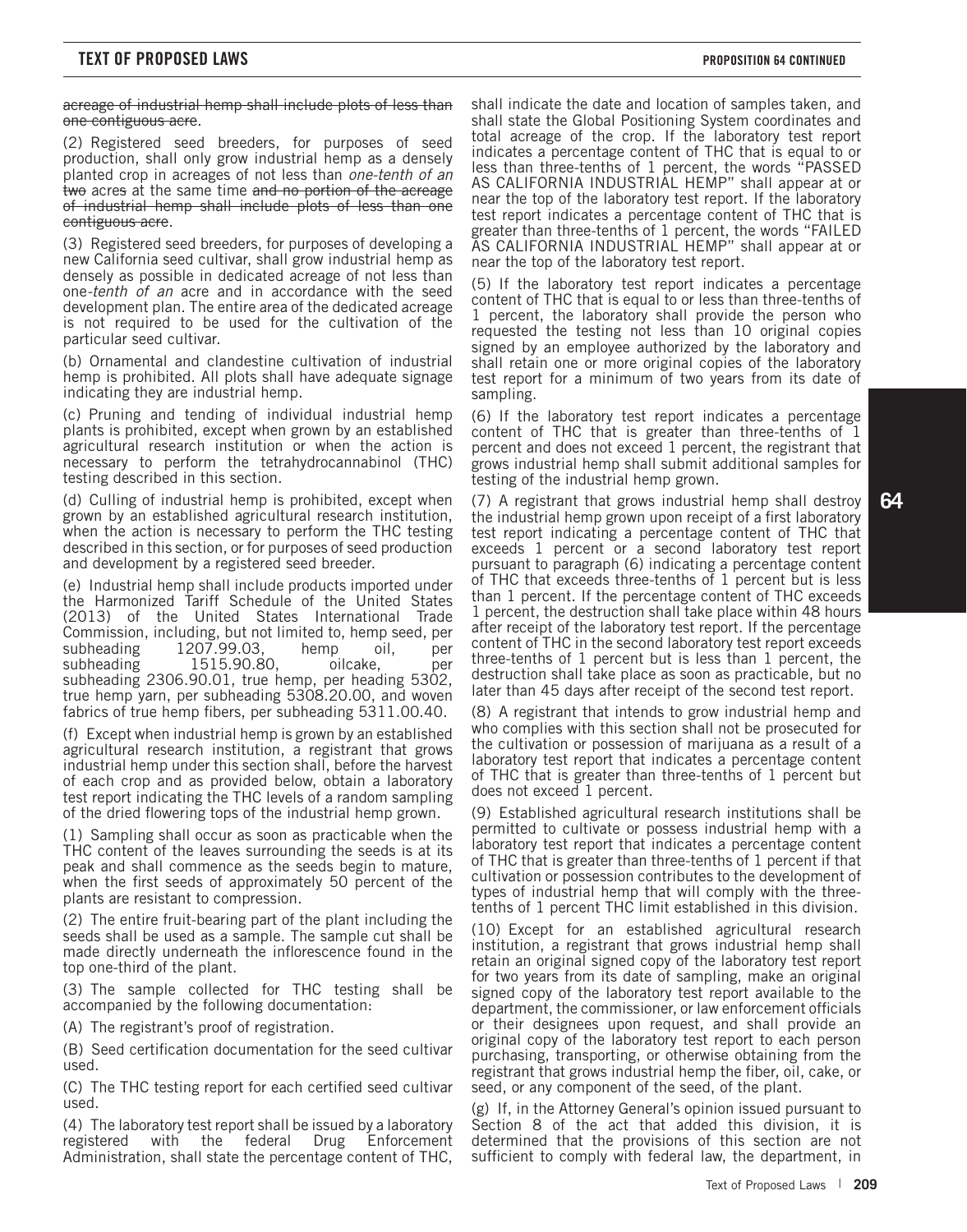### acreage of industrial hemp shall include plots of less than one contiguous acre.

(2) Registered seed breeders, for purposes of seed production, shall only grow industrial hemp as a densely planted crop in acreages of not less than *one-tenth of an*  two acres at the same time and no portion of the acreage of industrial hemp shall include plots of less than one contiguous acre.

(3) Registered seed breeders, for purposes of developing a new California seed cultivar, shall grow industrial hemp as densely as possible in dedicated acreage of not less than one*-tenth of an* acre and in accordance with the seed development plan. The entire area of the dedicated acreage is not required to be used for the cultivation of the particular seed cultivar.

(b) Ornamental and clandestine cultivation of industrial hemp is prohibited. All plots shall have adequate signage indicating they are industrial hemp.

(c) Pruning and tending of individual industrial hemp plants is prohibited, except when grown by an established agricultural research institution or when the action is necessary to perform the tetrahydrocannabinol (THC) testing described in this section.

(d) Culling of industrial hemp is prohibited, except when grown by an established agricultural research institution, when the action is necessary to perform the THC testing described in this section, or for purposes of seed production and development by a registered seed breeder.

(e) Industrial hemp shall include products imported under the Harmonized Tariff Schedule of the United States (2013) of the United States International Trade Commission, including, but not limited to, hemp seed, per subheading 1207.99.03, hemp oil, per subheading 1515.90.80, oilcake, per subheading 2306.90.01, true hemp, per heading 5302, true hemp yarn, per subheading 5308.20.00, and woven fabrics of true hemp fibers, per subheading 5311.00.40.

(f) Except when industrial hemp is grown by an established agricultural research institution, a registrant that grows industrial hemp under this section shall, before the harvest of each crop and as provided below, obtain a laboratory test report indicating the THC levels of a random sampling of the dried flowering tops of the industrial hemp grown.

(1) Sampling shall occur as soon as practicable when the THC content of the leaves surrounding the seeds is at its peak and shall commence as the seeds begin to mature, when the first seeds of approximately 50 percent of the plants are resistant to compression.

(2) The entire fruit-bearing part of the plant including the seeds shall be used as a sample. The sample cut shall be made directly underneath the inflorescence found in the top one-third of the plant.

(3) The sample collected for THC testing shall be accompanied by the following documentation:

(A) The registrant's proof of registration.

(B) Seed certification documentation for the seed cultivar used.

(C) The THC testing report for each certified seed cultivar used.

(4) The laboratory test report shall be issued by a laboratory registered with the federal Drug Enforcement Administration, shall state the percentage content of THC, shall indicate the date and location of samples taken, and shall state the Global Positioning System coordinates and total acreage of the crop. If the laboratory test report indicates a percentage content of THC that is equal to or less than three-tenths of 1 percent, the words "PASSED AS CALIFORNIA INDUSTRIAL HEMP" shall appear at or near the top of the laboratory test report. If the laboratory test report indicates a percentage content of THC that is greater than three-tenths of 1 percent, the words "FAILED AS CALIFORNIA INDUSTRIAL HEMP" shall appear at or near the top of the laboratory test report.

(5) If the laboratory test report indicates a percentage content of THC that is equal to or less than three-tenths of 1 percent, the laboratory shall provide the person who requested the testing not less than 10 original copies signed by an employee authorized by the laboratory and shall retain one or more original copies of the laboratory test report for a minimum of two years from its date of sampling.

(6) If the laboratory test report indicates a percentage content of THC that is greater than three-tenths of 1 percent and does not exceed 1 percent, the registrant that grows industrial hemp shall submit additional samples for testing of the industrial hemp grown.

(7) A registrant that grows industrial hemp shall destroy the industrial hemp grown upon receipt of a first laboratory test report indicating a percentage content of THC that exceeds 1 percent or a second laboratory test report pursuant to paragraph (6) indicating a percentage content of THC that exceeds three-tenths of 1 percent but is less than 1 percent. If the percentage content of THC exceeds 1 percent, the destruction shall take place within 48 hours after receipt of the laboratory test report. If the percentage content of THC in the second laboratory test report exceeds three-tenths of 1 percent but is less than 1 percent, the destruction shall take place as soon as practicable, but no later than 45 days after receipt of the second test report.

(8) A registrant that intends to grow industrial hemp and who complies with this section shall not be prosecuted for the cultivation or possession of marijuana as a result of a laboratory test report that indicates a percentage content of THC that is greater than three-tenths of 1 percent but does not exceed 1 percent.

(9) Established agricultural research institutions shall be permitted to cultivate or possess industrial hemp with a laboratory test report that indicates a percentage content of THC that is greater than three-tenths of 1 percent if that cultivation or possession contributes to the development of types of industrial hemp that will comply with the threetenths of 1 percent THC limit established in this division.

(10) Except for an established agricultural research institution, a registrant that grows industrial hemp shall retain an original signed copy of the laboratory test report for two years from its date of sampling, make an original signed copy of the laboratory test report available to the department, the commissioner, or law enforcement officials or their designees upon request, and shall provide an original copy of the laboratory test report to each person purchasing, transporting, or otherwise obtaining from the registrant that grows industrial hemp the fiber, oil, cake, or seed, or any component of the seed, of the plant.

(g) If, in the Attorney General's opinion issued pursuant to Section 8 of the act that added this division, it is determined that the provisions of this section are not sufficient to comply with federal law, the department, in

**64**